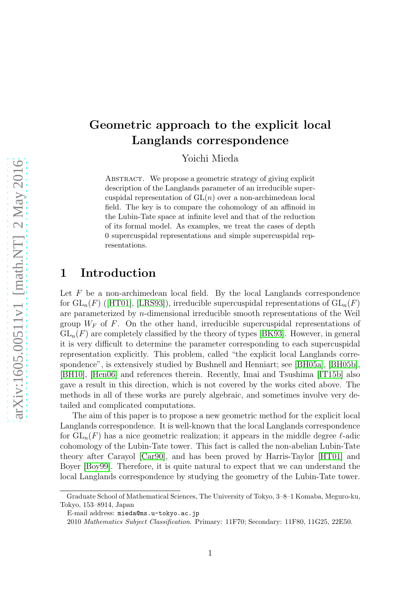Yoichi Mieda

ABSTRACT. We propose a geometric strategy of giving explicit description of the Langlands parameter of an irreducible supercuspidal representation of  $GL(n)$  over a non-archimedean local field. The key is to compare the cohomology of an affinoid in the Lubin-Tate space at infinite level and that of the reduction of its formal model. As examples, we treat the cases of depth 0 supercuspidal representations and simple supercuspidal representations.

### 1 Introduction

Let  $F$  be a non-archimedean local field. By the local Langlands correspondence for $GL_n(F)$  ([\[HT01\]](#page-52-0), [\[LRS93\]](#page-52-1)), irreducible supercuspidal representations of  $GL_n(F)$ are parameterized by n-dimensional irreducible smooth representations of the Weil group  $W_F$  of F. On the other hand, irreducible supercuspidal representations of  $GL_n(F)$  are completely classified by the theory of types [\[BK93\]](#page-51-0). However, in general it is very difficult to determine the parameter corresponding to each supercuspidal representation explicitly. This problem, called "the explicit local Langlands correspondence", is extensively studied by Bushnell and Henniart; see [\[BH05a\]](#page-51-1), [\[BH05b\]](#page-51-2), [\[BH10\]](#page-51-3), [\[Hen06\]](#page-52-2) and references therein. Recently, Imai and Tsushima [\[IT15b\]](#page-52-3) also gave a result in this direction, which is not covered by the works cited above. The methods in all of these works are purely algebraic, and sometimes involve very detailed and complicated computations.

The aim of this paper is to propose a new geometric method for the explicit local Langlands correspondence. It is well-known that the local Langlands correspondence for  $GL_n(F)$  has a nice geometric realization; it appears in the middle degree  $\ell$ -adic cohomology of the Lubin-Tate tower. This fact is called the non-abelian Lubin-Tate theory after Carayol [\[Car90\]](#page-51-4), and has been proved by Harris-Taylor [\[HT01\]](#page-52-0) and Boyer [\[Boy99\]](#page-51-5). Therefore, it is quite natural to expect that we can understand the local Langlands correspondence by studying the geometry of the Lubin-Tate tower.

Graduate School of Mathematical Sciences, The University of Tokyo, 3–8–1 Komaba, Meguro-ku, Tokyo, 153–8914, Japan

E-mail address: mieda@ms.u-tokyo.ac.jp

<sup>2010</sup> Mathematics Subject Classification. Primary: 11F70; Secondary: 11F80, 11G25, 22E50.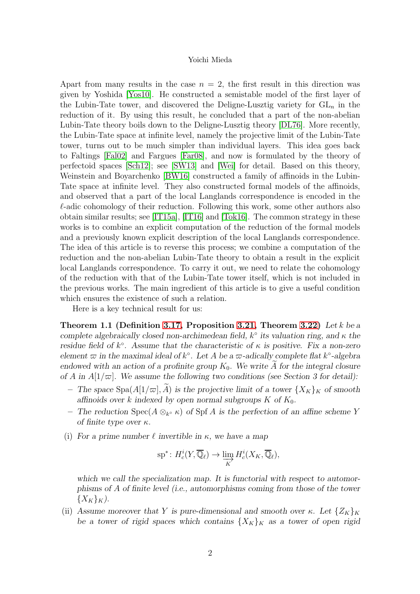Apart from many results in the case  $n = 2$ , the first result in this direction was given by Yoshida [\[Yos10\]](#page-53-0). He constructed a semistable model of the first layer of the Lubin-Tate tower, and discovered the Deligne-Lusztig variety for  $GL_n$  in the reduction of it. By using this result, he concluded that a part of the non-abelian Lubin-Tate theory boils down to the Deligne-Lusztig theory [\[DL76\]](#page-51-6). More recently, the Lubin-Tate space at infinite level, namely the projective limit of the Lubin-Tate tower, turns out to be much simpler than individual layers. This idea goes back to Faltings [\[Fal02\]](#page-51-7) and Fargues [\[Far08\]](#page-52-4), and now is formulated by the theory of perfectoid spaces [\[Sch12\]](#page-53-1); see [\[SW13\]](#page-53-2) and [\[Wei\]](#page-53-3) for detail. Based on this theory, Weinstein and Boyarchenko [\[BW16\]](#page-51-8) constructed a family of affinoids in the Lubin-Tate space at infinite level. They also constructed formal models of the affinoids, and observed that a part of the local Langlands correspondence is encoded in the  $\ell$ -adic cohomology of their reduction. Following this work, some other authors also obtain similar results; see [\[IT15a\]](#page-52-5), [\[IT16\]](#page-52-6) and [\[Tok16\]](#page-53-4). The common strategy in these works is to combine an explicit computation of the reduction of the formal models and a previously known explicit description of the local Langlands correspondence. The idea of this article is to reverse this process; we combine a computation of the reduction and the non-abelian Lubin-Tate theory to obtain a result in the explicit local Langlands correspondence. To carry it out, we need to relate the cohomology of the reduction with that of the Lubin-Tate tower itself, which is not included in the previous works. The main ingredient of this article is to give a useful condition which ensures the existence of such a relation.

Here is a key technical result for us:

Theorem 1.1 (Definition [3.17,](#page-18-0) Proposition [3.21,](#page-20-0) Theorem [3.22\)](#page-21-0) Let  $k$  be a complete algebraically closed non-archimedean field,  $k^{\circ}$  its valuation ring, and  $\kappa$  the residue field of  $k^{\circ}$ . Assume that the characteristic of  $\kappa$  is positive. Fix a non-zero element  $\varpi$  in the maximal ideal of  $k^{\circ}$ . Let A be a  $\varpi$ -adically complete flat  $k^{\circ}$ -algebra endowed with an action of a profinite group  $K_0$ . We write A for the integral closure of A in  $A[1/\varpi]$ . We assume the following two conditions (see Section 3 for detail):

- The space  $\text{Spa}(A[1/\varpi], \tilde{A})$  is the projective limit of a tower  $\{X_K\}_K$  of smooth affinoids over k indexed by open normal subgroups  $K$  of  $K_0$ .
- − The reduction Spec( $A \otimes_{k^{\circ}} \kappa$ ) of Spf A is the perfection of an affine scheme Y of finite type over  $\kappa$ .
- (i) For a prime number  $\ell$  invertible in  $\kappa$ , we have a map

$$
\mathrm{sp}^*\colon H^i_c(Y,\overline{\mathbb{Q}}_{\ell}) \to \varinjlim_K H^i_c(X_K,\overline{\mathbb{Q}}_{\ell}),
$$

which we call the specialization map. It is functorial with respect to automorphisms of A of finite level (i.e., automorphisms coming from those of the tower  $\{X_K\}_K$ ).

(ii) Assume moreover that Y is pure-dimensional and smooth over κ. Let  $\{Z_K\}_K$ be a tower of rigid spaces which contains  $\{X_K\}_K$  as a tower of open rigid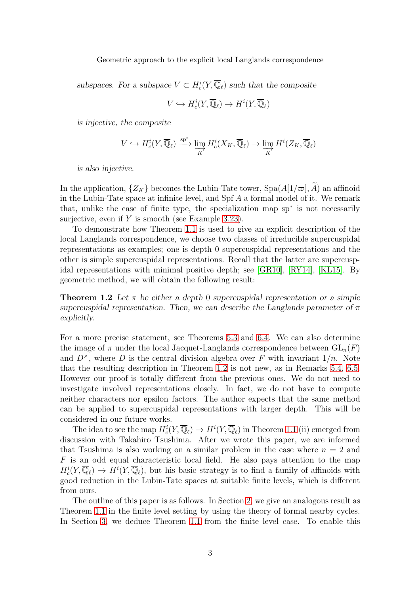subspaces. For a subspace  $V \subset H_c^i(Y, \overline{\mathbb{Q}}_\ell)$  such that the composite

$$
V \hookrightarrow H_c^i(Y, \overline{\mathbb{Q}}_{\ell}) \to H^i(Y, \overline{\mathbb{Q}}_{\ell})
$$

is injective, the composite

$$
V \hookrightarrow H_c^i(Y, \overline{\mathbb{Q}}_{\ell}) \xrightarrow{\text{sp}^*} \varinjlim_K H_c^i(X_K, \overline{\mathbb{Q}}_{\ell}) \to \varinjlim_K H^i(Z_K, \overline{\mathbb{Q}}_{\ell})
$$

is also injective.

In the application,  $\{Z_K\}$  becomes the Lubin-Tate tower,  $Spa(A[1/\varpi], A)$  an affinoid in the Lubin-Tate space at infinite level, and  $Spf\ A$  a formal model of it. We remark that, unlike the case of finite type, the specialization map sp<sup>∗</sup> is not necessarily surjective, even if  $Y$  is smooth (see Example [3.23\)](#page-22-0).

To demonstrate how Theorem [1.1](#page-49-0) is used to give an explicit description of the local Langlands correspondence, we choose two classes of irreducible supercuspidal representations as examples; one is depth 0 supercuspidal representations and the other is simple supercuspidal representations. Recall that the latter are supercuspidal representations with minimal positive depth; see [\[GR10\]](#page-52-7), [\[RY14\]](#page-53-5), [\[KL15\]](#page-52-8). By geometric method, we will obtain the following result:

**Theorem 1.2** Let  $\pi$  be either a depth 0 supercuspidal representation or a simple supercuspidal representation. Then, we can describe the Langlands parameter of  $\pi$ explicitly.

For a more precise statement, see Theorems [5.3](#page-49-1) and [6.4.](#page-50-0) We can also determine the image of  $\pi$  under the local Jacquet-Langlands correspondence between  $GL_n(F)$ and  $D^{\times}$ , where D is the central division algebra over F with invariant  $1/n$ . Note that the resulting description in Theorem [1.2](#page-49-2) is not new, as in Remarks [5.4,](#page-50-0) [6.5.](#page-48-0) However our proof is totally different from the previous ones. We do not need to investigate involved representations closely. In fact, we do not have to compute neither characters nor epsilon factors. The author expects that the same method can be applied to supercuspidal representations with larger depth. This will be considered in our future works.

The idea to see the map  $H_c^i(Y, \overline{\mathbb{Q}}_\ell) \to H^i(Y, \overline{\mathbb{Q}}_\ell)$  in Theorem [1.1](#page-49-0) (ii) emerged from discussion with Takahiro Tsushima. After we wrote this paper, we are informed that Tsushima is also working on a similar problem in the case where  $n = 2$  and  $F$  is an odd equal characteristic local field. He also pays attention to the map  $H_c^i(Y, \overline{\mathbb{Q}}_\ell) \to H^i(Y, \overline{\mathbb{Q}}_\ell)$ , but his basic strategy is to find a family of affinoids with good reduction in the Lubin-Tate spaces at suitable finite levels, which is different from ours.

The outline of this paper is as follows. In Section [2,](#page-3-0) we give an analogous result as Theorem [1.1](#page-49-0) in the finite level setting by using the theory of formal nearby cycles. In Section [3,](#page-11-0) we deduce Theorem [1.1](#page-49-0) from the finite level case. To enable this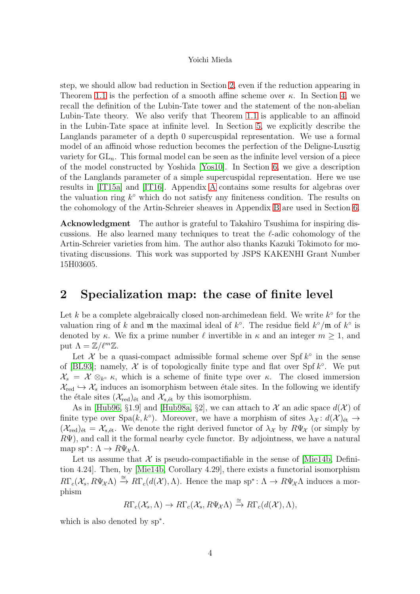step, we should allow bad reduction in Section [2,](#page-3-0) even if the reduction appearing in Theorem [1.1](#page-49-0) is the perfection of a smooth affine scheme over  $\kappa$ . In Section [4,](#page-23-0) we recall the definition of the Lubin-Tate tower and the statement of the non-abelian Lubin-Tate theory. We also verify that Theorem [1.1](#page-49-0) is applicable to an affinoid in the Lubin-Tate space at infinite level. In Section [5,](#page-34-0) we explicitly describe the Langlands parameter of a depth 0 supercuspidal representation. We use a formal model of an affinoid whose reduction becomes the perfection of the Deligne-Lusztig variety for  $GL_n$ . This formal model can be seen as the infinite level version of a piece of the model constructed by Yoshida [\[Yos10\]](#page-53-0). In Section [6,](#page-40-0) we give a description of the Langlands parameter of a simple supercuspidal representation. Here we use results in [\[IT15a\]](#page-52-5) and [\[IT16\]](#page-52-6). Appendix [A](#page-47-0) contains some results for algebras over the valuation ring  $k^{\circ}$  which do not satisfy any finiteness condition. The results on the cohomology of the Artin-Schreier sheaves in Appendix [B](#page-49-3) are used in Section [6.](#page-40-0)

Acknowledgment The author is grateful to Takahiro Tsushima for inspiring discussions. He also learned many techniques to treat the  $\ell$ -adic cohomology of the Artin-Schreier varieties from him. The author also thanks Kazuki Tokimoto for motivating discussions. This work was supported by JSPS KAKENHI Grant Number 15H03605.

## <span id="page-3-0"></span>2 Specialization map: the case of finite level

Let  $k$  be a complete algebraically closed non-archimedean field. We write  $k^{\circ}$  for the valuation ring of k and  $\mathfrak m$  the maximal ideal of  $k^{\circ}$ . The residue field  $k^{\circ}/\mathfrak m$  of  $k^{\circ}$  is denoted by κ. We fix a prime number  $\ell$  invertible in  $\kappa$  and an integer  $m \geq 1$ , and put  $\Lambda = \mathbb{Z}/\ell^m \mathbb{Z}$ .

Let  $\mathcal X$  be a quasi-compact admissible formal scheme over Spf  $k^{\circ}$  in the sense of [\[BL93\]](#page-51-9); namely,  $\mathcal X$  is of topologically finite type and flat over Spf  $k^{\circ}$ . We put  $\mathcal{X}_s = \mathcal{X} \otimes_{k^{\circ}} \kappa$ , which is a scheme of finite type over  $\kappa$ . The closed immersion  $\mathcal{X}_{\text{red}} \hookrightarrow \mathcal{X}_{\text{s}}$  induces an isomorphism between étale sites. In the following we identify the étale sites  $(\mathcal{X}_{red})_{\text{\'et}}$  and  $\mathcal{X}_{s,\text{\'et}}$  by this isomorphism.

As in [\[Hub96,](#page-52-9) §1.9] and [\[Hub98a,](#page-52-10) §2], we can attach to X an adic space  $d(\mathcal{X})$  of finite type over  $Spa(k, k^{\circ})$ . Moreover, we have a morphism of sites  $\lambda_{\mathcal{X}}: d(\mathcal{X})_{\text{\'et}} \to$  $(\mathcal{X}_{\text{red}})_{\text{\'et}} = \mathcal{X}_{s,\text{\'et}}$ . We denote the right derived functor of  $\lambda_{\mathcal{X}}$  by  $R\Psi_{\mathcal{X}}$  (or simply by  $R\Psi$ ), and call it the formal nearby cycle functor. By adjointness, we have a natural map sp<sup>\*</sup>:  $\Lambda \to R\Psi_{\mathcal{X}}\Lambda$ .

Let us assume that  $\mathcal X$  is pseudo-compactifiable in the sense of Mie14b, Definition 4.24]. Then, by [\[Mie14b,](#page-53-6) Corollary 4.29], there exists a functorial isomorphism  $R\Gamma_c(\mathcal{X}_s, R\Psi_{\mathcal{X}}\Lambda) \stackrel{\cong}{\to} R\Gamma_c(d(\mathcal{X}),\Lambda)$ . Hence the map sp<sup>∗</sup>:  $\Lambda \to R\Psi_{\mathcal{X}}\Lambda$  induces a morphism

$$
R\Gamma_c(\mathcal{X}_s,\Lambda)\to R\Gamma_c(\mathcal{X}_s,R\Psi_{\mathcal{X}}\Lambda)\xrightarrow{\cong} R\Gamma_c(d(\mathcal{X}),\Lambda),
$$

which is also denoted by sp<sup>∗</sup> .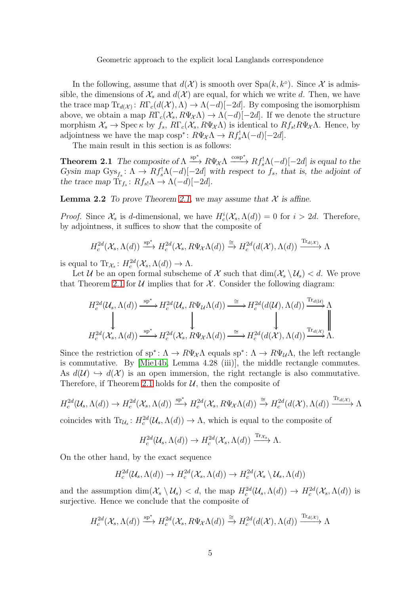In the following, assume that  $d(\mathcal{X})$  is smooth over  $Spa(k, k^{\circ})$ . Since X is admissible, the dimensions of  $\mathcal{X}_s$  and  $d(\mathcal{X})$  are equal, for which we write d. Then, we have the trace map  $\text{Tr}_{d(\mathcal{X})} : R\Gamma_c(d(\mathcal{X}), \Lambda) \to \Lambda(-d)[-2d]$ . By composing the isomorphism above, we obtain a map  $R\Gamma_c(\mathcal{X}_s, R\Psi_{\mathcal{X}}\Lambda) \to \Lambda(-d)[-2d]$ . If we denote the structure morphism  $\mathcal{X}_s \to \text{Spec} \,\kappa$  by  $f_s$ ,  $R\Gamma_c(\mathcal{X}_s, R\Psi_{\mathcal{X}}\Lambda)$  is identical to  $Rf_{s}R\Psi_{\mathcal{X}}\Lambda$ . Hence, by adjointness we have the map  $\cos p^* \colon R\Psi_{\mathcal{X}} \Lambda \to Rf_s^! \Lambda(-d)[-2d].$ 

The main result in this section is as follows:

**Theorem 2.1** The composite of  $\Lambda \stackrel{\text{sp}^*}{\longrightarrow} R\Psi_{\mathcal{X}}\Lambda \stackrel{\text{cosp}^*}{\longrightarrow} Rf_s^!\Lambda(-d)[-2d]$  is equal to the Gysin map  $Gys_{f_s}: \Lambda \to Rf_s^{\dagger} \Lambda(-d)[-2d]$  with respect to  $f_s$ , that is, the adjoint of the trace map  $\text{Tr}_{f_s}: Rf_{s} \Lambda \to \Lambda(-d)[-2d].$ 

**Lemma 2.2** To prove Theorem [2.1,](#page-49-0) we may assume that  $\mathcal{X}$  is affine.

*Proof.* Since  $\mathcal{X}_s$  is d-dimensional, we have  $H_c^i(\mathcal{X}_s, \Lambda(d)) = 0$  for  $i > 2d$ . Therefore, by adjointness, it suffices to show that the composite of

$$
H_c^{2d}(\mathcal{X}_s, \Lambda(d)) \xrightarrow{\text{sp}^*} H_c^{2d}(\mathcal{X}_s, R\Psi_{\mathcal{X}}\Lambda(d)) \xrightarrow{\cong} H_c^{2d}(d(\mathcal{X}), \Lambda(d)) \xrightarrow{\text{Tr}_{d(\mathcal{X})}} \Lambda
$$

is equal to  $\text{Tr}_{\mathcal{X}_s}: H_c^{2d}(\mathcal{X}_s, \Lambda(d)) \to \Lambda$ .

Let U be an open formal subscheme of Y such that  $\dim(\mathcal{X}_s \setminus \mathcal{U}_s) < d$ . We prove that Theorem [2.1](#page-49-0) for  $U$  implies that for  $X$ . Consider the following diagram:

$$
H_c^{2d}(\mathcal{U}_s, \Lambda(d)) \xrightarrow{\text{sp}^*} H_c^{2d}(\mathcal{U}_s, R\Psi_{\mathcal{U}}\Lambda(d)) \xrightarrow{\cong} H_c^{2d}(d(\mathcal{U}), \Lambda(d)) \xrightarrow{\text{Tr}_{d(\mathcal{U})}} \Lambda
$$
  

$$
\downarrow \qquad \qquad \downarrow \qquad \qquad \downarrow
$$
  

$$
H_c^{2d}(\mathcal{X}_s, \Lambda(d)) \xrightarrow{\text{sp}^*} H_c^{2d}(\mathcal{X}_s, R\Psi_{\mathcal{X}}\Lambda(d)) \xrightarrow{\cong} H_c^{2d}(d(\mathcal{X}), \Lambda(d)) \xrightarrow{\text{Tr}_{d(\mathcal{X})}} \Lambda.
$$

Since the restriction of  $\text{sp}^* \colon \Lambda \to R\Psi_{\mathcal{X}}\Lambda$  equals  $\text{sp}^* \colon \Lambda \to R\Psi_{\mathcal{U}}\Lambda$ , the left rectangle is commutative. By [\[Mie14b,](#page-53-6) Lemma 4.28 (iii)], the middle rectangle commutes. As  $d(\mathcal{U}) \hookrightarrow d(\mathcal{X})$  is an open immersion, the right rectangle is also commutative. Therefore, if Theorem [2.1](#page-49-0) holds for  $U$ , then the composite of

$$
H_c^{2d}(\mathcal{U}_s, \Lambda(d)) \to H_c^{2d}(\mathcal{X}_s, \Lambda(d)) \xrightarrow{\text{sp}^*} H_c^{2d}(\mathcal{X}_s, R\Psi_{\mathcal{X}}\Lambda(d)) \xrightarrow{\cong} H_c^{2d}(d(\mathcal{X}), \Lambda(d)) \xrightarrow{\text{Tr}_{d(\mathcal{X})}} \Lambda
$$

coincides with  $\text{Tr}_{\mathcal{U}_s}: H_c^{2d}(\mathcal{U}_s, \Lambda(d)) \to \Lambda$ , which is equal to the composite of

$$
H_c^{2d}(\mathcal{U}_s, \Lambda(d)) \to H_c^{2d}(\mathcal{X}_s, \Lambda(d)) \xrightarrow{\text{Tr}_{\mathcal{X}_s}} \Lambda.
$$

On the other hand, by the exact sequence

$$
H_c^{2d}(\mathcal{U}_s, \Lambda(d)) \to H_c^{2d}(\mathcal{X}_s, \Lambda(d)) \to H_c^{2d}(\mathcal{X}_s \setminus \mathcal{U}_s, \Lambda(d))
$$

and the assumption  $\dim(\mathcal{X}_s \setminus \mathcal{U}_s) < d$ , the map  $H_c^{2d}(\mathcal{U}_s, \Lambda(d)) \to H_c^{2d}(\mathcal{X}_s, \Lambda(d))$  is surjective. Hence we conclude that the composite of

$$
H_c^{2d}(\mathcal{X}_s, \Lambda(d)) \xrightarrow{\text{sp}^*} H_c^{2d}(\mathcal{X}_s, R\Psi_{\mathcal{X}}\Lambda(d)) \xrightarrow{\cong} H_c^{2d}(d(\mathcal{X}), \Lambda(d)) \xrightarrow{\text{Tr}_{d(\mathcal{X})}} \Lambda
$$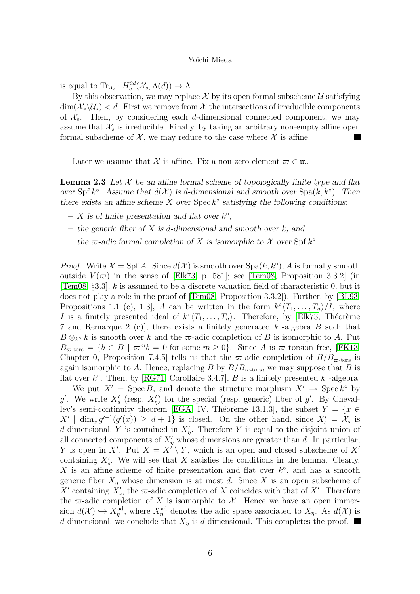is equal to  $\text{Tr}_{\mathcal{X}_s}: H_c^{2d}(\mathcal{X}_s, \Lambda(d)) \to \Lambda$ .

By this observation, we may replace X by its open formal subscheme U satisfying  $\dim(\mathcal{X}_{s}\backslash\mathcal{U}_{s}) < d$ . First we remove from X the intersections of irreducible components of  $X_s$ . Then, by considering each d-dimensional connected component, we may assume that  $\mathcal{X}_s$  is irreducible. Finally, by taking an arbitrary non-empty affine open formal subscheme of  $\mathcal{X}$ , we may reduce to the case where  $\mathcal{X}$  is affine.

Later we assume that X is affine. Fix a non-zero element  $\varpi \in \mathfrak{m}$ .

**Lemma 2.3** Let  $\mathcal{X}$  be an affine formal scheme of topologically finite type and flat over Spf  $k^{\circ}$ . Assume that  $d(\mathcal{X})$  is d-dimensional and smooth over Spa $(k, k^{\circ})$ . Then there exists an affine scheme  $X$  over  $\text{Spec } k^{\circ}$  satisfying the following conditions:

- $X$  is of finite presentation and flat over  $k^{\circ}$ ,
- the generic fiber of  $X$  is d-dimensional and smooth over  $k$ , and
- the  $\infty$ -adic formal completion of X is isomorphic to X over Spf  $k^{\circ}$ .

*Proof.* Write  $\mathcal{X} = \text{Spf } A$ . Since  $d(\mathcal{X})$  is smooth over  $\text{Spa}(k, k^{\circ})$ , A is formally smooth outside  $V(\varpi)$  in the sense of [\[Elk73,](#page-51-10) p. 581]; see [\[Tem08,](#page-53-7) Proposition 3.3.2] (in [\[Tem08,](#page-53-7)  $\S 3.3$ ], k is assumed to be a discrete valuation field of characteristic 0, but it does not play a role in the proof of [\[Tem08,](#page-53-7) Proposition 3.3.2]). Further, by [\[BL93,](#page-51-9) Propositions 1.1 (c), 1.3, A can be written in the form  $k^{\circ} \langle T_1, \ldots, T_n \rangle / I$ , where I is a finitely presented ideal of  $k^{\circ}(T_1, \ldots, T_n)$ . Therefore, by [\[Elk73,](#page-51-10) Théorème 7 and Remarque 2 (c)], there exists a finitely generated  $k^{\circ}$ -algebra B such that  $B \otimes_{k^{\circ}} k$  is smooth over k and the  $\varpi$ -adic completion of B is isomorphic to A. Put  $B_{\varpi\text{-tors}} = \{b \in B \mid \varpi^m b = 0 \text{ for some } m \geq 0\}.$  Since A is  $\varpi\text{-torsion free}$ , [\[FK13,](#page-52-11) Chapter 0, Proposition 7.4.5] tells us that the  $\varpi$ -adic completion of  $B/B_{\varpi\text{-tors}}$  is again isomorphic to A. Hence, replacing B by  $B/B_{\infty\text{-tors}}$ , we may suppose that B is flat over  $k^{\circ}$ . Then, by [\[RG71,](#page-53-8) Corollaire 3.4.7], B is a finitely presented  $k^{\circ}$ -algebra.

We put  $X' = \text{Spec } B$ , and denote the structure morphism  $X' \to \text{Spec } k^{\circ}$  by g'. We write  $X'_s$  (resp.  $X'_\eta$ ) for the special (resp. generic) fiber of g'. By Cheval-ley's semi-continuity theorem [\[EGA,](#page-53-9) IV, Théorème 13.1.3], the subset  $Y = \{x \in$  $X' \mid \dim_x g'^{-1}(g'(x)) \geq d+1$  is closed. On the other hand, since  $X'_s = X_s$  is d-dimensional, Y is contained in  $X'_\eta$ . Therefore Y is equal to the disjoint union of all connected components of  $X'_{\eta}$  whose dimensions are greater than d. In particular, Y is open in X'. Put  $X = X' \setminus Y$ , which is an open and closed subscheme of X' containing  $X'_{s}$ . We will see that X satisfies the conditions in the lemma. Clearly, X is an affine scheme of finite presentation and flat over  $k^{\circ}$ , and has a smooth generic fiber  $X_{\eta}$  whose dimension is at most d. Since X is an open subscheme of X' containing  $X'_s$ , the  $\varpi$ -adic completion of X coincides with that of X'. Therefore the  $\varpi$ -adic completion of X is isomorphic to X. Hence we have an open immersion  $d(\mathcal{X}) \hookrightarrow X_{\eta}^{\text{ad}}$ , where  $X_{\eta}^{\text{ad}}$  denotes the adic space associated to  $X_{\eta}$ . As  $d(\mathcal{X})$  is d-dimensional, we conclude that  $X_{\eta}$  is d-dimensional. This completes the proof.  $\blacksquare$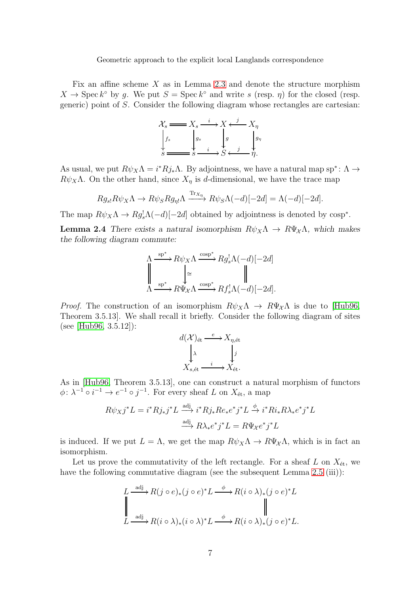Fix an affine scheme  $X$  as in Lemma [2.3](#page-49-1) and denote the structure morphism  $X \to \text{Spec } k^{\circ}$  by g. We put  $S = \text{Spec } k^{\circ}$  and write s (resp.  $\eta$ ) for the closed (resp. generic) point of S. Consider the following diagram whose rectangles are cartesian:



As usual, we put  $R\psi_X \Lambda = i^* R j_* \Lambda$ . By adjointness, we have a natural map sp<sup>∗</sup>:  $\Lambda \to$  $R\psi_X\Lambda$ . On the other hand, since  $X_\eta$  is d-dimensional, we have the trace map

$$
Rg_{s}R\psi_X\Lambda \to R\psi_S Rg_{\eta!}\Lambda \xrightarrow{\text{Tr}_{X_{\eta}}} R\psi_S\Lambda(-d)[-2d] = \Lambda(-d)[-2d].
$$

The map  $R\psi_X\Lambda \to Rg_s^!\Lambda(-d)[-2d]$  obtained by adjointness is denoted by  $\cos p^*$ .

**Lemma 2.4** There exists a natural isomorphism  $R\psi_X\Lambda \to R\Psi_{\chi}\Lambda$ , which makes the following diagram commute:

$$
\Lambda \xrightarrow{\text{sp}^*} R\psi_X \Lambda \xrightarrow{\text{cosp}^*} Rg_s^! \Lambda(-d)[-2d]
$$
  

$$
\downarrow \cong \qquad \qquad \downarrow
$$
  

$$
\Lambda \xrightarrow{\text{sp}^*} R\Psi_X \Lambda \xrightarrow{\text{cosp}^*} Rf_s^! \Lambda(-d)[-2d].
$$

*Proof.* The construction of an isomorphism  $R\psi_X\Lambda \to R\Psi_{\chi}\Lambda$  is due to [\[Hub96,](#page-52-9) Theorem 3.5.13]. We shall recall it briefly. Consider the following diagram of sites (see [\[Hub96,](#page-52-9) 3.5.12]):

$$
d(\mathcal{X})_{\text{\'et}} \xrightarrow{e} X_{\eta, \text{\'et}}
$$

$$
\downarrow^{\lambda} \qquad \qquad \downarrow^j
$$

$$
X_{s, \text{\'et}} \xrightarrow{i} X_{\text{\'et}}.
$$

As in [\[Hub96,](#page-52-9) Theorem 3.5.13], one can construct a natural morphism of functors  $\phi: \lambda^{-1} \circ i^{-1} \to e^{-1} \circ j^{-1}$ . For every sheaf L on  $X_{\text{\'et}},$  a map

$$
R\psi_X j^* L = i^* R j_* j^* L \xrightarrow{\text{adj}} i^* R j_* R e_* e^* j^* L \xrightarrow{\phi} i^* R i_* R \lambda_* e^* j^* L
$$

$$
\xrightarrow{\text{adj}} R \lambda_* e^* j^* L = R \Psi_X e^* j^* L
$$

is induced. If we put  $L = \Lambda$ , we get the map  $R\psi_X\Lambda \to R\Psi_{\chi}\Lambda$ , which is in fact an isomorphism.

Let us prove the commutativity of the left rectangle. For a sheaf L on  $X_{\text{\'et}}$ , we have the following commutative diagram (see the subsequent Lemma [2.5](#page-48-0) (iii)):

$$
L \xrightarrow{\text{adj}} R(j \circ e)_*(j \circ e)^* L \xrightarrow{\phi} R(i \circ \lambda)_*(j \circ e)^* L
$$
  

$$
\downarrow \qquad \qquad \downarrow
$$
  

$$
L \xrightarrow{\text{adj}} R(i \circ \lambda)_*(i \circ \lambda)^* L \xrightarrow{\phi} R(i \circ \lambda)_*(j \circ e)^* L.
$$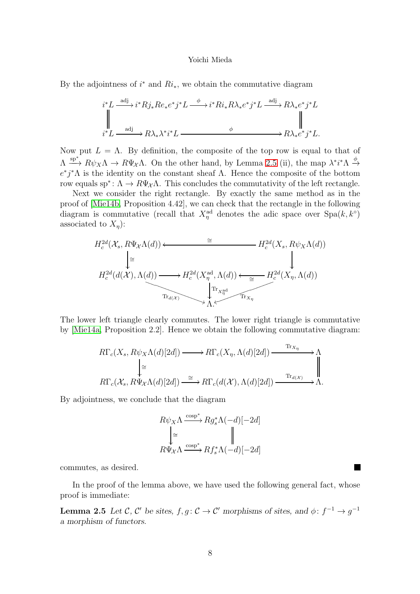By the adjointness of  $i^*$  and  $Ri_*$ , we obtain the commutative diagram

$$
i^*L \xrightarrow{\text{adj}} i^*Rj_*Re_*e^*j^*L \xrightarrow{\phi} i^*Ri_*R\lambda_*e^*j^*L \xrightarrow{\text{adj}} R\lambda_*e^*j^*L
$$
  

$$
\parallel \qquad \qquad \downarrow \qquad \qquad \downarrow
$$
  

$$
i^*L \xrightarrow{\text{adj}} R\lambda_*\lambda^*i^*L \xrightarrow{\phi} R\lambda_*e^*j^*L.
$$

Now put  $L = \Lambda$ . By definition, the composite of the top row is equal to that of  $\Lambda \stackrel{\text{sp}^*}{\longrightarrow} R\psi_X\Lambda \to R\Psi_X\Lambda$ . On the other hand, by Lemma [2.5](#page-48-0) (ii), the map  $\lambda^*i^*\Lambda \stackrel{\phi}{\to}$  $e^*j^*\Lambda$  is the identity on the constant sheaf  $\Lambda$ . Hence the composite of the bottom row equals sp<sup>∗</sup>:  $\Lambda \to R\Psi_{\chi}\Lambda$ . This concludes the commutativity of the left rectangle.

Next we consider the right rectangle. By exactly the same method as in the proof of [\[Mie14b,](#page-53-6) Proposition 4.42], we can check that the rectangle in the following diagram is commutative (recall that  $X_{\eta}^{\text{ad}}$  denotes the adic space over  $\text{Spa}(k, k^{\circ})$ associated to  $X_{\eta}$ :

$$
H_c^{2d}(\mathcal{X}_s, R\Psi_X \Lambda(d)) \longleftarrow \cong H_c^{2d}(X_s, R\psi_X \Lambda(d))
$$
\n
$$
\downarrow \cong
$$
\n
$$
H_c^{2d}(d(\mathcal{X}), \Lambda(d)) \longrightarrow H_c^{2d}(X_\eta^{ad}, \Lambda(d)) \longleftarrow H_c^{2d}(X_\eta, \Lambda(d))
$$
\n
$$
\downarrow \qquad \qquad \downarrow
$$
\n
$$
\downarrow \qquad \qquad \downarrow
$$
\n
$$
\downarrow \qquad \qquad \downarrow
$$
\n
$$
\downarrow \qquad \qquad \downarrow
$$
\n
$$
\downarrow \qquad \qquad \downarrow
$$
\n
$$
\downarrow
$$
\n
$$
\downarrow
$$
\n
$$
\downarrow
$$
\n
$$
\downarrow
$$
\n
$$
\downarrow
$$
\n
$$
\downarrow
$$
\n
$$
\downarrow
$$
\n
$$
\downarrow
$$
\n
$$
\downarrow
$$
\n
$$
\downarrow
$$
\n
$$
\downarrow
$$
\n
$$
\downarrow
$$
\n
$$
\downarrow
$$
\n
$$
\downarrow
$$
\n
$$
\downarrow
$$
\n
$$
\downarrow
$$
\n
$$
\downarrow
$$
\n
$$
\downarrow
$$
\n
$$
\downarrow
$$
\n
$$
\downarrow
$$
\n
$$
\downarrow
$$
\n
$$
\downarrow
$$
\n
$$
\downarrow
$$
\n
$$
\downarrow
$$
\n
$$
\downarrow
$$
\n
$$
\downarrow
$$
\n
$$
\downarrow
$$
\n
$$
\downarrow
$$
\n
$$
\downarrow
$$
\n
$$
\downarrow
$$
\n
$$
\downarrow
$$
\n
$$
\downarrow
$$
\n
$$
\downarrow
$$
\n
$$
\downarrow
$$
\n
$$
\downarrow
$$
\n
$$
\downarrow
$$
\n
$$
\downarrow
$$
\n
$$
\downarrow
$$
\n
$$
\downarrow
$$
\n
$$
\downarrow
$$
\n
$$
\downarrow
$$
\n
$$
\downarrow
$$
\n
$$
\downarrow
$$
\n
$$
\downarrow
$$

The lower left triangle clearly commutes. The lower right triangle is commutative by [\[Mie14a,](#page-53-10) Proposition 2.2]. Hence we obtain the following commutative diagram:

$$
R\Gamma_c(X_s, R\psi_X \Lambda(d)[2d]) \longrightarrow R\Gamma_c(X_\eta, \Lambda(d)[2d]) \xrightarrow{\text{Tr}_{X_\eta}} \Lambda
$$
  
\n
$$
\downarrow \cong
$$
  
\n
$$
R\Gamma_c(\mathcal{X}_s, R\Psi_\mathcal{X}\Lambda(d)[2d]) \xrightarrow{\cong} R\Gamma_c(d(\mathcal{X}), \Lambda(d)[2d]) \xrightarrow{\text{Tr}_{d(\mathcal{X})}} \Lambda.
$$

By adjointness, we conclude that the diagram

$$
\begin{array}{c}\nR\psi_X\Lambda\xrightarrow{\operatorname{cosp}^*} Rg_s^*\Lambda(-d)[-2d] \\
\Bigl|\cong\qquad \qquad \Bigl|\qquad \qquad \Bigl|\\\nR\Psi_X\Lambda\xrightarrow{\operatorname{cosp}^*} Rf_s^*\Lambda(-d)[-2d]\end{array}
$$

commutes, as desired.

In the proof of the lemma above, we have used the following general fact, whose proof is immediate:

**Lemma 2.5** Let C, C' be sites,  $f, g: \mathcal{C} \to \mathcal{C}'$  morphisms of sites, and  $\phi: f^{-1} \to g^{-1}$ a morphism of functors.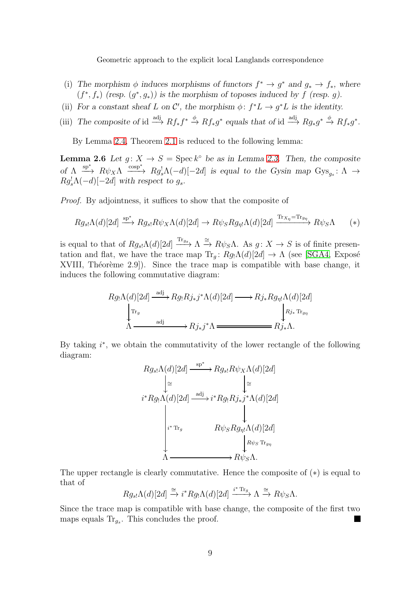- (i) The morphism  $\phi$  induces morphisms of functors  $f^* \to g^*$  and  $g_* \to f_*$ , where  $(f^*, f_*)$  (resp.  $(g^*, g_*)$ ) is the morphism of toposes induced by f (resp. g).
- (ii) For a constant sheaf L on C', the morphism  $\phi: f^*L \to g^*L$  is the identity.
- (iii) The composite of id  $\xrightarrow{\text{adj}} Rf_*f^* \xrightarrow{\phi} Rf_*g^*$  equals that of id  $\xrightarrow{\text{adj}} Rg_*g^* \xrightarrow{\phi} Rf_*g^*$ .

By Lemma [2.4,](#page-50-0) Theorem [2.1](#page-49-0) is reduced to the following lemma:

**Lemma 2.6** Let  $g: X \to S = \text{Spec } k^{\circ}$  be as in Lemma [2.3.](#page-49-1) Then, the composite of  $\Lambda \xrightarrow{\text{sp}^*} R\psi_X \Lambda \xrightarrow{\text{cosp}^*} Rg^{\dagger}_s \Lambda(-d)[-2d]$  is equal to the Gysin map  $\text{Gys}_{g_s}: \Lambda \to$  $Rg_s^{\dagger} \Lambda(-d)[-2d]$  with respect to  $g_s$ .

Proof. By adjointness, it suffices to show that the composite of

$$
Rg_{s}[\Lambda(d)[2d] \xrightarrow{\text{sp*}} Rg_{s}R\psi_X\Lambda(d)[2d] \to R\psi_S Rg_{\eta}[\Lambda(d)[2d] \xrightarrow{\text{Tr}_{X\eta}=\text{Tr}_{g\eta}} R\psi_S\Lambda \qquad (*)
$$

is equal to that of  $Rg_{s}$   $\Lambda(d)[2d] \xrightarrow{\text{Tr}_{g_s}} \Lambda \xrightarrow{\cong} R\psi_S \Lambda$ . As  $g: X \to S$  is of finite presentation and flat, we have the trace map  $\text{Tr}_q: Rg_1\Lambda(d)[2d] \to \Lambda$  (see [\[SGA4,](#page-54-0) Exposé XVIII, Théorème  $2.9$ ]). Since the trace map is compatible with base change, it induces the following commutative diagram:

$$
Rg_!\Lambda(d)[2d] \xrightarrow{\text{adj}} Rg_!\,Rj_*j^*\Lambda(d)[2d] \longrightarrow Rj_*Rg_{\eta!}\Lambda(d)[2d] \\
\downarrow^{\text{Tr}_g} \qquad \qquad \downarrow^{\text{R}j_*\text{Tr}_{g_{\eta}}} \\
\Lambda \xrightarrow{\text{adj}} Rj_*j^*\Lambda \xrightarrow{\text{adj}} Rj_*\Lambda.
$$

By taking  $i^*$ , we obtain the commutativity of the lower rectangle of the following diagram:

$$
Rg_{s} \Lambda(d)[2d] \xrightarrow{\text{sp}^*} Rg_{s} \Lambda(d)[2d]
$$
\n
$$
i^* Rg \Lambda(d)[2d] \xrightarrow{\text{adj}} i^* Rg_! Rj_*j^* \Lambda(d)[2d]
$$
\n
$$
i^* \text{Tr}_g \qquad R\psi_S Rg_{\eta!} \Lambda(d)[2d]
$$
\n
$$
i^* \text{Tr}_g \qquad R\psi_S Rg_{\eta!} \Lambda(d)[2d]
$$
\n
$$
R\psi_S \text{Tr}_{g_{\eta}}
$$
\n
$$
\Lambda \xrightarrow{\text{im}} R\psi_S \Lambda.
$$

The upper rectangle is clearly commutative. Hence the composite of (∗) is equal to that of

$$
Rg_{s} \Lambda(d)[2d] \xrightarrow{\cong} i^* Rg_! \Lambda(d)[2d] \xrightarrow{i^* \text{Tr}_g} \Lambda \xrightarrow{\cong} R\psi_S \Lambda.
$$

Since the trace map is compatible with base change, the composite of the first two maps equals  $\text{Tr}_{g_s}$ . This concludes the proof.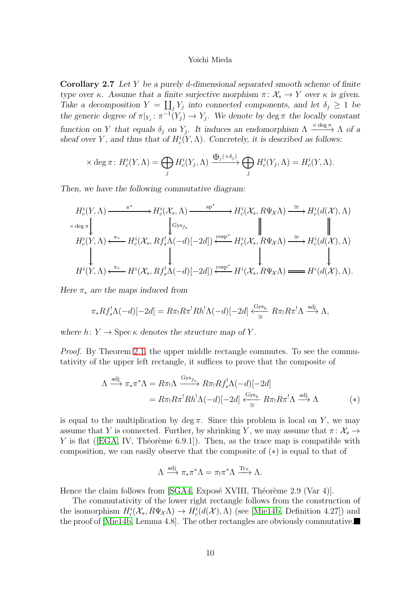Corollary 2.7 Let Y be a purely d-dimensional separated smooth scheme of finite type over κ. Assume that a finite surjective morphism  $\pi: \mathcal{X}_s \to Y$  over κ is given. Take a decomposition  $Y = \coprod_j Y_j$  into connected components, and let  $\delta_j \geq 1$  be the generic degree of  $\pi|_{Y_j} : \pi^{-1}(Y_j) \to Y_j$ . We denote by deg  $\pi$  the locally constant function on Y that equals  $\delta_j$  on  $Y_j$ . It induces an endomorphism  $\Lambda \xrightarrow{\times \deg \pi} \Lambda$  of a sheaf over Y, and thus that of  $H_c^i(Y, \Lambda)$ . Concretely, it is described as follows:

$$
\times \deg \pi \colon H_c^i(Y, \Lambda) = \bigoplus_j H_c^i(Y_j, \Lambda) \xrightarrow{\bigoplus_j (\times \delta_j)} \bigoplus_j H_c^i(Y_j, \Lambda) = H_c^i(Y, \Lambda).
$$

Then, we have the following commutative diagram:

$$
H_c^i(Y, \Lambda) \xrightarrow{\pi^*} H_c^i(\mathcal{X}_s, \Lambda) \xrightarrow{\text{sp}^*} H_c^i(\mathcal{X}_s, R\Psi_{\mathcal{X}}\Lambda) \xrightarrow{\cong} H_c^i(d(\mathcal{X}), \Lambda)
$$
  
\n
$$
\times \deg \pi \downarrow \qquad \qquad \downarrow \qquad \qquad \downarrow \qquad \qquad \downarrow \qquad \qquad \downarrow \qquad \qquad \parallel
$$
  
\n
$$
H_c^i(Y, \Lambda) \xleftarrow{\pi_*} H_c^i(\mathcal{X}_s, Rf_s^{\dagger} \Lambda(-d)[-2d]) \xleftarrow{\text{cosp}^*} H_c^i(\mathcal{X}_s, R\Psi_{\mathcal{X}}\Lambda) \xrightarrow{\cong} H_c^i(d(\mathcal{X}), \Lambda)
$$
  
\n
$$
\downarrow \qquad \qquad \downarrow \qquad \qquad \downarrow \qquad \qquad \downarrow \qquad \qquad \downarrow \qquad \qquad \downarrow
$$
  
\n
$$
H^i(Y, \Lambda) \xleftarrow{\pi_*} H^i(\mathcal{X}_s, Rf_s^{\dagger} \Lambda(-d)[-2d]) \xleftarrow{\text{cosp}^*} H^i(\mathcal{X}_s, R\Psi_{\mathcal{X}}\Lambda) \xrightarrow{\cong} H^i(d(\mathcal{X}), \Lambda).
$$

Here  $\pi_*$  are the maps induced from

$$
\pi_* R f_s^! \Lambda(-d)[-2d] = R \pi_! R \pi^! R h^! \Lambda(-d)[-2d] \stackrel{\text{Gys}_h}{\leq} R \pi_! R \pi^! \Lambda \stackrel{\text{adj}}{\longrightarrow} \Lambda,
$$

where  $h: Y \to \text{Spec } \kappa$  denotes the structure map of Y.

*Proof.* By Theorem [2.1,](#page-49-0) the upper middle rectangle commutes. To see the commutativity of the upper left rectangle, it suffices to prove that the composite of

$$
\Lambda \xrightarrow{\text{adj}} \pi_* \pi^* \Lambda = R \pi_! \Lambda \xrightarrow{\text{Gys}_{fs}} R \pi_! R f_s^! \Lambda (-d) [-2d]
$$
  
=  $R \pi_! R \pi^! R h^! \Lambda (-d) [-2d] \xleftarrow{\text{Gys}_h} R \pi_! R \pi^! \Lambda \xrightarrow{\text{adj}} \Lambda$  (\*)

is equal to the multiplication by deg  $\pi$ . Since this problem is local on Y, we may assume that Y is connected. Further, by shrinking Y, we may assume that  $\pi: \mathcal{X}_s \to$ Yis flat ([\[EGA,](#page-53-9) IV, Théorème 6.9.1]). Then, as the trace map is compatible with composition, we can easily observe that the composite of (∗) is equal to that of

$$
\Lambda \xrightarrow{\mathrm{adj}} \pi_* \pi^* \Lambda = \pi_! \pi^* \Lambda \xrightarrow{\mathrm{Tr}_{\pi}} \Lambda.
$$

Hence the claim follows from  $[\text{SGA4}, \text{Expose }$  XVIII, Théorème 2.9 (Var 4)].

The commutativity of the lower right rectangle follows from the construction of the isomorphism  $H_c^i(\mathcal{X}_s, R\Psi_{\mathcal{X}}\Lambda) \to H_c^i(d(\mathcal{X}), \Lambda)$  (see [\[Mie14b,](#page-53-6) Definition 4.27]) and the proof of [\[Mie14b,](#page-53-6) Lemma 4.8]. The other rectangles are obviously commutative.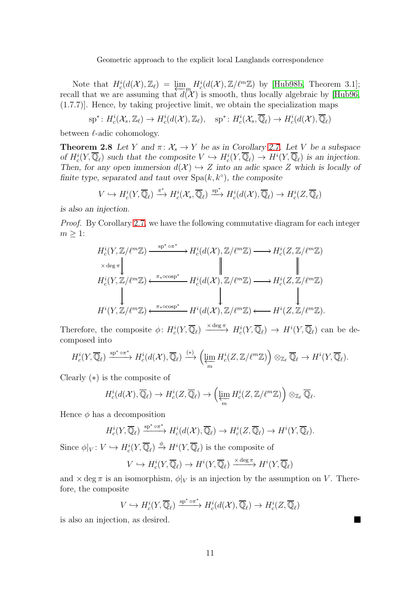Note that  $H_c^i(d(\mathcal{X}), \mathbb{Z}_\ell) = \varprojlim_m H_c^i(d(\mathcal{X}), \mathbb{Z}/\ell^m \mathbb{Z})$  by [\[Hub98b,](#page-52-12) Theorem 3.1];<br>all that we are assuming that  $d(\mathcal{X})$  is smooth thus locally algebraic by [Hub96] recall that we are assuming that  $d(\mathcal{X})$  is smooth, thus locally algebraic by [\[Hub96,](#page-52-9) (1.7.7)]. Hence, by taking projective limit, we obtain the specialization maps

 $\mathrm{sp}^*\colon H^i_c(\mathcal{X}_s,\mathbb{Z}_\ell)\to H^i_c(d(\mathcal{X}),\mathbb{Z}_\ell),\quad \mathrm{sp}^*\colon H^i_c(\mathcal{X}_s,\overline{\mathbb{Q}}_\ell)\to H^i_c(d(\mathcal{X}),\overline{\mathbb{Q}}_\ell)$ 

between  $\ell$ -adic cohomology.

**Theorem 2.8** Let Y and  $\pi: \mathcal{X}_s \to Y$  be as in Corollary [2.7.](#page-42-0) Let V be a subspace of  $H_c^i(Y, \overline{\mathbb{Q}}_\ell)$  such that the composite  $V \hookrightarrow H_c^i(Y, \overline{\mathbb{Q}}_\ell) \to H^i(Y, \overline{\mathbb{Q}}_\ell)$  is an injection. Then, for any open immersion  $d(\mathcal{X}) \hookrightarrow Z$  into an adic space Z which is locally of finite type, separated and taut over  $Spa(k, k^{\circ})$ , the composite

$$
V \hookrightarrow H_c^i(Y, \overline{\mathbb{Q}}_{\ell}) \xrightarrow{\pi^*} H_c^i(\mathcal{X}_s, \overline{\mathbb{Q}}_{\ell}) \xrightarrow{\text{sp}^*} H_c^i(d(\mathcal{X}), \overline{\mathbb{Q}}_{\ell}) \to H_c^i(Z, \overline{\mathbb{Q}}_{\ell})
$$

is also an injection.

Proof. By Corollary [2.7,](#page-42-0) we have the following commutative diagram for each integer  $m \geq 1$ :

$$
H_c^i(Y, \mathbb{Z}/\ell^m \mathbb{Z}) \xrightarrow{\text{sp* or*}} H_c^i(d(\mathcal{X}), \mathbb{Z}/\ell^m \mathbb{Z}) \longrightarrow H_c^i(Z, \mathbb{Z}/\ell^m \mathbb{Z})
$$
  
\n
$$
\times \deg \pi \downarrow \qquad \qquad \parallel \qquad \qquad \parallel
$$
  
\n
$$
H_c^i(Y, \mathbb{Z}/\ell^m \mathbb{Z}) \xleftarrow{\pi_* \circ \text{cosp*}} H_c^i(d(\mathcal{X}), \mathbb{Z}/\ell^m \mathbb{Z}) \longrightarrow H_c^i(Z, \mathbb{Z}/\ell^m \mathbb{Z})
$$
  
\n
$$
\downarrow \qquad \qquad \downarrow \qquad \qquad \downarrow
$$
  
\n
$$
H^i(Y, \mathbb{Z}/\ell^m \mathbb{Z}) \xleftarrow{\pi_* \circ \text{cosp*}} H^i(d(\mathcal{X}), \mathbb{Z}/\ell^m \mathbb{Z}) \longleftarrow H^i(Z, \mathbb{Z}/\ell^m \mathbb{Z}).
$$

Therefore, the composite  $\phi\colon H_c^i(Y,\overline{\mathbb{Q}}_\ell) \xrightarrow{\times \text{deg }\pi} H_c^i(Y,\overline{\mathbb{Q}}_\ell) \to H^i(Y,\overline{\mathbb{Q}}_\ell)$  can be decomposed into

$$
H_c^i(Y, \overline{\mathbb{Q}}_{\ell}) \xrightarrow{\text{sp*} \circ \pi^*} H_c^i(d(\mathcal{X}), \overline{\mathbb{Q}}_{\ell}) \xrightarrow{(*)} \left( \varprojlim_m H_c^i(Z, \mathbb{Z}/\ell^m \mathbb{Z}) \right) \otimes_{\mathbb{Z}_{\ell}} \overline{\mathbb{Q}}_{\ell} \to H^i(Y, \overline{\mathbb{Q}}_{\ell}).
$$

Clearly (∗) is the composite of

$$
H_c^i(d(\mathcal{X}), \overline{\mathbb{Q}}_\ell) \to H_c^i(Z, \overline{\mathbb{Q}}_\ell) \to \left(\varprojlim_m H_c^i(Z, \mathbb{Z}/\ell^m \mathbb{Z})\right) \otimes_{\mathbb{Z}_\ell} \overline{\mathbb{Q}}_\ell.
$$

Hence  $\phi$  has a decomposition

$$
H_c^i(Y, \overline{\mathbb{Q}}_\ell) \xrightarrow{\text{sp}^* \circ \pi^*} H_c^i(d(\mathcal{X}), \overline{\mathbb{Q}}_\ell) \to H_c^i(Z, \overline{\mathbb{Q}}_\ell) \to H^i(Y, \overline{\mathbb{Q}}_\ell).
$$

Since  $\phi|_V: V \hookrightarrow H_c^i(Y, \overline{\mathbb{Q}}_\ell) \stackrel{\phi}{\rightarrow} H^i(Y, \overline{\mathbb{Q}}_\ell)$  is the composite of

$$
V \hookrightarrow H_c^i(Y, \overline{\mathbb{Q}}_{\ell}) \to H^i(Y, \overline{\mathbb{Q}}_{\ell}) \xrightarrow{\times \deg \pi} H^i(Y, \overline{\mathbb{Q}}_{\ell})
$$

and  $\times$  deg  $\pi$  is an isomorphism,  $\phi|_V$  is an injection by the assumption on V. Therefore, the composite

$$
V \hookrightarrow H_c^i(Y, \overline{\mathbb{Q}}_{\ell}) \xrightarrow{\text{sp}^* \circ \pi^*} H_c^i(d(\mathcal{X}), \overline{\mathbb{Q}}_{\ell}) \to H_c^i(Z, \overline{\mathbb{Q}}_{\ell})
$$

 $\blacksquare$ 

is also an injection, as desired.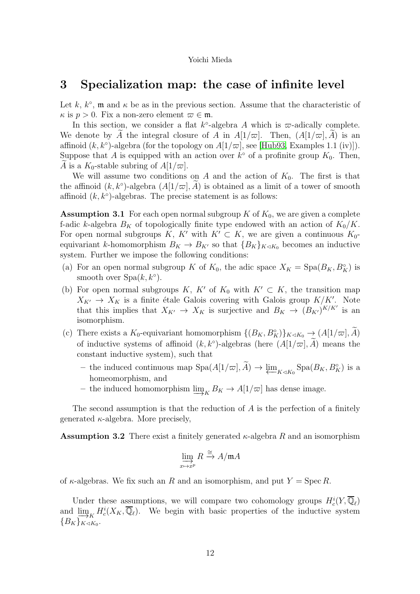## <span id="page-11-0"></span>3 Specialization map: the case of infinite level

Let k,  $k^{\circ}$ , m and  $\kappa$  be as in the previous section. Assume that the characteristic of  $\kappa$  is  $p > 0$ . Fix a non-zero element  $\varpi \in \mathfrak{m}$ .

In this section, we consider a flat  $k^{\circ}$ -algebra A which is  $\varpi$ -adically complete. We denote by A the integral closure of A in  $A[1/\varpi]$ . Then,  $(A[1/\varpi], A)$  is an affinoid  $(k, k^{\circ})$ -algebra (for the topology on  $A[1/\varpi]$ , see [\[Hub93,](#page-52-13) Examples 1.1 (iv)]). Suppose that A is equipped with an action over  $k^{\circ}$  of a profinite group  $K_0$ . Then, A is a  $K_0$ -stable subring of  $A[1/\varpi]$ .

We will assume two conditions on A and the action of  $K_0$ . The first is that the affinoid  $(k, k^{\circ})$ -algebra  $(A[1/\varpi], \tilde{A})$  is obtained as a limit of a tower of smooth affinoid  $(k, k<sup>°</sup>)$ -algebras. The precise statement is as follows:

**Assumption 3.1** For each open normal subgroup  $K$  of  $K_0$ , we are given a complete f-adic k-algebra  $B_K$  of topologically finite type endowed with an action of  $K_0/K$ . For open normal subgroups K, K' with  $K' \subset K$ , we are given a continuous  $K_0$ equivariant k-homomorphism  $B_K \to B_{K'}$  so that  ${B_K}_{K \lhd K_0}$  becomes an inductive system. Further we impose the following conditions:

- (a) For an open normal subgroup K of  $K_0$ , the adic space  $X_K = \text{Spa}(B_K, B_K^{\circ})$  is smooth over  $Spa(k, k^{\circ}).$
- (b) For open normal subgroups K, K' of  $K_0$  with  $K' \subset K$ , the transition map  $X_{K'} \to X_K$  is a finite étale Galois covering with Galois group  $K/K'$ . Note that this implies that  $X_{K'} \to X_K$  is surjective and  $B_K \to (B_{K'})^{K/K'}$  is an isomorphism.
- (c) There exists a  $K_0$ -equivariant homomorphism  $\{(B_K, B_K^{\circ})\}_{K\triangleleft K_0}\to (A[1/\varpi], \tilde{A})$ of inductive systems of affinoid  $(k, k^{\circ})$ -algebras (here  $(A[1/\varpi], A)$ ) means the constant inductive system), such that
	- the induced continuous map  $Spa(A[1/\varpi], \tilde{A}) \to \underleftarrow{\lim}_{K \triangleleft K_0} Spa(B_K, B_K^{\circ})$  is a homomorphism and homeomorphism, and
	- the induced homomorphism  $\varinjlim_{K} B_K \to A[1/\varpi]$  has dense image.

The second assumption is that the reduction of  $A$  is the perfection of a finitely generated  $\kappa$ -algebra. More precisely,

**Assumption 3.2** There exist a finitely generated  $\kappa$ -algebra R and an isomorphism

$$
\varinjlim_{x\mapsto x^p} R \xrightarrow{\cong} A/\mathfrak{m} A
$$

of  $\kappa$ -algebras. We fix such an R and an isomorphism, and put  $Y = \operatorname{Spec} R$ .

Under these assumptions, we will compare two cohomology groups  $H_c^i(Y, \overline{\mathbb{Q}}_\ell)$ and  $\lim_{\substack{\longrightarrow \\ \Omega_K \to \infty}} H_c^i(X_K, \overline{\mathbb{Q}}_\ell)$ . We begin with basic properties of the inductive system  ${B_K}_{K \triangleleft K_0}.$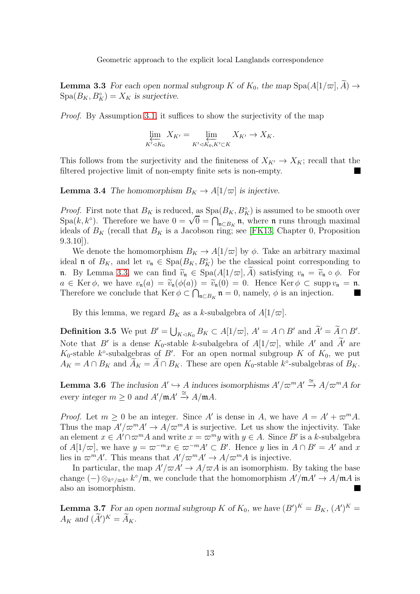**Lemma 3.3** For each open normal subgroup K of  $K_0$ , the map  $\text{Spa}(A[1/\varpi], \widetilde{A}) \rightarrow$  $Spa(B_K, B_K^{\circ}) = X_K$  is surjective.

Proof. By Assumption [3.1,](#page-49-0) it suffices to show the surjectivity of the map

$$
\varprojlim_{K' \lhd K_0} X_{K'} = \varprojlim_{K' \lhd K_0, K' \subset K} X_{K'} \to X_K.
$$

This follows from the surjectivity and the finiteness of  $X_{K'} \to X_K$ ; recall that the filtered projective limit of non-empty finite sets is non-empty.

**Lemma 3.4** The homomorphism  $B_K \to A[1/\varpi]$  is injective.

*Proof.* First note that  $B_K$  is reduced, as  $Spa(B_K, B_K^{\circ})$  is assumed to be smooth over Spa $(k, k^{\circ})$ . Therefore we have  $0 = \sqrt{0} = \bigcap_{\mathfrak{n} \subset B_K} \mathfrak{n}$ , where  $\mathfrak{n}$  runs through maximal ideals of  $B_K$  (recall that  $B_K$  is a Jacobson ring; see [\[FK13,](#page-52-11) Chapter 0, Proposition  $(9.3.10)$ .

We denote the homomorphism  $B_K \to A[1/\varpi]$  by  $\phi$ . Take an arbitrary maximal ideal **n** of  $B_K$ , and let  $v_{\mathfrak{n}} \in \text{Spa}(B_K, B_K^{\circ})$  be the classical point corresponding to n. By Lemma [3.3,](#page-49-1) we can find  $\tilde{v}_n \in \text{Spa}(A[1/\varpi], \tilde{A})$  satisfying  $v_n = \tilde{v}_n \circ \phi$ . For  $a \in \text{Ker } \phi$ , we have  $v_{\mathfrak{n}}(a) = \tilde{v}_{\mathfrak{n}}(\phi(a)) = \tilde{v}_{\mathfrak{n}}(0) = 0$ . Hence  $\text{Ker } \phi \subset \text{supp } v_{\mathfrak{n}} = \mathfrak{n}$ .<br>Therefore we conclude that  $\text{Ker } \phi \subset \bigcap_{\mathfrak{n}} \mathfrak{n} = 0$  namely  $\phi$  is an injection Therefore we conclude that  $\text{Ker } \phi \subset \bigcap_{\mathfrak{n} \subset B_K} \mathfrak{n} = 0$ , namely,  $\phi$  is an injection.

By this lemma, we regard  $B_K$  as a k-subalgebra of  $A[1/\varpi]$ .

**Definition 3.5** We put  $B' = \bigcup_{K \triangleleft K_0} B_K \subset A[1/\varpi], A' = A \cap B'$  and  $\widetilde{A}' = \widetilde{A} \cap B'$ . Note that B' is a dense  $K_0$ -stable k-subalgebra of  $A[1/\varpi]$ , while A' and A' are K<sub>0</sub>-stable k<sup>o</sup>-subalgebras of B'. For an open normal subgroup K of  $K_0$ , we put  $A_K = A \cap B_K$  and  $A_K = A \cap B_K$ . These are open  $K_0$ -stable  $k^{\circ}$ -subalgebras of  $B_K$ .

**Lemma 3.6** The inclusion  $A' \hookrightarrow A$  induces isomorphisms  $A'/\varpi^m A' \stackrel{\cong}{\rightarrow} A/\varpi^m A$  for every integer  $m \geq 0$  and  $A'/mA' \stackrel{\cong}{\rightarrow} A/mA$ .

*Proof.* Let  $m \geq 0$  be an integer. Since A' is dense in A, we have  $A = A' + \varpi^m A$ . Thus the map  $A'/\overline{\omega}^m A' \rightarrow A/\overline{\omega}^m A$  is surjective. Let us show the injectivity. Take an element  $x \in A' \cap \varpi^m A$  and write  $x = \varpi^m y$  with  $y \in A$ . Since B' is a k-subalgebra of  $A[1/\varpi]$ , we have  $y = \varpi^{-m}x \in \varpi^{-m}A' \subset B'$ . Hence y lies in  $A \cap B' = A'$  and x lies in  $\varpi^{m} A'$ . This means that  $A'/\varpi^{m} A' \to A/\varpi^{m} A$  is injective.

In particular, the map  $A'/\varpi A' \rightarrow A/\varpi A$  is an isomorphism. By taking the base change  $(-) \otimes_{k^{\circ}/\varpi k^{\circ}} k^{\circ}/\mathfrak{m}$ , we conclude that the homomorphism  $A'/\mathfrak{m}A' \to A/\mathfrak{m}A$  is also an isomorphism.

**Lemma 3.7** For an open normal subgroup K of  $K_0$ , we have  $(B')^K = B_K$ ,  $(A')^K =$  $A_K$  and  $(\tilde{A}')^K = A_K$ .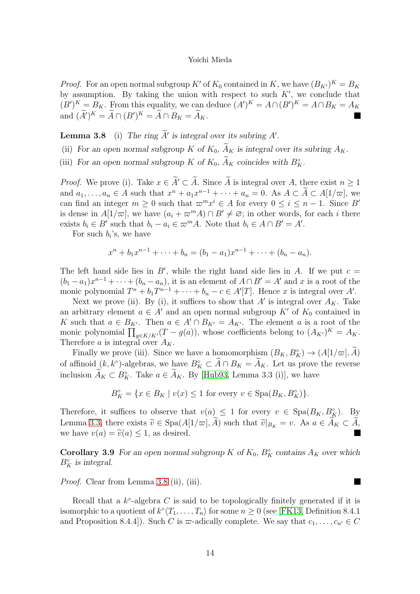*Proof.* For an open normal subgroup K' of  $K_0$  contained in K, we have  $(B_{K'})^K = B_K$ by assumption. By taking the union with respect to such  $K'$ , we conclude that  $(B')^K = B_K$ . From this equality, we can deduce  $(A')^K = A \cap (B')^K = A \cap B_K = A_K$ and  $(A')^K = A \cap (B')^K = A \cap B_K = A_K$ .

**Lemma 3.8** (i) The ring  $\hat{A}'$  is integral over its subring  $A'$ .

(ii) For an open normal subgroup K of  $K_0$ ,  $\widetilde{A}_K$  is integral over its subring  $A_K$ .

(iii) For an open normal subgroup K of  $K_0$ ,  $\overline{A}_K$  coincides with  $B_K^{\circ}$ .

*Proof.* We prove (i). Take  $x \in \tilde{A}' \subset \tilde{A}$ . Since  $\tilde{A}$  is integral over A, there exist  $n \geq 1$ and  $a_1, \ldots, a_n \in A$  such that  $x^n + a_1 x^{n-1} + \cdots + a_n = 0$ . As  $A \subset A \subset A[1/\varpi]$ , we can find an integer  $m \geq 0$  such that  $\varpi^m x^i \in A$  for every  $0 \leq i \leq n-1$ . Since B' is dense in  $A[1/\varpi]$ , we have  $(a_i + \varpi^m A) \cap B' \neq \varnothing$ ; in other words, for each i there exists  $b_i \in B'$  such that  $b_i - a_i \in \varpi^m A$ . Note that  $b_i \in A \cap B' = A'$ .

For such  $b_i$ 's, we have

$$
x^{n} + b_{1}x^{n-1} + \cdots + b_{n} = (b_{1} - a_{1})x^{n-1} + \cdots + (b_{n} - a_{n}).
$$

The left hand side lies in  $B'$ , while the right hand side lies in A. If we put  $c =$  $(b_1 - a_1)x^{n-1} + \cdots + (b_n - a_n)$ , it is an element of  $A \cap B' = A'$  and x is a root of the monic polynomial  $T^n + b_1 T^{n-1} + \cdots + b_n - c \in A'[T]$ . Hence x is integral over A'.

Next we prove (ii). By (i), it suffices to show that  $A'$  is integral over  $A_K$ . Take an arbitrary element  $a \in A'$  and an open normal subgroup K' of  $K_0$  contained in K such that  $a \in B_{K'}$ . Then  $a \in A' \cap B_{K'} = A_{K'}$ . The element a is a root of the monic polynomial  $\prod_{g \in K/K'}(T - g(a))$ , whose coefficients belong to  $(A_{K'})^K = A_K$ . Therefore a is integral over  $A_K$ .

Finally we prove (iii). Since we have a homomorphism  $(B_K, B_K^{\circ}) \to (A[1/\varpi], \tilde{A})$ of affinoid  $(k, k^{\circ})$ -algebras, we have  $B_K^{\circ} \subset A \cap B_K = A_K$ . Let us prove the reverse inclusion  $A_K \subset B_K^{\circ}$ . Take  $a \in A_K$ . By [\[Hub93,](#page-52-13) Lemma 3.3 (i)], we have

$$
B_K^{\circ} = \{ x \in B_K \mid v(x) \le 1 \text{ for every } v \in \text{Spa}(B_K, B_K^{\circ}) \}.
$$

Therefore, it suffices to observe that  $v(a) \leq 1$  for every  $v \in \text{Spa}(B_K, B_K^{\circ})$ . By Lemma [3.3,](#page-49-1) there exists  $\tilde{v} \in \text{Spa}(A[1/\varpi], \tilde{A})$  such that  $\tilde{v}|_{B_K} = v$ . As  $a \in A_K \subset \tilde{A}$ , we have  $v(a) = \tilde{v}(a) \leq 1$ , as desired.

**Corollary 3.9** For an open normal subgroup K of  $K_0$ ,  $B_K^{\circ}$  contains  $A_K$  over which  $B_K^{\circ}$  is integral.

Proof. Clear from Lemma [3.8](#page-43-0) (ii), (iii).

Recall that a  $k^{\circ}$ -algebra C is said to be topologically finitely generated if it is isomorphic to a quotient of  $k^{\circ} \langle T_1, \ldots, T_n \rangle$  for some  $n \geq 0$  (see [\[FK13,](#page-52-11) Definition 8.4.1] and Proposition 8.4.4]). Such C is  $\varpi$ -adically complete. We say that  $c_1, \ldots, c_{n'} \in C$ 

 $\blacksquare$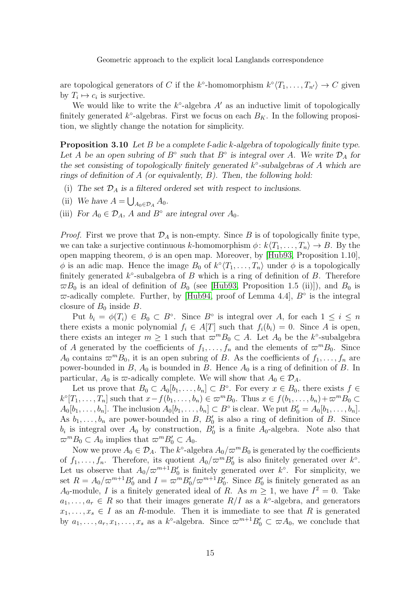are topological generators of C if the k<sup>°</sup>-homomorphism  $k^{\circ} \langle T_1, \ldots, T_{n'} \rangle \to C$  given by  $T_i \mapsto c_i$  is surjective.

We would like to write the  $k^{\circ}$ -algebra  $A'$  as an inductive limit of topologically finitely generated  $k^{\circ}$ -algebras. First we focus on each  $B_K$ . In the following proposition, we slightly change the notation for simplicity.

**Proposition 3.10** Let B be a complete f-adic k-algebra of topologically finite type. Let A be an open subring of  $B^{\circ}$  such that  $B^{\circ}$  is integral over A. We write  $\mathcal{D}_A$  for the set consisting of topologically finitely generated  $k^{\circ}$ -subalgebras of A which are rings of definition of A (or equivalently,  $B$ ). Then, the following hold:

- (i) The set  $\mathcal{D}_A$  is a filtered ordered set with respect to inclusions.
- (ii) We have  $A = \bigcup_{A_0 \in \mathcal{D}_A} A_0$ .
- (iii) For  $A_0 \in \mathcal{D}_A$ , A and  $B^{\circ}$  are integral over  $A_0$ .

*Proof.* First we prove that  $\mathcal{D}_A$  is non-empty. Since B is of topologically finite type, we can take a surjective continuous k-homomorphism  $\phi: k\langle T_1, \ldots, T_n \rangle \to B$ . By the open mapping theorem,  $\phi$  is an open map. Moreover, by [\[Hub93,](#page-52-13) Proposition 1.10],  $\phi$  is an adic map. Hence the image  $B_0$  of  $k^{\circ}(T_1, \ldots, T_n)$  under  $\phi$  is a topologically finitely generated  $k^{\circ}$ -subalgebra of B which is a ring of definition of B. Therefore  $\varpi B_0$  is an ideal of definition of  $B_0$  (see [\[Hub93,](#page-52-13) Proposition 1.5 (ii)]), and  $B_0$  is  $\varpi$ -adically complete. Further, by [\[Hub94,](#page-52-14) proof of Lemma 4.4],  $B^{\circ}$  is the integral closure of  $B_0$  inside  $B$ .

Put  $b_i = \phi(T_i) \in B_0 \subset B^{\circ}$ . Since  $B^{\circ}$  is integral over A, for each  $1 \leq i \leq n$ there exists a monic polynomial  $f_i \in A[T]$  such that  $f_i(b_i) = 0$ . Since A is open, there exists an integer  $m \geq 1$  such that  $\varpi^{m} B_{0} \subset A$ . Let  $A_{0}$  be the k°-subalgebra of A generated by the coefficients of  $f_1, \ldots, f_n$  and the elements of  $\varpi^m B_0$ . Since  $A_0$  contains  $\varpi^{m}B_0$ , it is an open subring of B. As the coefficients of  $f_1, \ldots, f_n$  are power-bounded in B,  $A_0$  is bounded in B. Hence  $A_0$  is a ring of definition of B. In particular,  $A_0$  is  $\varpi$ -adically complete. We will show that  $A_0 \in \mathcal{D}_A$ .

Let us prove that  $B_0 \subset A_0[b_1,\ldots,b_n] \subset B^{\circ}$ . For every  $x \in B_0$ , there exists  $f \in$  $k^{\circ}[T_1,\ldots,T_n]$  such that  $x-f(b_1,\ldots,b_n)\in \varpi^mB_0$ . Thus  $x\in f(b_1,\ldots,b_n)+\varpi^mB_0\subset$  $A_0[b_1,\ldots,b_n]$ . The inclusion  $A_0[b_1,\ldots,b_n] \subset B^{\circ}$  is clear. We put  $B'_0 = A_0[b_1,\ldots,b_n]$ . As  $b_1, \ldots, b_n$  are power-bounded in B,  $B'_0$  is also a ring of definition of B. Since  $b_i$  is integral over  $A_0$  by construction,  $B'_0$  is a finite  $A_0$ -algebra. Note also that  $\overline{\omega}^m B_0 \subset A_0$  implies that  $\overline{\omega}^m B'_0 \subset A_0$ .

Now we prove  $A_0 \in \mathcal{D}_A$ . The k°-algebra  $A_0/\varpi^m B_0$  is generated by the coefficients of  $f_1, \ldots, f_n$ . Therefore, its quotient  $A_0 / \varpi^m B_0'$  is also finitely generated over  $k^{\circ}$ . Let us observe that  $A_0/\varpi^{m+1}B'_0$  is finitely generated over  $k^{\circ}$ . For simplicity, we set  $R = A_0 / \varpi^{m+1} B_0'$  and  $I = \varpi^m B_0' / \varpi^{m+1} B_0'$ . Since  $B_0'$  is finitely generated as an  $A_0$ -module, I is a finitely generated ideal of R. As  $m \geq 1$ , we have  $I^2 = 0$ . Take  $a_1, \ldots, a_r \in R$  so that their images generate  $R/I$  as a  $k^{\circ}$ -algebra, and generators  $x_1, \ldots, x_s \in I$  as an R-module. Then it is immediate to see that R is generated by  $a_1, \ldots, a_r, x_1, \ldots, x_s$  as a  $k^{\circ}$ -algebra. Since  $\varpi^{m+1}B'_0 \subset \varpi A_0$ , we conclude that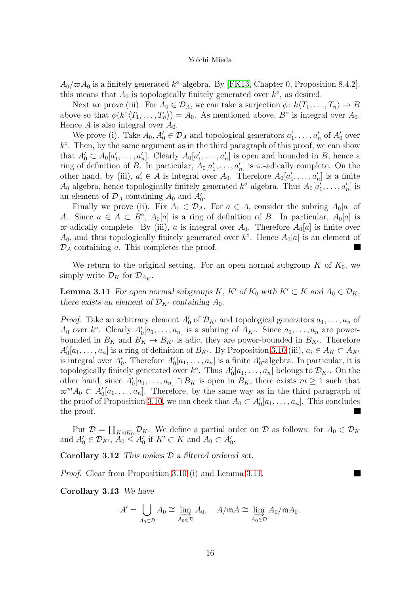$A_0/\varpi A_0$  is a finitely generated  $k^{\circ}$ -algebra. By [\[FK13,](#page-52-11) Chapter 0, Proposition 8.4.2], this means that  $A_0$  is topologically finitely generated over  $k^{\circ}$ , as desired.

Next we prove (iii). For  $A_0 \in \mathcal{D}_A$ , we can take a surjection  $\phi: k\langle T_1, \ldots, T_n \rangle \to B$ above so that  $\phi(k^{\circ} \langle T_1, \ldots, T_n \rangle) = A_0$ . As mentioned above,  $B^{\circ}$  is integral over  $A_0$ . Hence A is also integral over  $A_0$ .

We prove (i). Take  $A_0, A'_0 \in \mathcal{D}_A$  and topological generators  $a'_1, \ldots, a'_n$  of  $A'_0$  over  $k^{\circ}$ . Then, by the same argument as in the third paragraph of this proof, we can show that  $A'_0 \subset A_0[a'_1,\ldots,a'_n]$ . Clearly  $A_0[a'_1,\ldots,a'_n]$  is open and bounded in B, hence a ring of definition of B. In particular,  $A_0[a'_1,\ldots,a'_n]$  is  $\varpi$ -adically complete. On the other hand, by (iii),  $a'_i \in A$  is integral over  $A_0$ . Therefore  $A_0[a'_1, \ldots, a'_n]$  is a finite  $A_0$ -algebra, hence topologically finitely generated  $k^{\circ}$ -algebra. Thus  $A_0[a'_1, \ldots, a'_n]$  is an element of  $\mathcal{D}_A$  containing  $A_0$  and  $A'_0$ .

Finally we prove (ii). Fix  $A_0 \in \mathcal{D}_A$ . For  $a \in A$ , consider the subring  $A_0[a]$  of A. Since  $a \in A \subset B^{\circ}$ ,  $A_0[a]$  is a ring of definition of B. In particular,  $A_0[a]$  is  $\varpi$ -adically complete. By (iii), a is integral over  $A_0$ . Therefore  $A_0[a]$  is finite over  $A_0$ , and thus topologically finitely generated over  $k^{\circ}$ . Hence  $A_0[a]$  is an element of  $\mathcal{D}_A$  containing a. This completes the proof.

We return to the original setting. For an open normal subgroup  $K$  of  $K_0$ , we simply write  $\mathcal{D}_K$  for  $\mathcal{D}_{A_K}$ .

**Lemma 3.11** For open normal subgroups K, K' of  $K_0$  with  $K' \subset K$  and  $A_0 \in \mathcal{D}_K$ , there exists an element of  $\mathcal{D}_{K'}$  containing  $A_0$ .

*Proof.* Take an arbitrary element  $A'_0$  of  $\mathcal{D}_{K'}$  and topological generators  $a_1, \ldots, a_n$  of  $A_0$  over  $k^{\circ}$ . Clearly  $A'_0[a_1,\ldots,a_n]$  is a subring of  $A_{K'}$ . Since  $a_1,\ldots,a_n$  are powerbounded in  $B_K$  and  $B_K \to B_{K'}$  is adic, they are power-bounded in  $B_{K'}$ . Therefore  $A'_0[a_1,\ldots,a_n]$  is a ring of definition of  $B_{K'}$ . By Proposition [3.10](#page-45-0) (iii),  $a_i \in A_K \subset A_{K'}$ is integral over  $A'_0$ . Therefore  $A'_0[a_1,\ldots,a_n]$  is a finite  $A'_0$ -algebra. In particular, it is topologically finitely generated over  $k^{\circ}$ . Thus  $A'_0[a_1, \ldots, a_n]$  belongs to  $\mathcal{D}_{K'}$ . On the other hand, since  $A'_0[a_1,\ldots,a_n] \cap B_K$  is open in  $B_K$ , there exists  $m \geq 1$  such that  $\varpi^{m}A_{0} \subset A_{0}'[a_{1},...,a_{n}].$  Therefore, by the same way as in the third paragraph of the proof of Proposition [3.10,](#page-45-0) we can check that  $A_0 \subset A'_0[a_1, \ldots, a_n]$ . This concludes the proof. П

Put  $\mathcal{D} = \coprod_{K \triangleleft K_0} \mathcal{D}_K$ . We define a partial order on  $\mathcal{D}$  as follows: for  $A_0 \in \mathcal{D}_K$ and  $A'_0 \in \mathcal{D}_{K'}$ ,  $A_0 \leq A'_0$  if  $K' \subset K$  and  $A_0 \subset A'_0$ .

E

Corollary 3.12 This makes  $D$  a filtered ordered set.

<span id="page-15-0"></span>Proof. Clear from Proposition [3.10](#page-45-0) (i) and Lemma [3.11.](#page-45-1)

Corollary 3.13 We have

$$
A' = \bigcup_{A_0 \in \mathcal{D}} A_0 \cong \varinjlim_{A_0 \in \mathcal{D}} A_0, \quad A/\mathfrak{m}A \cong \varinjlim_{A_0 \in \mathcal{D}} A_0/\mathfrak{m}A_0.
$$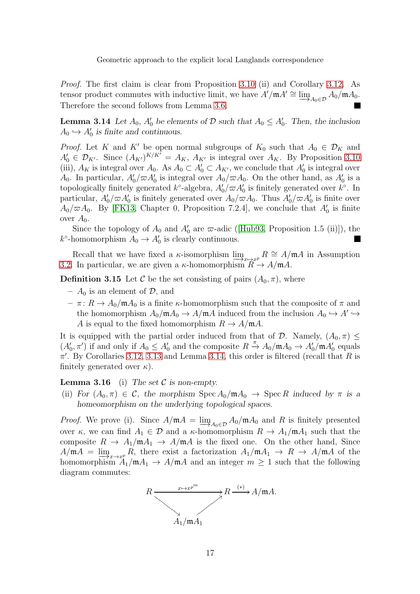Proof. The first claim is clear from Proposition [3.10](#page-45-0) (ii) and Corollary [3.12.](#page-46-0) As tensor product commutes with inductive limit, we have  $A'/mA' \cong \underline{\lim}$  $\longrightarrow A_0 \in \mathcal{D}$  $A_0/\mathfrak{m} A_0.$ Therefore the second follows from Lemma [3.6.](#page-49-4)

<span id="page-16-0"></span>**Lemma 3.14** Let  $A_0$ ,  $A'_0$  be elements of  $D$  such that  $A_0 \leq A'_0$ . Then, the inclusion  $A_0 \hookrightarrow A'_0$  is finite and continuous.

*Proof.* Let K and K' be open normal subgroups of  $K_0$  such that  $A_0 \in \mathcal{D}_K$  and  $A'_0 \in \mathcal{D}_{K'}$ . Since  $(A_{K'})^{K/K'} = A_{K}$ ,  $A_{K'}$  is integral over  $A_{K}$ . By Proposition [3.10](#page-45-0) (iii),  $A_K$  is integral over  $A_0$ . As  $A_0 \subset A'_0 \subset A_{K'}$ , we conclude that  $A'_0$  is integral over  $A_0$ . In particular,  $A'_0/\varpi A'_0$  is integral over  $A_0/\varpi A_0$ . On the other hand, as  $A'_0$  is a topologically finitely generated  $k^{\circ}$ -algebra,  $A'_0/\varpi A'_0$  is finitely generated over  $k^{\circ}$ . In particular,  $A'_0/\varpi A'_0$  is finitely generated over  $A_0/\varpi A_0$ . Thus  $A'_0/\varpi A'_0$  is finite over  $A_0/\varpi A_0$ . By [\[FK13,](#page-52-11) Chapter 0, Proposition 7.2.4], we conclude that  $A'_0$  is finite over  $A_0$ .

Sincethe topology of  $A_0$  and  $A'_0$  are  $\varpi$ -adic ([\[Hub93,](#page-52-13) Proposition 1.5 (ii)]), the  $k^{\circ}$ -homomorphism  $A_0 \to A'_0$  is clearly continuous.

Recall that we have fixed a  $\kappa$ -isomorphism  $\lim_{x\to x^p} R \cong A/\mathfrak{m}A$  in Assumption<br>In particular we are given a  $\kappa$ -homomorphism  $R \to A/\mathfrak{m}A$ [3.2.](#page-49-2) In particular, we are given a  $\kappa$ -homomorphism  $R \to A/\mathfrak{m}A$ .

**Definition 3.15** Let C be the set consisting of pairs  $(A_0, \pi)$ , where

- $A_0$  is an element of  $\mathcal{D}$ , and
- $-\pi: R \to A_0/\mathfrak{m}A_0$  is a finite  $\kappa$ -homomorphism such that the composite of  $\pi$  and the homomorphism  $A_0/\mathfrak{m} A_0 \to A/\mathfrak{m} A$  induced from the inclusion  $A_0 \hookrightarrow A' \hookrightarrow$ A is equal to the fixed homomorphism  $R \to A/\mathfrak{m}A$ .

It is equipped with the partial order induced from that of  $\mathcal{D}$ . Namely,  $(A_0, \pi)$  <  $(A'_0, \pi')$  if and only if  $A_0 \leq A'_0$  and the composite  $R \stackrel{\pi}{\rightarrow} A_0/\mathfrak{m} A_0 \rightarrow A'_0/\mathfrak{m} A'_0$  equals  $\pi'$ . By Corollaries [3.12,](#page-46-0) [3.13](#page-15-0) and Lemma [3.14,](#page-16-0) this order is filtered (recall that R is finitely generated over  $\kappa$ ).

### <span id="page-16-1"></span>**Lemma 3.16** (i) The set  $C$  is non-empty.

(ii) For  $(A_0, \pi) \in \mathcal{C}$ , the morphism  $\text{Spec } A_0/\mathfrak{m} A_0 \to \text{Spec } R$  induced by  $\pi$  is a homeomorphism on the underlying topological spaces.

*Proof.* We prove (i). Since  $A/\mathfrak{m}A = \lim_{A_0 \in \mathcal{D}} A_0/\mathfrak{m}A_0$  and R is finitely presented over  $\kappa$ , we can find  $A_1 \in \mathcal{D}$  and a  $\kappa$ -homomorphism  $R \to A_1/\mathfrak{m}A_1$  such that the composite  $R \to A_1/\mathfrak{m}A_1 \to A/\mathfrak{m}A$  is the fixed one. On the other hand, Since  $A/\mathfrak{m}A = \lim_{x\to x^p} R$ , there exist a factorization  $A_1/\mathfrak{m}A_1 \to R \to A/\mathfrak{m}A$  of the homomorphism  $A_1/\mathfrak{m}A_1 \to A/\mathfrak{m}A_1$  and an integer  $m \geq 1$  such that the following homomorphism  $A_1/\mathfrak{m}A_1 \rightarrow A/\mathfrak{m}A$  and an integer  $m \geq 1$  such that the following diagram commutes:

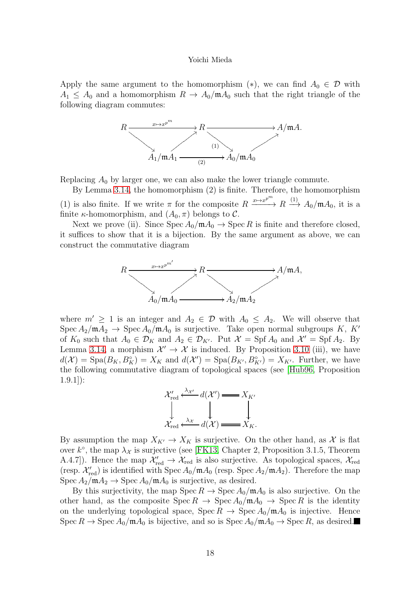Apply the same argument to the homomorphism  $(*)$ , we can find  $A_0 \in \mathcal{D}$  with  $A_1 \leq A_0$  and a homomorphism  $R \to A_0/\mathfrak{m} A_0$  such that the right triangle of the following diagram commutes:



Replacing  $A_0$  by larger one, we can also make the lower triangle commute.

By Lemma [3.14,](#page-16-0) the homomorphism (2) is finite. Therefore, the homomorphism (1) is also finite. If we write  $\pi$  for the composite  $R \xrightarrow{x \mapsto x^{p^m}} R \xrightarrow{(1)} A_0/\mathfrak{m} A_0$ , it is a finite *κ*-homomorphism, and  $(A_0, \pi)$  belongs to C.

Next we prove (ii). Since  $\text{Spec } A_0/\mathfrak{m} A_0 \to \text{Spec } R$  is finite and therefore closed, it suffices to show that it is a bijection. By the same argument as above, we can construct the commutative diagram



where  $m' \geq 1$  is an integer and  $A_2 \in \mathcal{D}$  with  $A_0 \leq A_2$ . We will observe that Spec  $A_2/\mathfrak{m}A_2 \rightarrow$  Spec  $A_0/\mathfrak{m}A_0$  is surjective. Take open normal subgroups K, K' of  $K_0$  such that  $A_0 \in \mathcal{D}_K$  and  $A_2 \in \mathcal{D}_{K'}$ . Put  $\mathcal{X} = \text{Spf } A_0$  and  $\mathcal{X}' = \text{Spf } A_2$ . By Lemma [3.14,](#page-16-0) a morphism  $\mathcal{X}' \to \mathcal{X}$  is induced. By Proposition [3.10](#page-45-0) (iii), we have  $d(\mathcal{X}) = \text{Spa}(B_K, B_K^{\circ}) = X_K$  and  $d(\mathcal{X}') = \text{Spa}(B_{K'}, B_{K'}^{\circ}) = X_{K'}$ . Further, we have the following commutative diagram of topological spaces (see [\[Hub96,](#page-52-9) Proposition 1.9.1]):



By assumption the map  $X_{K'} \to X_K$  is surjective. On the other hand, as X is flat over  $k^{\circ}$ , the map  $\lambda_{\mathcal{X}}$  is surjective (see [\[FK13,](#page-52-11) Chapter 2, Proposition 3.1.5, Theorem A.4.7]). Hence the map  $\mathcal{X}'_{red} \to \mathcal{X}_{red}$  is also surjective. As topological spaces,  $\mathcal{X}_{red}$ (resp.  $\mathcal{X}'_{red}$ ) is identified with Spec  $A_0/\mathfrak{m}A_0$  (resp. Spec  $A_2/\mathfrak{m}A_2$ ). Therefore the map  $Spec A_2/\mathfrak{m} A_2 \rightarrow Spec A_0/\mathfrak{m} A_0$  is surjective, as desired.

By this surjectivity, the map  $\text{Spec } R \to \text{Spec } A_0/\mathfrak{m} A_0$  is also surjective. On the other hand, as the composite  $\text{Spec } R \to \text{Spec } A_0/\mathfrak{m} A_0 \to \text{Spec } R$  is the identity on the underlying topological space,  $\text{Spec } R \to \text{Spec } A_0/\mathfrak{m} A_0$  is injective. Hence Spec  $R \to \text{Spec } A_0/\mathfrak{m} A_0$  is bijective, and so is  $\text{Spec } A_0/\mathfrak{m} A_0 \to \text{Spec } R$ , as desired.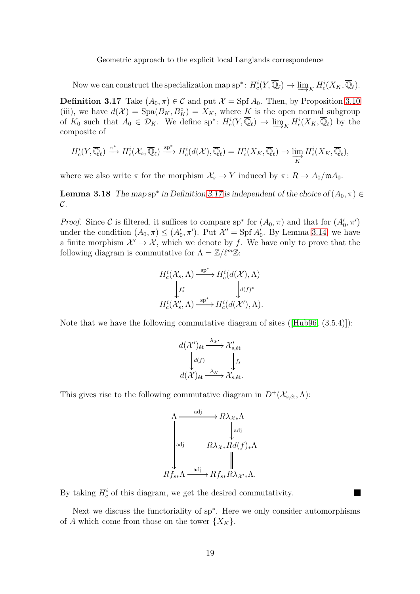<span id="page-18-0"></span>Now we can construct the specialization map  $\text{sp}^*: H_c^i(Y, \overline{\mathbb{Q}}_\ell) \to \varinjlim_K$  $H_c^i(X_K,\overline{\mathbb{Q}}_\ell).$ 

**Definition 3.17** Take  $(A_0, \pi) \in \mathcal{C}$  and put  $\mathcal{X} = \text{Spf } A_0$ . Then, by Proposition [3.10](#page-45-0) (iii), we have  $d(\mathcal{X}) = \text{Spa}(B_K, B_K^{\circ}) = X_K$ , where K is the open normal subgroup of  $K_0$  such that  $A_0 \in \mathcal{D}_K$ . We define  $sp^*: H_c^i(Y, \overline{\mathbb{Q}}_\ell) \to \varinjlim_K H_c^i(X_K, \overline{\mathbb{Q}}_\ell)$  by the composite of composite of

$$
H_c^i(Y, \overline{\mathbb{Q}}_\ell) \xrightarrow{\pi^*} H_c^i(\mathcal{X}_s, \overline{\mathbb{Q}}_\ell) \xrightarrow{\text{sp}^*} H_c^i(d(\mathcal{X}), \overline{\mathbb{Q}}_\ell) = H_c^i(X_K, \overline{\mathbb{Q}}_\ell) \to \varinjlim_K H_c^i(X_K, \overline{\mathbb{Q}}_\ell),
$$

<span id="page-18-1"></span>where we also write  $\pi$  for the morphism  $\mathcal{X}_s \to Y$  induced by  $\pi: R \to A_0/\mathfrak{m}A_0$ .

**Lemma 3.18** The map sp<sup>\*</sup> in Definition [3.17](#page-18-0) is independent of the choice of  $(A_0, \pi) \in$  $\mathcal{C}.$ 

*Proof.* Since C is filtered, it suffices to compare sp<sup>\*</sup> for  $(A_0, \pi)$  and that for  $(A'_0, \pi')$ under the condition  $(A_0, \pi) \leq (A'_0, \pi')$ . Put  $\mathcal{X}' = \text{Spf } A'_0$ . By Lemma [3.14,](#page-16-0) we have a finite morphism  $\mathcal{X}' \to \mathcal{X}$ , which we denote by f. We have only to prove that the following diagram is commutative for  $\Lambda = \mathbb{Z}/\ell^m \mathbb{Z}$ :

$$
H_c^i(\mathcal{X}_s, \Lambda) \xrightarrow{\text{sp}^*} H_c^i(d(\mathcal{X}), \Lambda)
$$

$$
\downarrow f_s^* \qquad \qquad \downarrow d(f)^*
$$

$$
H_c^i(\mathcal{X}'_s, \Lambda) \xrightarrow{\text{sp}^*} H_c^i(d(\mathcal{X}'), \Lambda).
$$

Note that we have the following commutative diagram of sites([\[Hub96,](#page-52-9) (3.5.4)]):

$$
d(\mathcal{X}')_{\text{\'et}} \xrightarrow{\lambda_{\mathcal{X}'}} \mathcal{X}'_{s,\text{\'et}}
$$

$$
d(\mathcal{X})_{\text{\'et}} \xrightarrow{\lambda_{\mathcal{X}}} \mathcal{X}'_{s,\text{\'et}}.
$$

This gives rise to the following commutative diagram in  $D^+(\mathcal{X}_{s,\text{\'et}}, \Lambda)$ :

$$
\Lambda \xrightarrow{\text{adj}} R\lambda_{\mathcal{X}*\Lambda} \Lambda
$$
\n
$$
\downarrow \text{adj} \qquad R\lambda_{\mathcal{X}*\mathcal{R}d(f)*\Lambda}
$$
\n
$$
Rf_{s*\Lambda} \xrightarrow{\text{adj}} Rf_{s*}R\lambda_{\mathcal{X}'*}\Lambda.
$$

By taking  $H_c^i$  of this diagram, we get the desired commutativity.

<span id="page-18-2"></span>Next we discuss the functoriality of sp<sup>∗</sup> . Here we only consider automorphisms of A which come from those on the tower  $\{X_K\}$ .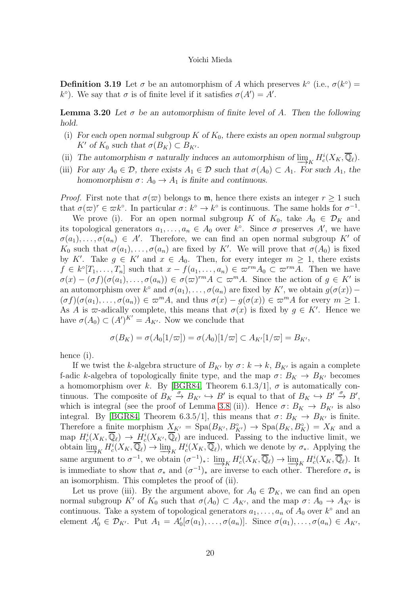**Definition 3.19** Let  $\sigma$  be an automorphism of A which preserves  $k^{\circ}$  (i.e.,  $\sigma(k^{\circ})$  = k<sup>o</sup>). We say that  $\sigma$  is of finite level if it satisfies  $\sigma(A') = A'$ .

<span id="page-19-0"></span>**Lemma 3.20** Let  $\sigma$  be an automorphism of finite level of A. Then the following hold.

- (i) For each open normal subgroup K of  $K_0$ , there exists an open normal subgroup K' of  $K_0$  such that  $\sigma(B_K) \subset B_{K'}$ .
- (ii) The automorphism  $\sigma$  naturally induces an automorphism of  $\lim_{K} H_c^i(X_K, \overline{\mathbb{Q}}_{\ell}).$ <br>(iii) Express  $A \subseteq \mathbb{D}$  there exists  $A \subseteq \mathbb{D}$  such that  $\sigma(A) \subseteq A$ . For such  $A$  the
- (iii) For any  $A_0 \in \mathcal{D}$ , there exists  $A_1 \in \mathcal{D}$  such that  $\sigma(A_0) \subset A_1$ . For such  $A_1$ , the homomorphism  $\sigma: A_0 \to A_1$  is finite and continuous.

*Proof.* First note that  $\sigma(\varpi)$  belongs to m, hence there exists an integer  $r \geq 1$  such that  $\sigma(\varpi)^r \in \varpi k^{\circ}$ . In particular  $\sigma: k^{\circ} \to k^{\circ}$  is continuous. The same holds for  $\sigma^{-1}$ .

We prove (i). For an open normal subgroup K of  $K_0$ , take  $A_0 \in \mathcal{D}_K$  and its topological generators  $a_1, \ldots, a_n \in A_0$  over  $k^{\circ}$ . Since  $\sigma$  preserves A', we have  $\sigma(a_1), \ldots, \sigma(a_n) \in A'$ . Therefore, we can find an open normal subgroup K' of  $K_0$  such that  $\sigma(a_1), \ldots, \sigma(a_n)$  are fixed by K'. We will prove that  $\sigma(A_0)$  is fixed by K'. Take  $g \in K'$  and  $x \in A_0$ . Then, for every integer  $m \geq 1$ , there exists  $f \in k^{\circ}[T_1,\ldots,T_n]$  such that  $x - f(a_1,\ldots,a_n) \in \varpi^{rm} A_0 \subset \varpi^{rm} A$ . Then we have  $\sigma(x) - (\sigma f)(\sigma(a_1), \ldots, \sigma(a_n)) \in \sigma(\varpi)^{rm} A \subset \varpi^m A$ . Since the action of  $g \in K'$  is an automorphism over  $k^{\circ}$  and  $\sigma(a_1), \ldots, \sigma(a_n)$  are fixed by  $K'$ , we obtain  $g(\sigma(x))$  –  $(\sigma f)(\sigma(a_1), \ldots, \sigma(a_n)) \in \varpi^m A$ , and thus  $\sigma(x) - g(\sigma(x)) \in \varpi^m A$  for every  $m \geq 1$ . As A is  $\varpi$ -adically complete, this means that  $\sigma(x)$  is fixed by  $g \in K'$ . Hence we have  $\sigma(A_0) \subset (A')^{K'} = A_{K'}$ . Now we conclude that

$$
\sigma(B_K) = \sigma(A_0[1/\varpi]) = \sigma(A_0)[1/\varpi] \subset A_{K'}[1/\varpi] = B_{K'},
$$

hence (i).

If we twist the k-algebra structure of  $B_{K'}$  by  $\sigma: k \to k$ ,  $B_{K'}$  is again a complete f-adic k-algebra of topologically finite type, and the map  $\sigma: B_K \to B_{K'}$  becomes a homomorphism over k. By [\[BGR84,](#page-50-1) Theorem 6.1.3/1],  $\sigma$  is automatically continuous. The composite of  $B_K \stackrel{\sigma}{\to} B_{K'} \hookrightarrow B'$  is equal to that of  $B_K \hookrightarrow B' \stackrel{\sigma}{\to} B'$ , which is integral (see the proof of Lemma [3.8](#page-43-0) (ii)). Hence  $\sigma: B_K \to B_{K'}$  is also integral. By [\[BGR84,](#page-50-1) Theorem 6.3.5/1], this means that  $\sigma: B_K \to B_{K'}$  is finite. Therefore a finite morphism  $X_{K'} = \text{Spa}(B_{K'}, B_{K'}^{\circ}) \rightarrow \text{Spa}(B_K, B_K^{\circ}) = X_K$  and a map  $H_c^i(X_K, \overline{\mathbb{Q}}_\ell) \to H_c^i(X_{K'}, \overline{\mathbb{Q}}_\ell)$  are induced. Passing to the inductive limit, we obtain  $\varinjlim_{K} H_c^i(X_K, \overline{\mathbb{Q}}_{\ell}) \to \varinjlim_{K}$  $H_c^i(X_K, \overline{\mathbb{Q}}_\ell)$ , which we denote by  $\sigma_*$ . Applying the same argument to  $\sigma^{-1}$ , we obtain  $(\sigma^{-1})_*$ :  $\varinjlim_K H_c^i(X_K, \overline{\mathbb{Q}}_\ell) \to \varinjlim_K H_c^i(X_K, \overline{\mathbb{Q}}_\ell)$ . It is immediate to show that  $\sigma_*$  and  $(\sigma^{-1})_*$  are inverse to each other. Therefore  $\sigma_*$  is an isomorphism. This completes the proof of (ii).

Let us prove (iii). By the argument above, for  $A_0 \in \mathcal{D}_K$ , we can find an open normal subgroup K' of  $K_0$  such that  $\sigma(A_0) \subset A_{K'}$ , and the map  $\sigma: A_0 \to A_{K'}$  is continuous. Take a system of topological generators  $a_1, \ldots, a_n$  of  $A_0$  over  $k^{\circ}$  and an element  $A'_0 \in \mathcal{D}_{K'}$ . Put  $A_1 = A'_0[\sigma(a_1), \ldots, \sigma(a_n)]$ . Since  $\sigma(a_1), \ldots, \sigma(a_n) \in A_{K'}$ ,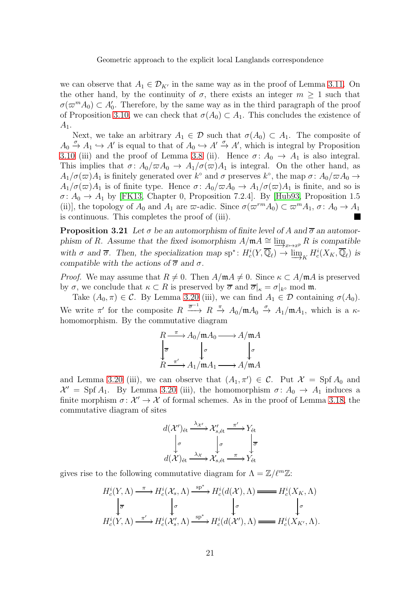we can observe that  $A_1 \in \mathcal{D}_{K'}$  in the same way as in the proof of Lemma [3.11.](#page-45-1) On the other hand, by the continuity of  $\sigma$ , there exists an integer  $m \geq 1$  such that  $\sigma(\varpi^m A_0) \subset A'_0$ . Therefore, by the same way as in the third paragraph of the proof of Proposition [3.10,](#page-45-0) we can check that  $\sigma(A_0) \subset A_1$ . This concludes the existence of  $A_1.$ 

Next, we take an arbitrary  $A_1 \in \mathcal{D}$  such that  $\sigma(A_0) \subset A_1$ . The composite of  $A_0 \xrightarrow{\sigma} A_1 \hookrightarrow A'$  is equal to that of  $A_0 \hookrightarrow A' \xrightarrow{\sigma} A'$ , which is integral by Proposition [3.10](#page-45-0) (iii) and the proof of Lemma [3.8](#page-43-0) (ii). Hence  $\sigma: A_0 \to A_1$  is also integral. This implies that  $\sigma: A_0/\varpi A_0 \to A_1/\sigma(\varpi)A_1$  is integral. On the other hand, as  $A_1/\sigma(\varpi)A_1$  is finitely generated over  $k^{\circ}$  and  $\sigma$  preserves  $k^{\circ}$ , the map  $\sigma: A_0/\varpi A_0 \to A_1/\sigma(\varpi)A_1$  $A_1/\sigma(\varpi)A_1$  is of finite type. Hence  $\sigma: A_0/\varpi A_0 \to A_1/\sigma(\varpi)A_1$  is finite, and so is  $\sigma: A_0 \to A_1$  by [\[FK13,](#page-52-11) Chapter 0, Proposition 7.2.4]. By [\[Hub93,](#page-52-13) Proposition 1.5 (ii)], the topology of  $A_0$  and  $A_1$  are  $\varpi$ -adic. Since  $\sigma(\varpi^{rm}A_0) \subset \varpi^{m}A_1$ ,  $\sigma \colon A_0 \to A_1$ is continuous. This completes the proof of (iii).

<span id="page-20-0"></span>**Proposition 3.21** Let  $\sigma$  be an automorphism of finite level of A and  $\overline{\sigma}$  an automorphism of R. Assume that the fixed isomorphism  $A/\mathfrak{m}A \cong \varinjlim_{x \to x^p} R$  is compatible with  $\sigma$  and  $\overline{\sigma}$ . Then, the specialization map  $sp^*: H_c^i(Y, \overline{\mathbb{Q}}_\ell) \to \varinjlim_K H_c^i(X_K, \overline{\mathbb{Q}}_\ell)$  is compatible with the actions of  $\overline{\sigma}$  and  $\sigma$ compatible with the actions of  $\overline{\sigma}$  and  $\sigma$ .

*Proof.* We may assume that  $R \neq 0$ . Then  $A/\mathfrak{m}A \neq 0$ . Since  $\kappa \subset A/\mathfrak{m}A$  is preserved by  $\sigma$ , we conclude that  $\kappa \subset R$  is preserved by  $\overline{\sigma}$  and  $\overline{\sigma}|_{\kappa} = \sigma|_{k^{\circ}}$  mod m.

Take  $(A_0, \pi) \in \mathcal{C}$ . By Lemma [3.20](#page-19-0) (iii), we can find  $A_1 \in \mathcal{D}$  containing  $\sigma(A_0)$ . We write  $\pi'$  for the composite  $R \xrightarrow{\overline{\sigma}^{-1}} R \xrightarrow{\pi} A_0/\mathfrak{m} A_0 \xrightarrow{\sigma} A_1/\mathfrak{m} A_1$ , which is a  $\kappa$ homomorphism. By the commutative diagram

$$
R \xrightarrow{\pi} A_0/\mathfrak{m} A_0 \longrightarrow A/\mathfrak{m} A
$$

$$
\downarrow_{\overline{\sigma}} \qquad \downarrow_{\sigma} \qquad \downarrow_{\sigma}
$$

$$
R \xrightarrow{\pi'} A_1/\mathfrak{m} A_1 \longrightarrow A/\mathfrak{m} A
$$

and Lemma [3.20](#page-19-0) (iii), we can observe that  $(A_1, \pi') \in C$ . Put  $\mathcal{X} = \text{Spf } A_0$  and  $\mathcal{X}' = \text{Spf } A_1$ . By Lemma [3.20](#page-19-0) (iii), the homomorphism  $\sigma \colon A_0 \to A_1$  induces a finite morphism  $\sigma: \mathcal{X}' \to \mathcal{X}$  of formal schemes. As in the proof of Lemma [3.18,](#page-18-1) the commutative diagram of sites

$$
d(\mathcal{X}')_{\text{\'et}} \xrightarrow{\lambda_{\mathcal{X}'}} \mathcal{X}'_{s,\text{\'et}} \xrightarrow{\pi'} Y_{\text{\'et}}
$$

$$
\downarrow_{\sigma} \qquad \qquad \downarrow_{\sigma} \qquad \qquad \downarrow_{\sigma}
$$

$$
d(\mathcal{X})_{\text{\'et}} \xrightarrow{\lambda_{\mathcal{X}}} \mathcal{X}_{s,\text{\'et}} \xrightarrow{\pi} Y_{\text{\'et}}
$$

gives rise to the following commutative diagram for  $\Lambda = \mathbb{Z}/\ell^m \mathbb{Z}$ :

$$
H_c^i(Y, \Lambda) \xrightarrow{\pi} H_c^i(\mathcal{X}_s, \Lambda) \xrightarrow{\text{sp}^*} H_c^i(d(\mathcal{X}), \Lambda) \xrightarrow{\text{sp}^*} H_c^i(X_K, \Lambda)
$$
  

$$
\downarrow_{\overline{\sigma}} \qquad \downarrow_{\sigma} \qquad \downarrow_{\sigma} \qquad \downarrow_{\sigma}
$$
  

$$
H_c^i(Y, \Lambda) \xrightarrow{\pi'} H_c^i(\mathcal{X}'_s, \Lambda) \xrightarrow{\text{sp}^*} H_c^i(d(\mathcal{X}'), \Lambda) \xrightarrow{\text{sp}^*} H_c^i(X_{K'}, \Lambda).
$$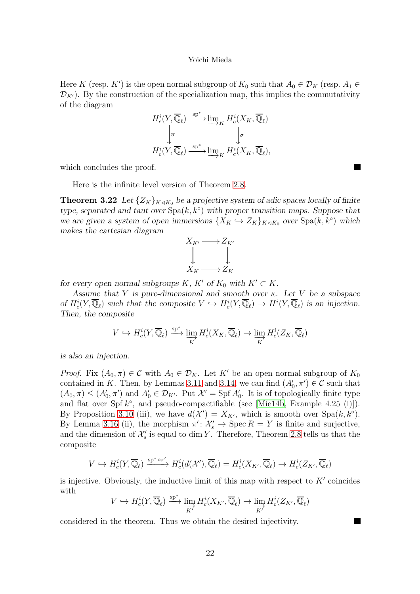Here K (resp. K') is the open normal subgroup of  $K_0$  such that  $A_0 \in \mathcal{D}_K$  (resp.  $A_1 \in$  $\mathcal{D}_{K'}$ ). By the construction of the specialization map, this implies the commutativity of the diagram

$$
H_c^i(Y, \overline{\mathbb{Q}}_\ell) \xrightarrow{\text{sp}^*} \underline{\lim}_{K} H_c^i(X_K, \overline{\mathbb{Q}}_\ell)
$$
  

$$
\downarrow_{\overline{\sigma}} \qquad \qquad \downarrow_{\sigma}
$$
  

$$
H_c^i(Y, \overline{\mathbb{Q}}_\ell) \xrightarrow{\text{sp}^*} \underline{\lim}_{K} H_c^i(X_K, \overline{\mathbb{Q}}_\ell),
$$

which concludes the proof.

<span id="page-21-0"></span>Here is the infinite level version of Theorem [2.8.](#page-43-0)

**Theorem 3.22** Let  $\{Z_K\}_{K\triangleleft K_0}$  be a projective system of adic spaces locally of finite type, separated and taut over  $Spa(k, k^{\circ})$  with proper transition maps. Suppose that we are given a system of open immersions  $\{X_K \hookrightarrow Z_K\}_{K\triangleleft K_0}$  over  $\text{Spa}(k, k^{\circ})$  which makes the cartesian diagram

$$
X_{K'} \longrightarrow Z_{K'}
$$
  
\n
$$
\downarrow \qquad \qquad \downarrow
$$
  
\n
$$
X_{K} \longrightarrow Z_{K}
$$

for every open normal subgroups K, K' of  $K_0$  with  $K' \subset K$ .

Assume that Y is pure-dimensional and smooth over  $\kappa$ . Let V be a subspace of  $H_c^i(Y, \overline{\mathbb{Q}}_\ell)$  such that the composite  $V \hookrightarrow H_c^i(Y, \overline{\mathbb{Q}}_\ell) \to H^i(Y, \overline{\mathbb{Q}}_\ell)$  is an injection. Then, the composite

$$
V \hookrightarrow H_c^i(Y, \overline{\mathbb{Q}}_{\ell}) \xrightarrow{\text{sp}^*} \varinjlim_K H_c^i(X_K, \overline{\mathbb{Q}}_{\ell}) \to \varinjlim_K H_c^i(Z_K, \overline{\mathbb{Q}}_{\ell})
$$

is also an injection.

*Proof.* Fix  $(A_0, \pi) \in \mathcal{C}$  with  $A_0 \in \mathcal{D}_K$ . Let K' be an open normal subgroup of  $K_0$ contained in K. Then, by Lemmas [3.11](#page-45-1) and [3.14,](#page-16-0) we can find  $(A'_0, \pi') \in \mathcal{C}$  such that  $(A_0, \pi) \leq (A'_0, \pi')$  and  $A'_0 \in \mathcal{D}_{K'}$ . Put  $\mathcal{X}' = \text{Spf } A'_0$ . It is of topologically finite type and flat over Spf  $k^{\circ}$ , and pseudo-compactifiable (see [\[Mie14b,](#page-53-6) Example 4.25 (i)]). By Proposition [3.10](#page-45-0) (iii), we have  $d(\mathcal{X}') = X_{K'}$ , which is smooth over Spa $(k, k^{\circ})$ . By Lemma [3.16](#page-16-1) (ii), the morphism  $\pi' : \mathcal{X}'_s \to \operatorname{Spec} R = Y$  is finite and surjective, and the dimension of  $\mathcal{X}'_s$  is equal to dim Y. Therefore, Theorem [2.8](#page-43-0) tells us that the composite

$$
V \hookrightarrow H_c^i(Y, \overline{\mathbb{Q}}_{\ell}) \xrightarrow{\text{sp}^* \circ \pi'} H_c^i(d(\mathcal{X}'), \overline{\mathbb{Q}}_{\ell}) = H_c^i(X_{K'}, \overline{\mathbb{Q}}_{\ell}) \to H_c^i(Z_{K'}, \overline{\mathbb{Q}}_{\ell})
$$

is injective. Obviously, the inductive limit of this map with respect to  $K'$  coincides with

$$
V \hookrightarrow H_c^i(Y, \overline{\mathbb{Q}}_{\ell}) \xrightarrow{\text{sp}^*} \varinjlim_{K'} H_c^i(X_{K'}, \overline{\mathbb{Q}}_{\ell}) \to \varinjlim_{K'} H_c^i(Z_{K'}, \overline{\mathbb{Q}}_{\ell})
$$

considered in the theorem. Thus we obtain the desired injectivity.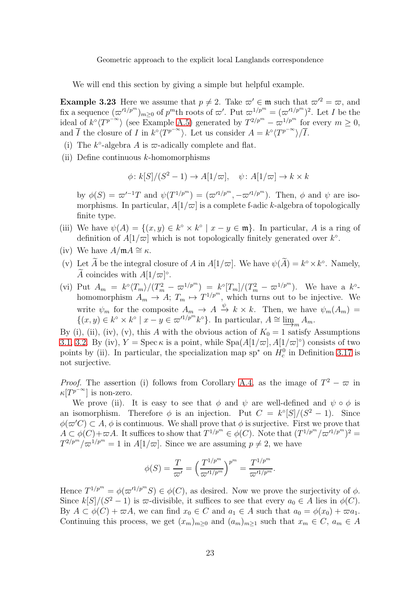<span id="page-22-0"></span>We will end this section by giving a simple but helpful example.

**Example 3.23** Here we assume that  $p \neq 2$ . Take  $\varpi' \in \mathfrak{m}$  such that  $\varpi'^2 = \varpi$ , and fix a sequence  $(\varpi'^{1/p^m})_{m\geq 0}$  of  $p^m$ th roots of  $\varpi'$ . Put  $\varpi^{1/p^m} = (\varpi'^{1/p^m})^2$ . Let I be the ideal of  $k^{\circ} \langle T^{p^{-\infty}} \rangle$  (see Example [A.5\)](#page-48-0) generated by  $T^{2/p^m} - \overline{\omega}^{1/p^m}$  for every  $m \ge 0$ , and  $\overline{I}$  the closure of I in  $k^{\circ} \langle T^{p^{-\infty}} \rangle$ . Let us consider  $A = k^{\circ} \langle T^{p^{-\infty}} \rangle / \overline{I}$ .

- (i) The  $k^{\circ}$ -algebra A is  $\varpi$ -adically complete and flat.
- (ii) Define continuous k-homomorphisms

$$
\phi: k[S]/(S^2 - 1) \to A[1/\varpi], \quad \psi: A[1/\varpi] \to k \times k
$$

by  $\phi(S) = \omega'^{-1}T$  and  $\psi(T^{1/p^m}) = (\omega'^{1/p^m}, -\omega'^{1/p^m})$ . Then,  $\phi$  and  $\psi$  are isomorphisms. In particular,  $A[1/\varpi]$  is a complete f-adic k-algebra of topologically finite type.

- (iii) We have  $\psi(A) = \{(x, y) \in k^{\circ} \times k^{\circ} \mid x y \in \mathfrak{m}\}\.$  In particular, A is a ring of definition of  $A[1/\varpi]$  which is not topologically finitely generated over  $k^{\circ}$ .
- (iv) We have  $A/\mathfrak{m} A \cong \kappa$ .
- (v) Let  $\widetilde{A}$  be the integral closure of  $A$  in  $A[1/\varpi]$ . We have  $\psi(\widetilde{A}) = k^{\circ} \times k^{\circ}$ . Namely, A coincides with  $A[1/\varpi]$ <sup>°</sup>.
- (vi) Put  $A_m = k^{\circ} \langle T_m \rangle / (T_m^2 \varpi^{1/p^m}) = k^{\circ} [T_m] / (T_m^2 \varpi^{1/p^m})$ . We have a  $k^{\circ}$ homomorphism  $A_m \to A$ ;  $T_m \mapsto T^{1/p^m}$ , which turns out to be injective. We write  $\psi_m$  for the composite  $A_m \to A \stackrel{\psi}{\to} k \times k$ . Then, we have  $\psi_m(A_m) =$  $\{(x, y) \in k^{\circ} \times k^{\circ} \mid x - y \in \varpi'^{1/p^m} k^{\circ}\}.$  In particular,  $A \cong \varinjlim_{m \to \infty}$  $A_m$ .

By (i), (ii), (iv), (v), this A with the obvious action of  $K_0 = 1$  satisfy Assumptions [3.1,](#page-49-0) [3.2.](#page-49-2) By (iv),  $Y = \text{Spec } \kappa$  is a point, while  $\text{Spa}(A[1/\varpi], A[1/\varpi])$  consists of two points by (ii). In particular, the specialization map sp<sup>\*</sup> on  $H_c^0$  in Definition [3.17](#page-18-0) is not surjective.

*Proof.* The assertion (i) follows from Corollary [A.4,](#page-50-0) as the image of  $T^2 - \varpi$  in  $\kappa[T^{p^{-\infty}}]$  is non-zero.

We prove (ii). It is easy to see that  $\phi$  and  $\psi$  are well-defined and  $\psi \circ \phi$  is an isomorphism. Therefore  $\phi$  is an injection. Put  $C = k^{\circ}[S]/(S^2 - 1)$ . Since  $\phi(\omega'C) \subset A$ ,  $\phi$  is continuous. We shall prove that  $\phi$  is surjective. First we prove that  $A \subset \phi(C) + \varpi A$ . It suffices to show that  $T^{1/p^m} \in \phi(C)$ . Note that  $(T^{1/p^m}/\varpi'^{1/p^m})^2 =$  $T^{2/p^m}/\varpi^{1/p^m} = 1$  in  $A[1/\varpi]$ . Since we are assuming  $p \neq 2$ , we have

$$
\phi(S) = \frac{T}{\varpi'} = \left(\frac{T^{1/p^m}}{\varpi'^{1/p^m}}\right)^{p^m} = \frac{T^{1/p^m}}{\varpi'^{1/p^m}}.
$$

Hence  $T^{1/p^m} = \phi(\omega'^{1/p^m} S) \in \phi(C)$ , as desired. Now we prove the surjectivity of  $\phi$ . Since  $k[S]/(S^2 - 1)$  is  $\varpi$ -divisible, it suffices to see that every  $a_0 \in A$  lies in  $\phi(C)$ . By  $A \subset \phi(C) + \varpi A$ , we can find  $x_0 \in C$  and  $a_1 \in A$  such that  $a_0 = \phi(x_0) + \varpi a_1$ . Continuing this process, we get  $(x_m)_{m>0}$  and  $(a_m)_{m>1}$  such that  $x_m \in C$ ,  $a_m \in A$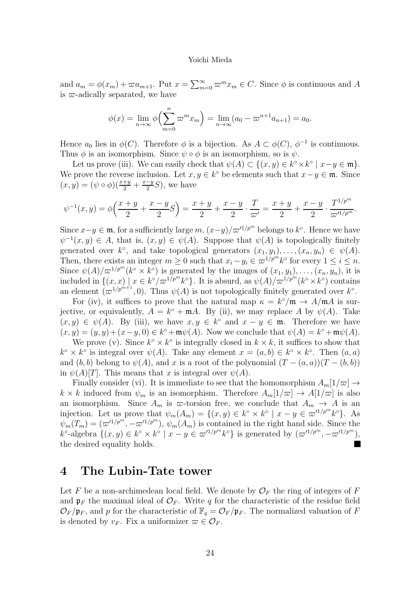and  $a_m = \phi(x_m) + \varpi a_{m+1}$ . Put  $x = \sum_{m=0}^{\infty} \varpi^m x_m \in C$ . Since  $\phi$  is continuous and A is  $\varpi$ -adically separated, we have

$$
\phi(x) = \lim_{n \to \infty} \phi\left(\sum_{m=0}^{n} \varpi^m x_m\right) = \lim_{n \to \infty} (a_0 - \varpi^{n+1} a_{n+1}) = a_0.
$$

Hence  $a_0$  lies in  $\phi(C)$ . Therefore  $\phi$  is a bijection. As  $A \subset \phi(C)$ ,  $\phi^{-1}$  is continuous. Thus  $\phi$  is an isomorphism. Since  $\psi \circ \phi$  is an isomorphism, so is  $\psi$ .

Let us prove (iii). We can easily check that  $\psi(A) \subset \{(x, y) \in k^{\circ} \times k^{\circ} \mid x - y \in \mathfrak{m}\}.$ We prove the reverse inclusion. Let  $x, y \in k^{\circ}$  be elements such that  $x - y \in \mathfrak{m}$ . Since  $(x, y) = (\psi \circ \phi)(\frac{x+y}{2} + \frac{x-y}{2})$  $\frac{-y}{2}S$ , we have

$$
\psi^{-1}(x,y) = \phi\left(\frac{x+y}{2} + \frac{x-y}{2}S\right) = \frac{x+y}{2} + \frac{x-y}{2} \cdot \frac{T}{\varpi'} = \frac{x+y}{2} + \frac{x-y}{2} \cdot \frac{T^{1/p^m}}{\varpi'^{1/p^m}}.
$$

Since  $x-y \in \mathfrak{m}$ , for a sufficiently large  $m$ ,  $(x-y)/\varpi'^{1/p^m}$  belongs to  $k^{\circ}$ . Hence we have  $\psi^{-1}(x, y) \in A$ , that is,  $(x, y) \in \psi(A)$ . Suppose that  $\psi(A)$  is topologically finitely generated over  $k^{\circ}$ , and take topological generators  $(x_1, y_1), \ldots, (x_n, y_n) \in \psi(A)$ . Then, there exists an integer  $m \geq 0$  such that  $x_i - y_i \in \varpi^{1/p^m} k^{\circ}$  for every  $1 \leq i \leq n$ . Since  $\psi(A)/\varpi^{1/p^m}(k^{\circ} \times k^{\circ})$  is generated by the images of  $(x_1, y_1), \ldots, (x_n, y_n)$ , it is included in  $\{(x, x) | x \in k^{\circ}/\varpi^{1/p^m} k^{\circ}\}\$ . It is absurd, as  $\psi(A)/\varpi^{1/p^m} (k^{\circ} \times k^{\circ})$  contains an element  $(\varpi^{1/p^{m+1}}, 0)$ . Thus  $\psi(A)$  is not topologically finitely generated over  $k^{\circ}$ .

For (iv), it suffices to prove that the natural map  $\kappa = k^{\circ}/\mathfrak{m} \to A/\mathfrak{m}A$  is surjective, or equivalently,  $A = k^{\circ} + \mathfrak{m}A$ . By (ii), we may replace A by  $\psi(A)$ . Take  $(x, y) \in \psi(A)$ . By (iii), we have  $x, y \in k^{\circ}$  and  $x - y \in \mathfrak{m}$ . Therefore we have  $(x, y) = (y, y) + (x - y, 0) \in k^{\circ} + \mathfrak{m}\psi(A)$ . Now we conclude that  $\psi(A) = k^{\circ} + \mathfrak{m}\psi(A)$ .

We prove (v). Since  $k^{\circ} \times k^{\circ}$  is integrally closed in  $k \times k$ , it suffices to show that  $k^{\circ} \times k^{\circ}$  is integral over  $\psi(A)$ . Take any element  $x = (a, b) \in k^{\circ} \times k^{\circ}$ . Then  $(a, a)$ and  $(b, b)$  belong to  $\psi(A)$ , and x is a root of the polynomial  $(T - (a, a))(T - (b, b))$ in  $\psi(A)[T]$ . This means that x is integral over  $\psi(A)$ .

Finally consider (vi). It is immediate to see that the homomorphism  $A_m[1/\varpi] \rightarrow$  $k \times k$  induced from  $\psi_m$  is an isomorphism. Therefore  $A_m[1/\varpi] \to A[1/\varpi]$  is also an isomorphism. Since  $A_m$  is  $\varpi$ -torsion free, we conclude that  $A_m \to A$  is an injection. Let us prove that  $\psi_m(A_m) = \{(x, y) \in k^{\circ} \times k^{\circ} \mid x - y \in \varpi'^{1/p^m} k^{\circ}\}.$  As  $\psi_m(T_m) = (\varpi'^{1/p^m}, -\varpi'^{1/p^m}), \psi_m(A_m)$  is contained in the right hand side. Since the  $k^{\circ}$ -algebra  $\{(x, y) \in k^{\circ} \times k^{\circ} \mid x - y \in \varpi'^{1/p^m} k^{\circ}\}\$ is generated by  $(\varpi'^{1/p^m}, -\varpi'^{1/p^m}),$ the desired equality holds.

## <span id="page-23-0"></span>4 The Lubin-Tate tower

Let F be a non-archimedean local field. We denote by  $\mathcal{O}_F$  the ring of integers of F and  $\mathfrak{p}_F$  the maximal ideal of  $\mathcal{O}_F$ . Write q for the characteristic of the residue field  $\mathcal{O}_F/\mathfrak{p}_F$ , and p for the characteristic of  $\mathbb{F}_q = \mathcal{O}_F/\mathfrak{p}_F$ . The normalized valuation of F is denoted by  $v_F$ . Fix a uniformizer  $\varpi \in \mathcal{O}_F$ .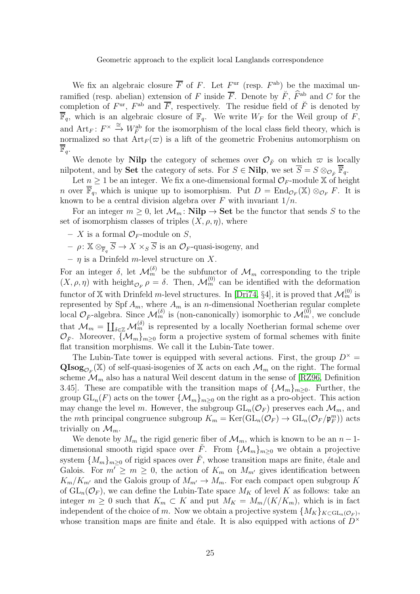We fix an algebraic closure  $\overline{F}$  of F. Let  $F^{\text{ur}}$  (resp.  $F^{\text{ab}}$ ) be the maximal unramified (resp. abelian) extension of F inside  $\overline{F}$ . Denote by  $\check{F}$ ,  $\hat{F}^{ab}$  and C for the completion of  $F^{\text{ur}}$ ,  $F^{\text{ab}}$  and  $\overline{F}$ , respectively. The residue field of  $\breve{F}$  is denoted by  $\overline{\mathbb{F}}_q$ , which is an algebraic closure of  $\mathbb{F}_q$ . We write  $W_F$  for the Weil group of F, and  $Art_F: F^\times \stackrel{\cong}{\to} W_F^{\text{ab}}$  for the isomorphism of the local class field theory, which is normalized so that  $\text{Art}_F(\varpi)$  is a lift of the geometric Frobenius automorphism on  $\mathbb{F}_q$ .

We denote by Nilp the category of schemes over  $\mathcal{O}_{\breve{F}}$  on which  $\varpi$  is locally nilpotent, and by Set the category of sets. For  $S \in \mathbf{Nilp}$ , we set  $\overline{S} = S \otimes_{\mathcal{O}_{\widetilde{P}}} \overline{\mathbb{F}}_q$ .

Let  $n \geq 1$  be an integer. We fix a one-dimensional formal  $\mathcal{O}_F$ -module X of height *n* over  $\mathbb{F}_q$ , which is unique up to isomorphism. Put  $D = \text{End}_{\mathcal{O}_F}(\mathbb{X}) \otimes_{\mathcal{O}_F} F$ . It is known to be a central division algebra over  $F$  with invariant  $1/n$ .

For an integer  $m \geq 0$ , let  $\mathcal{M}_m$ : **Nilp**  $\rightarrow$  **Set** be the functor that sends S to the set of isomorphism classes of triples  $(X, \rho, \eta)$ , where

- X is a formal  $\mathcal{O}_F$ -module on S,
- $\rho: \mathbb{X} \otimes_{\overline{\mathbb{F}}_q} S \to X \times_S S$  is an  $\mathcal{O}_F$ -quasi-isogeny, and
- $-$  *n* is a Drinfeld *m*-level structure on X.

For an integer  $\delta$ , let  $\mathcal{M}_m^{(\delta)}$  be the subfunctor of  $\mathcal{M}_m$  corresponding to the triple  $(X, \rho, \eta)$  with height<sub> $\mathcal{O}_F$ </sub>  $\rho = \delta$ . Then,  $\mathcal{M}_m^{(0)}$  can be identified with the deformation functor of X with Drinfeld *m*-level structures. In [\[Dri74,](#page-51-11) §4], it is proved that  $\mathcal{M}_m^{(0)}$  is represented by Spf  $A_m$ , where  $A_m$  is an *n*-dimensional Noetherian regular complete local  $\mathcal{O}_{\check{F}}$ -algebra. Since  $\mathcal{M}_m^{(\delta)}$  is (non-canonically) isomorphic to  $\mathcal{M}_m^{(0)}$ , we conclude that  $\mathcal{M}_m = \coprod_{\delta \in \mathbb{Z}} \mathcal{M}_m^{(\delta)}$  is represented by a locally Noetherian formal scheme over  $\mathcal{O}_{\breve{F}}$ . Moreover,  $\{\mathcal{M}_m\}_{m\geq 0}$  form a projective system of formal schemes with finite flat transition morphisms. We call it the Lubin-Tate tower.

The Lubin-Tate tower is equipped with several actions. First, the group  $D^{\times}$  =  $\mathbf{QIsog}_{\mathcal{O}_F}(\mathbb{X})$  of self-quasi-isogenies of X acts on each  $\mathcal{M}_m$  on the right. The formal scheme  $\mathcal{M}_m$  also has a natural Weil descent datum in the sense of [\[RZ96,](#page-53-11) Definition 3.45]. These are compatible with the transition maps of  $\{\mathcal{M}_m\}_{m>0}$ . Further, the group  $GL_n(F)$  acts on the tower  $\{\mathcal{M}_m\}_{m>0}$  on the right as a pro-object. This action may change the level m. However, the subgroup  $GL_n(\mathcal{O}_F)$  preserves each  $\mathcal{M}_m$ , and the *m*th principal congruence subgroup  $K_m = \text{Ker}(\text{GL}_n(\mathcal{O}_F) \to \text{GL}_n(\mathcal{O}_F/\mathfrak{p}_F^m))$  acts trivially on  $\mathcal{M}_m$ .

We denote by  $M_m$  the rigid generic fiber of  $\mathcal{M}_m$ , which is known to be an  $n-1$ dimensional smooth rigid space over F. From  $\{\mathcal{M}_m\}_{m\geq 0}$  we obtain a projective system  $\{M_m\}_{m\geq 0}$  of rigid spaces over  $\check{F}$ , whose transition maps are finite, étale and Galois. For  $m' \ge m \ge 0$ , the action of  $K_m$  on  $M_{m'}$  gives identification between  $K_m/K_{m'}$  and the Galois group of  $M_{m'} \to M_m$ . For each compact open subgroup K of  $GL_n(\mathcal{O}_F)$ , we can define the Lubin-Tate space  $M_K$  of level K as follows: take an integer  $m \geq 0$  such that  $K_m \subset K$  and put  $M_K = M_m/(K/K_m)$ , which is in fact independent of the choice of m. Now we obtain a projective system  $\{M_K\}_{K \subset \mathrm{GL}_n(\mathcal{O}_F)}$ , whose transition maps are finite and étale. It is also equipped with actions of  $D^{\times}$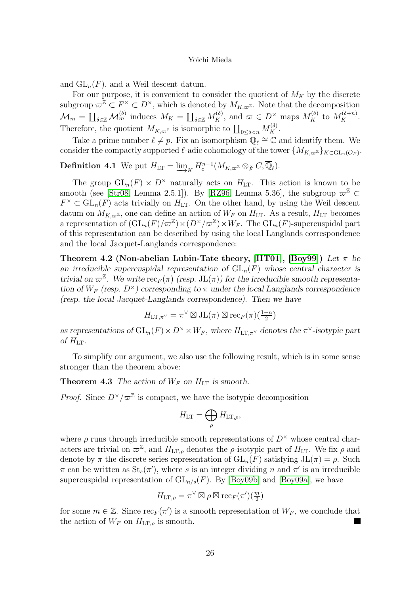and  $GL_n(F)$ , and a Weil descent datum.

For our purpose, it is convenient to consider the quotient of  $M_K$  by the discrete subgroup  $\varpi^{\mathbb{Z}} \subset F^{\times} \subset D^{\times}$ , which is denoted by  $M_{K,\varpi^{\mathbb{Z}}}$ . Note that the decomposition  $\mathcal{M}_m = \coprod_{\delta \in \mathbb{Z}} \mathcal{M}_m^{(\delta)}$  induces  $M_K = \coprod_{\delta \in \mathbb{Z}} M_K^{(\delta)}$ , and  $\varpi \in D^{\times}$  maps  $M_K^{(\delta)}$  to  $M_K^{(\delta+n)}$ . Therefore, the quotient  $M_{K,\varpi^{\mathbb{Z}}}$  is isomorphic to  $\coprod_{0\leq \delta\leq n} M_K^{(\delta)}$ .

Take a prime number  $\ell \neq p$ . Fix an isomorphism  $\mathbb{Q}_{\ell} \cong \mathbb{C}$  and identify them. We consider the compactly supported  $\ell$ -adic cohomology of the tower  $\{M_{K,\varpi^{Z}}\}_{K\subset \mathrm{GL}_{n}(\mathcal{O}_{F})}$ .

**Definition 4.1** We put  $H_{LT} = \underline{\lim}$  $\longrightarrow K$  $H_c^{n-1}(M_{K,\varpi^{\mathbb{Z}}} \otimes_{\breve{F}} C, \overline{\mathbb{Q}}_{\ell}).$ 

The group  $GL_n(F) \times D^{\times}$  naturally acts on  $H_{LT}$ . This action is known to be smooth (see [\[Str08,](#page-53-12) Lemma 2.5.1]). By [\[RZ96,](#page-53-11) Lemma 5.36], the subgroup  $\varpi^{\mathbb{Z}} \subset$  $F^{\times} \subset GL_n(F)$  acts trivially on  $H_{LT}$ . On the other hand, by using the Weil descent datum on  $M_{K,\varpi^{\mathbb{Z}}}$ , one can define an action of  $W_F$  on  $H_{LT}$ . As a result,  $H_{LT}$  becomes a representation of  $(\mathrm{GL}_n(F)/\varpi^{\mathbb{Z}}) \times (D^{\times}/\varpi^{\mathbb{Z}}) \times W_F$ . The  $\mathrm{GL}_n(F)$ -supercuspidal part of this representation can be described by using the local Langlands correspondence and the local Jacquet-Langlands correspondence:

Theorem 4.2 (Non-abelian Lubin-Tate theory, [\[HT01\]](#page-52-0), [\[Boy99\]](#page-51-5)) Let  $\pi$  be an irreducible supercuspidal representation of  $GL_n(F)$  whose central character is trivial on  $\varpi^{\mathbb{Z}}$ . We write  $\operatorname{rec}_F(\pi)$  (resp. JL $(\pi)$ ) for the irreducible smooth representation of  $W_F$  (resp.  $D^{\times}$ ) corresponding to  $\pi$  under the local Langlands correspondence (resp. the local Jacquet-Langlands correspondence). Then we have

$$
H_{\mathrm{LT},\pi^{\vee}} = \pi^{\vee} \boxtimes \mathrm{JL}(\pi) \boxtimes \mathrm{rec}_F(\pi)(\tfrac{1-n}{2})
$$

as representations of  $GL_n(F) \times D^{\times} \times W_F$ , where  $H_{LT,\pi^{\vee}}$  denotes the  $\pi^{\vee}$ -isotypic part of  $H_{LT}$ .

To simplify our argument, we also use the following result, which is in some sense stronger than the theorem above:

**Theorem 4.3** The action of  $W_F$  on  $H_{LT}$  is smooth.

*Proof.* Since  $D^{\times}/\varpi^{\mathbb{Z}}$  is compact, we have the isotypic decomposition

$$
H_{\mathrm{LT}}=\bigoplus_{\rho}H_{\mathrm{LT},\rho},
$$

where  $\rho$  runs through irreducible smooth representations of  $D^{\times}$  whose central characters are trivial on  $\varpi^{\mathbb{Z}}$ , and  $H_{\mathrm{LT},\rho}$  denotes the  $\rho$ -isotypic part of  $H_{\mathrm{LT}}$ . We fix  $\rho$  and denote by  $\pi$  the discrete series representation of  $GL_n(F)$  satisfying  $JL(\pi) = \rho$ . Such  $\pi$  can be written as  $\text{St}_{s}(\pi')$ , where s is an integer dividing n and  $\pi'$  is an irreducible supercuspidal representation of  $GL_{n/s}(F)$ . By [\[Boy09b\]](#page-51-12) and [\[Boy09a\]](#page-51-13), we have

$$
H_{\mathrm{LT},\rho} = \pi^\vee \boxtimes \rho \boxtimes \mathrm{rec}_F(\pi')(\tfrac{m}{2})
$$

for some  $m \in \mathbb{Z}$ . Since  $\operatorname{rec}_F(\pi')$  is a smooth representation of  $W_F$ , we conclude that the action of  $W_F$  on  $H_{LT,\rho}$  is smooth.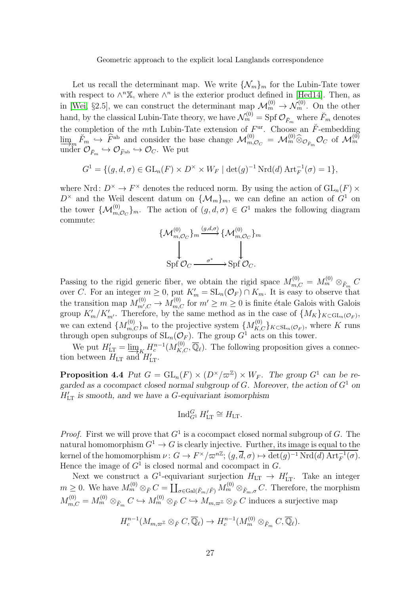Let us recall the determinant map. We write  $\{\mathcal{N}_m\}_m$  for the Lubin-Tate tower with respect to  $\wedge^n \mathbb{X}$ , where  $\wedge^n$  is the exterior product defined in [\[Hed14\]](#page-52-15). Then, as in [\[Wei,](#page-53-3) §2.5], we can construct the determinant  $\lim_{n \to \infty} \mathcal{M}_m^{(0)} \to \mathcal{N}_m^{(0)}$ . On the other hand, by the classical Lubin-Tate theory, we have  $\mathcal{N}_m^{(0)} = Spf \mathcal{O}_{\breve{F}_m}$  where  $\breve{F}_m$  denotes the completion of the mth Lubin-Tate extension of  $F^{\text{ur}}$ . Choose an  $\check{F}$ -embedding  $\lim_{m \to \infty} \tilde{F}_m \hookrightarrow \hat{F}^{\text{ab}}$  and consider the base change  $\mathcal{M}_{m,\mathcal{O}_C}^{(0)} = \mathcal{M}_m^{(0)} \hat{\otimes}_{\mathcal{O}_{\breve{F}_m}} \mathcal{O}_C$  of  $\mathcal{M}_m^{(0)}$ under  $\mathcal{O}_{\breve{F}_m} \hookrightarrow \mathcal{O}_{\widehat{F}^{\rm ab}} \hookrightarrow \mathcal{O}_C$ . We put

$$
G^{1} = \{ (g, d, \sigma) \in \mathrm{GL}_{n}(F) \times D^{\times} \times W_{F} \mid \det(g)^{-1} \mathrm{Nrd}(d) \mathrm{Art}_{F}^{-1}(\sigma) = 1 \},
$$

where Nrd:  $D^{\times} \to F^{\times}$  denotes the reduced norm. By using the action of  $GL_n(F) \times$  $D^{\times}$  and the Weil descent datum on  $\{\mathcal{M}_m\}_m$ , we can define an action of  $G^1$  on the tower  $\{\mathcal{M}_{m,\mathcal{O}_C}^{(0)}\}_m$ . The action of  $(g,d,\sigma) \in G^1$  makes the following diagram commute:

$$
\{\mathcal{M}_{m,\mathcal{O}_C}^{(0)}\}_m \xrightarrow{(g,d,\sigma)} \{\mathcal{M}_{m,\mathcal{O}_C}^{(0)}\}_m
$$
  
Spf  $\mathcal{O}_C \xrightarrow{\sigma^*} Spf \mathcal{O}_C.$ 

Passing to the rigid generic fiber, we obtain the rigid space  $M_{m,C}^{(0)} = M_m^{(0)} \otimes_{F_m} C$ over C. For an integer  $m \geq 0$ , put  $K'_m = SL_n(\mathcal{O}_F) \cap K_m$ . It is easy to observe that the transition map  $M_{m',C}^{(0)} \to M_{m,C}^{(0)}$  for  $m' \ge m \ge 0$  is finite étale Galois with Galois group  $K'_m/K'_{m'}$ . Therefore, by the same method as in the case of  $\{M_K\}_{K \subset \mathrm{GL}_n(\mathcal{O}_F)}$ , we can extend  $\{M_{m,C}^{(0)}\}_m$  to the projective system  $\{M_{K,C}^{(0)}\}_{K\subset SL_n(\mathcal{O}_F)}$ , where K runs through open subgroups of  $SL_n(\mathcal{O}_F)$ . The group  $G^1$  acts on this tower.

We put  $H'_{LT} = \underline{\lim}_{K} H_c^{n-1}(M_{K,C}^{(0)}, \overline{\mathbb{Q}}_{\ell}).$  The following proposition gives a connection between  $H_{LT}$  and  $H'_{LT}$ .

**Proposition 4.4** Put  $G = GL_n(F) \times (D^{\times}/\varpi^{\mathbb{Z}}) \times W_F$ . The group  $G^1$  can be regarded as a cocompact closed normal subgroup of G. Moreover, the action of  $G^1$  on  $H'_{LT}$  is smooth, and we have a G-equivariant isomorphism

$$
\operatorname{Ind}_{G^1}^G H'_{\text{LT}} \cong H_{\text{LT}}.
$$

*Proof.* First we will prove that  $G^1$  is a cocompact closed normal subgroup of G. The natural homomorphism  $G^1 \to G$  is clearly injective. Further, its image is equal to the kernel of the homomorphism  $\nu: G \to F^\times/\varpi^{n\mathbb{Z}}$ ;  $(g, \overline{d}, \sigma) \mapsto \det(g)^{-1} \mathrm{Nrd}(d) \mathrm{Art}_{F}^{-1}(\sigma)$ . Hence the image of  $G^1$  is closed normal and cocompact in  $G$ .

Next we construct a  $G^1$ -equivariant surjection  $H_{LT} \to H'_{LT}$ . Take an integer  $m \geq 0$ . We have  $M_m^{(0)} \otimes_{\breve{F}} C = \coprod_{\sigma \in \text{Gal}(\breve{F}_m/\breve{F})} M_m^{(0)} \otimes_{\breve{F}_m,\sigma} C$ . Therefore, the morphism  $M_{m,C}^{(0)} = M_m^{(0)} \otimes_{\breve{F}_m} C \hookrightarrow M_m^{(0)} \otimes_{\breve{F}} C \hookrightarrow M_{m,\varpi^{\mathbb{Z}}} \otimes_{\breve{F}} C$  induces a surjective map

$$
H_c^{n-1}(M_{m,\varpi^{\mathbb{Z}}}\otimes_{\breve{F}} C,\overline{\mathbb{Q}}_{\ell})\to H_c^{n-1}(M_m^{(0)}\otimes_{\breve{F}_m} C,\overline{\mathbb{Q}}_{\ell}).
$$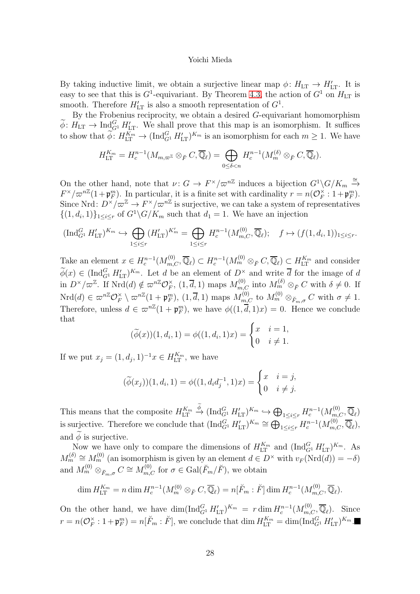By taking inductive limit, we obtain a surjective linear map  $\phi: H_{LT} \to H'_{LT}$ . It is easy to see that this is  $G^1$ -equivariant. By Theorem [4.3,](#page-49-1) the action of  $G^1$  on  $H_{LT}$  is smooth. Therefore  $H'_{LT}$  is also a smooth representation of  $G^1$ .

By the Frobenius reciprocity, we obtain a desired G-equivariant homomorphism  $\widetilde{\phi}$ :  $H_{\text{LT}} \to \text{Ind}_{G^1}^G H'_{\text{LT}}$ . We shall prove that this map is an isomorphism. It suffices to show that  $\widetilde{\phi}$ :  $H_{\rm LT}^{K_m} \to (\text{Ind}_{G^1}^G H_{\rm LT}')^{K_m}$  is an isomorphism for each  $m \geq 1$ . We have

$$
H_{\mathrm{LT}}^{K_m}=H_c^{n-1}(M_{m,\varpi^{\mathbb{Z}}}\otimes_{\breve{F}} C,\overline{\mathbb{Q}}_{\ell})=\bigoplus_{0\leq\delta
$$

On the other hand, note that  $\nu: G \to F^{\times}/\varpi^{n\mathbb{Z}}$  induces a bijection  $G^{1}\backslash G/K_{m} \stackrel{\cong}{\to}$  $F^{\times}/\varpi^{n\mathbb{Z}}(1+\mathfrak{p}_{F}^{m})$ . In particular, it is a finite set with cardinality  $r=n(\mathcal{O}_{F}^{\times})$  $_{F}^{\times}:1+\mathfrak{p}_{F}^{m}).$ Since Nrd:  $D^{\times}/\varpi^{\mathbb{Z}} \to F^{\times}/\varpi^{n\mathbb{Z}}$  is surjective, we can take a system of representatives  $\{(1, d_i, 1)\}_{1 \leq i \leq r}$  of  $G^1 \backslash G/K_m$  such that  $d_1 = 1$ . We have an injection

$$
(\operatorname{Ind}_{G^1}^G H'_{\operatorname{LT}})^{K_m} \hookrightarrow \bigoplus_{1 \leq i \leq r} (H'_{\operatorname{LT}})^{K'_m} = \bigoplus_{1 \leq i \leq r} H_c^{n-1}(M_{m,C}^{(0)}, \overline{\mathbb{Q}}_\ell); \quad f \mapsto (f(1, d_i, 1))_{1 \leq i \leq r}.
$$

Take an element  $x \in H_c^{n-1}(M_{m,C}^{(0)}, \overline{\mathbb{Q}}_\ell) \subset H_c^{n-1}(M_m^{(0)} \otimes_{\breve{F}} C, \overline{\mathbb{Q}}_\ell) \subset H_{\mathrm{LT}}^{K_m}$  and consider  $\widetilde{\phi}(x) \in (\text{Ind}_{G^1}^G H'_{LT})^{K_m}$ . Let d be an element of  $D^{\times}$  and write  $\overline{d}$  for the image of d in  $D^{\times}/\varpi^{\mathbb{Z}}$ . If  $Nrd(d) \notin \varpi^{n\mathbb{Z}} \mathcal{O}_F^{\times}$  $\chi_F^{\times}$ ,  $(1, \overline{d}, 1)$  maps  $M_{m,C}^{(0)}$  into  $M_m^{(\delta)} \otimes_{\breve{F}} C$  with  $\delta \neq 0$ . If  $Nrd(d) \in \varpi^{n\mathbb{Z}} \mathcal{O}_F^{\times}$  $\mathcal{L}_F^{\times} \setminus \varpi^{n\mathbb{Z}}(1 + \mathfrak{p}_F^m)$ ,  $(1, \overline{d}, 1)$  maps  $M_{m,C}^{(0)}$  to  $M_m^{(0)} \otimes_{\breve{F}_m, \sigma} C$  with  $\sigma \neq 1$ . Therefore, unless  $d \in \varpi^{n\mathbb{Z}}(1 + \mathfrak{p}_F^m)$ , we have  $\phi((1, \overline{d}, 1)x) = 0$ . Hence we conclude that

$$
(\widetilde{\phi}(x))(1, d_i, 1) = \phi((1, d_i, 1)x) = \begin{cases} x & i = 1, \\ 0 & i \neq 1. \end{cases}
$$

If we put  $x_j = (1, d_j, 1)^{-1} x \in H_{\text{LT}}^{K_m}$ , we have

$$
(\widetilde{\phi}(x_j))(1, d_i, 1) = \phi((1, d_i d_j^{-1}, 1)x) = \begin{cases} x & i = j, \\ 0 & i \neq j. \end{cases}
$$

This means that the composite  $H_{\text{LT}}^{K_m}$  $\stackrel{\phi}{\to} (\text{Ind}_{G^1}^G H'_{LT})^{K_m} \hookrightarrow \bigoplus_{1 \leq i \leq r} H_c^{n-1}(M_{m,C}^{(0)}, \overline{\mathbb{Q}}_{\ell})$ is surjective. Therefore we conclude that  $(\text{Ind}_{G^1}^G H'_{LT})^{K_m} \cong \bigoplus_{1 \leq i \leq r} H_c^{n-1}(M_{m,C}^{(0)}, \overline{\mathbb{Q}}_\ell),$ and  $\ddot{\phi}$  is surjective.

Now we have only to compare the dimensions of  $H_{\text{LT}}^{K_m}$  and  $(\text{Ind}_{G^1}^G H_{\text{LT}}')^{K_m}$ . As  $M_m^{(\delta)} \cong M_m^{(0)}$  (an isomorphism is given by an element  $d \in D^{\times}$  with  $v_F(\text{Nrd}(d)) = -\delta$ ) and  $M_m^{(0)} \otimes_{\breve{F}_m,\sigma} C \cong M_{m,C}^{(0)}$  for  $\sigma \in \text{Gal}(\breve{F}_m/\breve{F})$ , we obtain

$$
\dim H_{\mathrm{LT}}^{K_m} = n \dim H_c^{n-1}(M_m^{(0)} \otimes_{\breve{F}} C, \overline{\mathbb{Q}}_{\ell}) = n[\breve{F}_m : \breve{F}] \dim H_c^{n-1}(M_{m,C}^{(0)}, \overline{\mathbb{Q}}_{\ell}).
$$

On the other hand, we have  $\dim(\text{Ind}_{G^1}^G H'_{LT})^{K_m} = r \dim H_c^{n-1}(M_{m,C}^{(0)}, \overline{\mathbb{Q}}_\ell)$ . Since  $r = n(\mathcal{O}_F^{\times})$  $F_K^{\times}: 1 + \mathfrak{p}_F^m = n[\check{F}_m : \check{F}],$  we conclude that  $\dim H_{\text{LT}}^{K_m} = \dim(\text{Ind}_{G^1}^G H_{\text{LT}}')^{K_m}.$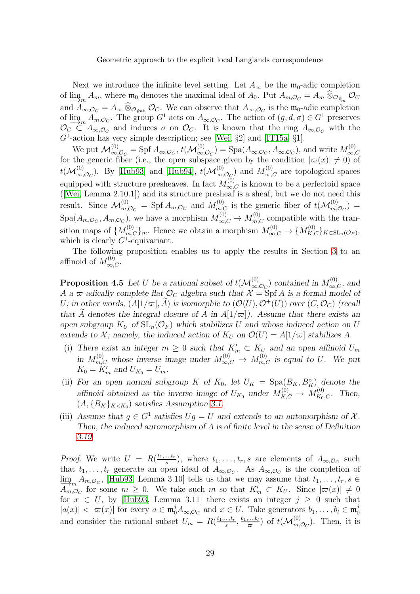Next we introduce the infinite level setting. Let  $A_{\infty}$  be the  $\mathfrak{m}_0$ -adic completion of  $\lim_{m \to \infty} A_m$ , where  $\mathfrak{m}_0$  denotes the maximal ideal of  $A_0$ . Put  $A_{m,\mathcal{O}_C} = A_m \otimes_{\mathcal{O}_{F_m}} \mathcal{O}_C$ and  $A_{\infty, \mathcal{O}_C} = A_{\infty} \otimes_{\mathcal{O}_{\widehat{F}^{ab}}} \mathcal{O}_C$ . We can observe that  $A_{\infty, \mathcal{O}_C}$  is the  $\mathfrak{m}_0$ -adic completion of  $\lim_{\sigma \to 0} A_{m,\mathcal{O}_C}$ . The group  $G^1$  acts on  $A_{\infty,\mathcal{O}_C}$ . The action of  $(g,d,\sigma) \in G^1$  preserves  $\mathcal{O}_G \subset A$  and induces  $\sigma$  on  $\mathcal{O}_G$ . It is known that the ring  $A_{\infty}$  with the  $\mathcal{O}_C \subset A_{\infty,\mathcal{O}_C}$  and induces  $\sigma$  on  $\mathcal{O}_C$ . It is known that the ring  $A_{\infty,\mathcal{O}_C}$  with the  $G<sup>1</sup>$ -action has very simple description; see [\[Wei,](#page-53-3) §2] and [\[IT15a,](#page-52-5) §1].

We put  $\mathcal{M}^{(0)}_{\infty,\mathcal{O}_C} = \text{Spf } A_{\infty,\mathcal{O}_C}, t(\mathcal{M}^{(0)}_{\infty,\mathcal{O}_C}) = \text{Spa}(A_{\infty,\mathcal{O}_C}, A_{\infty,\mathcal{O}_C}),$  and write  $M^{(0)}_{\infty,\infty}$  $_{\infty,C}$ for the generic fiber (i.e., the open subspace given by the condition  $|\varpi(x)| \neq 0$ ) of  $t(\mathcal{M}^{(0)}_{\infty,\mathcal{O}_C})$ . By [\[Hub93\]](#page-52-13) and [\[Hub94\]](#page-52-14),  $t(\mathcal{M}^{(0)}_{\infty,\mathcal{O}_C})$  and  $M^{(0)}_{\infty,C}$  are topological spaces equipped with structure presheaves. In fact  $M_{\infty,C}^{(0)}$  is known to be a perfectoid space ([\[Wei,](#page-53-3) Lemma 2.10.1]) and its structure presheaf is a sheaf, but we do not need this result. Since  $\mathcal{M}_{m,\mathcal{O}_C}^{(0)} = \text{Spf } A_{m,\mathcal{O}_C}$  and  $M_{m,C}^{(0)}$  is the generic fiber of  $t(\mathcal{M}_{m,\mathcal{O}_C}^{(0)}) =$  $Spa(A_{m, \mathcal{O}_C}, A_{m, \mathcal{O}_C})$ , we have a morphism  $M_{\infty, C}^{(0)} \to M_{m, C}^{(0)}$  compatible with the transition maps of  $\{M_{m,C}^{(0)}\}_m$ . Hence we obtain a morphism  $M_{\infty,C}^{(0)} \to \{M_{K,C}^{(0)}\}_{K \subset SL_n(\mathcal{O}_F)}$ , which is clearly  $G^1$ -equivariant.

The following proposition enables us to apply the results in Section [3](#page-11-0) to an affinoid of  $M_{\infty,C}^{(0)}$ .

**Proposition 4.5** Let U be a rational subset of  $t(M_{\infty,O_C}^{(0)})$  contained in  $M_{\infty,C}^{(0)}$ , and A a  $\varpi$ -adically complete flat  $\mathcal{O}_C$ -algebra such that  $\mathcal{X} = \text{Spf } A$  is a formal model of U; in other words,  $(A[1/\varpi], A)$  is isomorphic to  $(\mathcal{O}(U), \mathcal{O}^+(U))$  over  $(C, \mathcal{O}_C)$  (recall that A denotes the integral closure of A in  $A[1/\varpi]$ ). Assume that there exists an open subgroup  $K_U$  of  $SL_n(\mathcal{O}_F)$  which stabilizes U and whose induced action on U extends to X; namely, the induced action of  $K_U$  on  $\mathcal{O}(U) = A[1/\varpi]$  stabilizes A.

- (i) There exist an integer  $m \geq 0$  such that  $K'_m \subset K_U$  and an open affinoid  $U_m$ in  $M_{m,C}^{(0)}$  whose inverse image under  $M_{\infty,C}^{(0)} \to M_{m,C}^{(0)}$  is equal to U. We put  $K_0 = K'_m$  and  $U_{K_0} = U_m$ .
- (ii) For an open normal subgroup K of  $K_0$ , let  $U_K = \text{Spa}(B_K, B_K^{\circ})$  denote the affinoid obtained as the inverse image of  $U_{K_0}$  under  $M_{K,C}^{(0)} \to M_{K_0,C}^{(0)}$ . Then,  $(A, {B_K}_{K \triangleleft K_0})$  satisfies Assumption [3.1.](#page-49-0)
- (iii) Assume that  $g \in G^1$  satisfies  $Ug = U$  and extends to an automorphism of X. Then, the induced automorphism of A is of finite level in the sense of Definition [3.19.](#page-18-2)

*Proof.* We write  $U = R(\frac{t_1,...,t_r}{s})$  $s^{(m,t_r)}$ , where  $t_1,\ldots,t_r$ , s are elements of  $A_{\infty,\mathcal{O}_C}$  such that  $t_1, \ldots, t_r$  generate an open ideal of  $A_{\infty, \mathcal{O}_C}$ . As  $A_{\infty, \mathcal{O}_C}$  is the completion of  $\lim_{\Delta \to 0} A_{m, \mathcal{O}_C}$ , [\[Hub93,](#page-52-13) Lemma 3.10] tells us that we may assume that  $t_1, \ldots, t_r, s \in$ <br> $\overline{A}_{\infty}$  for some  $m > 0$ . We take such m so that  $K' \subset K_{tt}$ . Since  $|\varpi(x)| \neq 0$  $A_{m,\mathcal{O}_C}^{m}$  for some  $m \geq 0$ . We take such m so that  $K'_m \subset K_U$ . Since  $|\varpi(x)| \neq 0$ for  $x \in U$ , by [\[Hub93,](#page-52-13) Lemma 3.11] there exists an integer  $j \geq 0$  such that  $|a(x)| < |\varpi(x)|$  for every  $a \in \mathfrak{m}_0^j A_{\infty, \mathcal{O}_C}$  and  $x \in U$ . Take generators  $b_1, \ldots, b_l \in \mathfrak{m}_0^j$ 0 and consider the rational subset  $U_m = R(\frac{t_1,...,t_r}{s})$  $\frac{...,t_r}{s},\frac{b_1,...,b_l}{\varpi}$  $(\frac{a_1...b_l}{\varpi})$  of  $t(\mathcal{M}_{m,\mathcal{O}_C}^{(0)})$ . Then, it is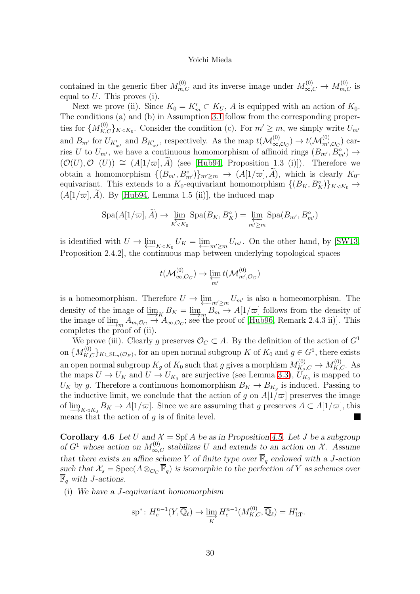contained in the generic fiber  $M_{m,C}^{(0)}$  and its inverse image under  $M_{\infty,C}^{(0)} \to M_{m,C}^{(0)}$  is equal to  $U$ . This proves (i).

Next we prove (ii). Since  $K_0 = K'_m \subset K_U$ , A is equipped with an action of  $K_0$ . The conditions (a) and (b) in Assumption [3.1](#page-49-0) follow from the corresponding properties for  $\{M_{K,C}^{(0)}\}_{K\triangleleft K_0}$ . Consider the condition (c). For  $m'\geq m$ , we simply write  $U_{m'}$ and  $B_{m'}$  for  $U_{K'_{m'}}$  and  $B_{K'_{m'}}$ , respectively. As the map  $t(\mathcal{M}_{\infty,\mathcal{O}_C}^{(0)}) \to t(\mathcal{M}_{m',\mathcal{O}_C}^{(0)})$  carries U to  $U_{m'}$ , we have a continuous homomorphism of affinoid rings  $(B_{m'}, B_{m'}^{\circ}) \to$  $(\mathcal{O}(U), \mathcal{O}^+(U)) \cong (A[1/\varpi], \tilde{A})$  (see [\[Hub94,](#page-52-14) Proposition 1.3 (i)]). Therefore we obtain a homomorphism  $\{(B_{m'}, B_{m'}^{\circ})\}_{m'\geq m} \to (A[1/\varpi], A)$ , which is clearly  $K_0$ equivariant. This extends to a  $K_0$ -equivariant homomorphism  $\{(B_K, B_K^{\circ})\}_{K \lhd K_0} \to$  $(A[1/\varpi], \overline{A})$ . By [\[Hub94,](#page-52-14) Lemma 1.5 (ii)], the induced map

$$
Spa(A[1/\varpi], \widetilde{A}) \to \varprojlim_{K \triangleleft K_0} Spa(B_K, B_K^{\circ}) = \varprojlim_{m' \ge m} Spa(B_{m'}, B_{m'}^{\circ})
$$

is identified with  $U \to \varprojlim_{K \triangleleft K_0} U_K = \varprojlim_{m' \geq m} U_{m'}$ . On the other hand, by [\[SW13,](#page-53-2) Proposition 2.4.2], the continuous map between underlying topological spaces

$$
t(\mathcal{M}^{(0)}_{\infty,\mathcal{O}_C}) \to \varprojlim_{m'} t(\mathcal{M}^{(0)}_{m',\mathcal{O}_C})
$$

is a homeomorphism. Therefore  $U \to \varprojlim_{m' \ge m} U_{m'}$  is also a homeomorphism. The density of the image of  $\lim_{K \to \infty} K_K = \lim_{K \to \infty} B_m \to A[1/\varpi]$  follows from the density of the image of lim  $A \cap A = \emptyset$  is see the proof of [Hub96, Bemark 2.4.3 ii)]. This the image of  $\underline{\lim}_{m \to m} A_{m,\mathcal{O}_C} \to A_{\infty,\mathcal{O}_C}$ ; see the proof of [\[Hub96,](#page-52-9) Remark 2.4.3 ii)]. This completes the proof of (ii) completes the proof of (ii).

We prove (iii). Clearly g preserves  $\mathcal{O}_C \subset A$ . By the definition of the action of  $G^1$ on  ${M_{K,C}^{(0)}\}_{K\subset\text{SL}_n(\mathcal{O}_F)}$ , for an open normal subgroup K of  $K_0$  and  $g\in G^1$ , there exists an open normal subgroup  $K_g$  of  $K_0$  such that g gives a morphism  $M_{K_g,C}^{(0)} \to M_{K,C}^{(0)}$ . As the maps  $U \to U_K$  and  $U \to U_{K_g}$  are surjective (see Lemma [3.3\)](#page-49-1),  $U_{K_g}$  is mapped to  $U_K$  by g. Therefore a continuous homomorphism  $B_K \to B_{K_g}$  is induced. Passing to the inductive limit, we conclude that the action of g on  $A[1/\varpi]$  preserves the image of  $\lim_{K \to K_0} B_K \to A[1/\varpi]$ . Since we are assuming that g preserves  $A \subset A[1/\varpi]$ , this means that the action of g is of finite level means that the action of  $q$  is of finite level.

**Corollary 4.6** Let U and  $\mathcal{X} = \text{Spf } A$  be as in Proposition [4.5.](#page-48-0) Let J be a subgroup of  $G^1$  whose action on  $M_{\infty,C}^{(0)}$  stabilizes U and extends to an action on X. Assume that there exists an affine scheme Y of finite type over  $\overline{\mathbb{F}}_q$  endowed with a J-action such that  $\mathcal{X}_s = \text{Spec}(A \otimes_{\mathcal{O}_C} \overline{\mathbb{F}}_q)$  is isomorphic to the perfection of Y as schemes over  $\mathbb{F}_q$  with *J*-actions.

(i) We have a J-equivariant homomorphism

$$
\mathrm{sp}^*\colon H_c^{n-1}(Y,\overline{\mathbb{Q}}_\ell)\to \varinjlim_K H_c^{n-1}(M_{K,C}^{(0)},\overline{\mathbb{Q}}_\ell)=H'_{\mathrm{LT}}.
$$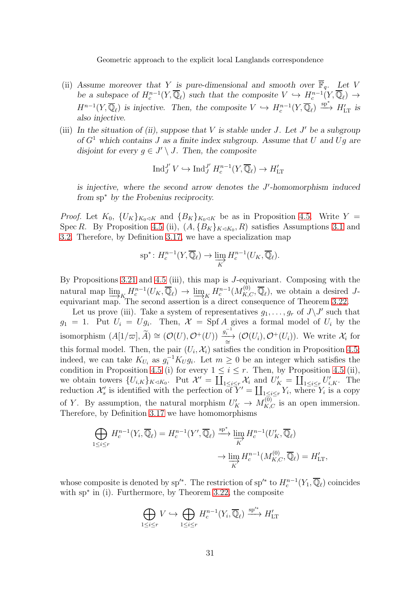- (ii) Assume moreover that Y is pure-dimensional and smooth over  $\overline{\mathbb{F}}_q$ . Let V be a subspace of  $H_c^{n-1}(Y,\overline{\mathbb{Q}}_\ell)$  such that the composite  $V \hookrightarrow H_c^{n-1}(Y,\overline{\mathbb{Q}}_\ell) \to$  $H^{n-1}(Y,\overline{\mathbb{Q}}_{\ell})$  is injective. Then, the composite  $V \hookrightarrow H_c^{n-1}(Y,\overline{\mathbb{Q}}_{\ell}) \stackrel{\text{sp}^*}{\longrightarrow} H'_{\text{LT}}$  is also injective.
- (iii) In the situation of (ii), suppose that  $V$  is stable under  $J$ . Let  $J'$  be a subgroup of  $G<sup>1</sup>$  which contains J as a finite index subgroup. Assume that U and Ug are disjoint for every  $g \in J' \setminus J$ . Then, the composite

$$
\operatorname{Ind}_J^{J'}V \hookrightarrow \operatorname{Ind}_J^{J'}H_c^{n-1}(Y,\overline{\mathbb{Q}}_\ell) \to H'_{\mathrm{LT}}
$$

is injective, where the second arrow denotes the J'-homomorphism induced from sp<sup>∗</sup> by the Frobenius reciprocity.

*Proof.* Let  $K_0$ ,  $\{U_K\}_{K_0 \lhd K}$  and  $\{B_K\}_{K_0 \lhd K}$  be as in Proposition [4.5.](#page-48-0) Write  $Y =$ Spec R. By Proposition [4.5](#page-48-0) (ii),  $(A, {B_K}_{K\triangleleft K_0}, R)$  satisfies Assumptions [3.1](#page-49-0) and [3.2.](#page-49-2) Therefore, by Definition [3.17,](#page-18-0) we have a specialization map

$$
\mathrm{sp}^*\colon H_c^{n-1}(Y,\overline{\mathbb{Q}}_\ell)\to \varinjlim_K H_c^{n-1}(U_K,\overline{\mathbb{Q}}_\ell).
$$

By Propositions [3.21](#page-20-0) and [4.5](#page-48-0) (iii), this map is J-equivariant. Composing with the natural map  $\varinjlim_{K} H_c^{n-1}(U_K, \overline{\mathbb{Q}}_{\ell}) \to \varinjlim_{K} H_c^{n-1}(M_{K,C}^{(0)}, \overline{\mathbb{Q}}_{\ell}),$  we obtain a desired J-<br>equivariant map. The second assertion is a direct consequence of Theorem 3.22 equivariant map. The second assertion is a direct consequence of Theorem [3.22.](#page-21-0)

Let us prove (iii). Take a system of representatives  $g_1, \ldots, g_r$  of  $J\backslash J'$  such that  $g_1 = 1$ . Put  $U_i = Ug_i$ . Then,  $\mathcal{X} = \text{Spf } A$  gives a formal model of  $U_i$  by the isomorphism  $(A[1/\varpi], \widetilde{A}) \cong (\mathcal{O}(U), \mathcal{O}^+(U)) \xrightarrow[\cong]{g_i^{-1}} (\mathcal{O}(U_i), \mathcal{O}^+(U_i)).$  We write  $\mathcal{X}_i$  for this formal model. Then, the pair  $(U_i, \mathcal{X}_i)$  satisfies the condition in Proposition [4.5;](#page-48-0) indeed, we can take  $K_{U_i}$  as  $g_i^{-1}K_Ug_i$ . Let  $m\geq 0$  be an integer which satisfies the condition in Proposition [4.5](#page-48-0) (i) for every  $1 \leq i \leq r$ . Then, by Proposition 4.5 (ii), we obtain towers  $\{U_{i,K}\}_{K\lhd K_0}$ . Put  $\mathcal{X}'=\coprod_{1\leq i\leq r}\mathcal{X}_i$  and  $U'_K=\coprod_{1\leq i\leq r}\mathcal{U}'_{i,K}$ . The reduction  $\mathcal{X}'_s$  is identified with the perfection of  $Y' = \coprod_{1 \leq i \leq r} Y_i$ , where  $Y_i$  is a copy of Y. By assumption, the natural morphism  $U'_K \to M_{K,C}^{(0)}$  is an open immersion. Therefore, by Definition [3.17](#page-18-0) we have homomorphisms

$$
\bigoplus_{1 \leq i \leq r} H_c^{n-1}(Y_i, \overline{\mathbb{Q}}_\ell) = H_c^{n-1}(Y', \overline{\mathbb{Q}}_\ell) \xrightarrow{\text{sp}^*} \lim_{K} H_c^{n-1}(U'_K, \overline{\mathbb{Q}}_\ell)
$$

$$
\to \lim_{K} H_c^{n-1}(M_{K,C}^{(0)}, \overline{\mathbb{Q}}_\ell) = H'_{LT},
$$

whose composite is denoted by sp'<sup>\*</sup>. The restriction of sp'<sup>\*</sup> to  $H_c^{n-1}(Y_1, \overline{\mathbb{Q}}_\ell)$  coincides with sp<sup>∗</sup> in (i). Furthermore, by Theorem [3.22,](#page-21-0) the composite

$$
\bigoplus_{1 \leq i \leq r} V \hookrightarrow \bigoplus_{1 \leq i \leq r} H_c^{n-1}(Y_i, \overline{\mathbb{Q}}_{\ell}) \xrightarrow{\text{sp}^{i*}} H'_{\text{LT}}
$$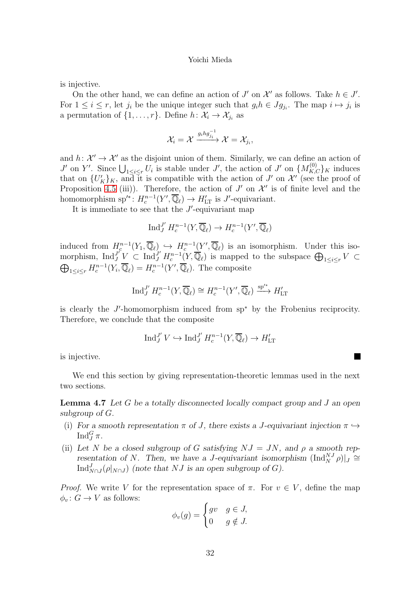is injective.

On the other hand, we can define an action of  $J'$  on  $\mathcal{X}'$  as follows. Take  $h \in J'$ . For  $1 \leq i \leq r$ , let  $j_i$  be the unique integer such that  $g_i h \in Jg_{j_i}$ . The map  $i \mapsto j_i$  is a permutation of  $\{1, \ldots, r\}$ . Define  $h: \mathcal{X}_i \to \mathcal{X}_{j_i}$  as

$$
\mathcal{X}_i = \mathcal{X} \xrightarrow{g_i h g_{j_i}^{-1}} \mathcal{X} = \mathcal{X}_{j_i},
$$

and  $h: \mathcal{X}' \to \mathcal{X}'$  as the disjoint union of them. Similarly, we can define an action of J' on Y'. Since  $\bigcup_{1\leq i\leq r} U_i$  is stable under J', the action of J' on  $\{M_{K,C}^{(0)}\}_K$  induces that on  $\{U'_K\}_K$ , and it is compatible with the action of J' on X' (see the proof of Proposition [4.5](#page-48-0) (iii)). Therefore, the action of  $J'$  on  $\mathcal{X}'$  is of finite level and the homomorphism sp'\*:  $H_c^{n-1}(Y', \overline{\mathbb{Q}}_{\ell}) \to H'_{LT}$  is J'-equivariant.

It is immediate to see that the  $J'$ -equivariant map

$$
\operatorname{Ind}_J^{J'} H^{n-1}_c(Y, \overline{\mathbb{Q}}_\ell) \to H^{n-1}_c(Y', \overline{\mathbb{Q}}_\ell)
$$

induced from  $H_c^{n-1}(Y_1, \overline{\mathbb{Q}}_\ell) \hookrightarrow H_c^{n-1}(Y', \overline{\mathbb{Q}}_\ell)$  is an isomorphism. Under this isomorphism,  $\text{Ind}_{J}^{J'}\underline{V} \subset \text{Ind}_{J}^{J'}H_c^{n-1}(\underline{Y},\overline{\mathbb{Q}}_{\ell})$  is mapped to the subspace  $\bigoplus_{1\leq i\leq r}V \subset$  $\bigoplus_{1\leq i\leq r} H_c^{n-1}(Y_i,\overline{\mathbb{Q}}_\ell) = H_c^{n-1}(Y',\overline{\mathbb{Q}}_\ell)$ . The composite

$$
\operatorname{Ind}_{J}^{J'} H_c^{n-1}(Y, \overline{\mathbb{Q}}_{\ell}) \cong H_c^{n-1}(Y', \overline{\mathbb{Q}}_{\ell}) \xrightarrow{\operatorname{sp}'^*} H'_{\operatorname{LT}}
$$

is clearly the J ′ -homomorphism induced from sp<sup>∗</sup> by the Frobenius reciprocity. Therefore, we conclude that the composite

$$
\operatorname{Ind}_J^{J'}V \hookrightarrow \operatorname{Ind}_J^{J'} H^{n-1}_c(Y,\overline{\mathbb{Q}}_\ell) \to H'_{\mathrm{LT}}
$$

is injective.

We end this section by giving representation-theoretic lemmas used in the next two sections.

**Lemma 4.7** Let G be a totally disconnected locally compact group and J an open subgroup of G.

- (i) For a smooth representation  $\pi$  of J, there exists a J-equivariant injection  $\pi \hookrightarrow$  $\operatorname{Ind}^G_J\pi$ .
- (ii) Let N be a closed subgroup of G satisfying  $NJ = JN$ , and  $\rho$  a smooth representation of N. Then, we have a J-equivariant isomorphism  $(\text{Ind}_{N}^{N} \rho)|_{J} \cong$  $\text{Ind}_{N\cap J}^J(\rho|_{N\cap J})$  (note that NJ is an open subgroup of G).

*Proof.* We write V for the representation space of  $\pi$ . For  $v \in V$ , define the map  $\phi_v: G \to V$  as follows:

$$
\phi_v(g) = \begin{cases} gv & g \in J, \\ 0 & g \notin J. \end{cases}
$$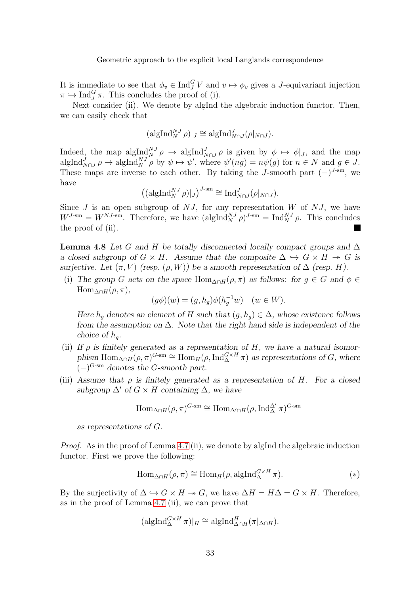It is immediate to see that  $\phi_v \in \text{Ind}_{J}^{G} V$  and  $v \mapsto \phi_v$  gives a J-equivariant injection  $\pi \hookrightarrow \text{Ind}_{J}^{G} \pi$ . This concludes the proof of (i).

Next consider (ii). We denote by algInd the algebraic induction functor. Then, we can easily check that

$$
(\mathrm{algInd}_{N}^{NJ}\rho)|_{J}\cong \mathrm{algInd}_{N\cap J}^{J}(\rho|_{N\cap J}).
$$

Indeed, the map  $\text{algInd}_{N}^{N} \rho \to \text{algInd}_{N \cap J}^{J} \rho$  is given by  $\phi \mapsto \phi|_{J}$ , and the map  $\operatorname{algInd}_{N\cap J}^J \rho \to \operatorname{algInd}_N^{NJ} \rho$  by  $\psi \mapsto \psi'$ , where  $\psi'(ng) = n\psi(g)$  for  $n \in N$  and  $g \in J$ . These maps are inverse to each other. By taking the J-smooth part  $(-)^{J\text{-sm}}$ , we have

$$
\left( (\mathrm{algInd}_{N}^{NJ} \rho)|_{J} \right)^{J\text{-sm}} \cong \mathrm{Ind}_{N\cap J}^{J}(\rho|_{N\cap J}).
$$

Since  $J$  is an open subgroup of  $NJ$ , for any representation  $W$  of  $NJ$ , we have  $W^{J\text{-sm}} = W^{NJ\text{-sm}}$ . Therefore, we have  $(\text{algInd}_{N}^{NJ} \rho)^{J\text{-sm}} = \text{Ind}_{N}^{NJ} \rho$ . This concludes the proof of (ii).

**Lemma 4.8** Let G and H be totally disconnected locally compact groups and  $\Delta$ a closed subgroup of  $G \times H$ . Assume that the composite  $\Delta \hookrightarrow G \times H \twoheadrightarrow G$  is surjective. Let  $(\pi, V)$  (resp.  $(\rho, W)$ ) be a smooth representation of  $\Delta$  (resp. H).

(i) The group G acts on the space  $\text{Hom}_{\Delta \cap H}(\rho, \pi)$  as follows: for  $g \in G$  and  $\phi \in$  $\text{Hom}_{\Delta \cap H}(\rho, \pi),$ 

$$
(g\phi)(w) = (g, h_g)\phi(h_g^{-1}w) \quad (w \in W).
$$

Here  $h_q$  denotes an element of H such that  $(g, h_q) \in \Delta$ , whose existence follows from the assumption on  $\Delta$ . Note that the right hand side is independent of the choice of  $h_q$ .

- (ii) If  $\rho$  is finitely generated as a representation of H, we have a natural isomorphism  $\text{Hom}_{\Delta \cap H}(\rho, \pi)^{G - \text{sm}} \cong \text{Hom}_{H}(\rho, \text{Ind}_{\Delta}^{G \times H} \pi)$  as representations of G, where  $(-)^{G\text{-sm}}$  denotes the G-smooth part.
- (iii) Assume that  $\rho$  is finitely generated as a representation of H. For a closed subgroup  $\Delta'$  of  $G \times H$  containing  $\Delta$ , we have

$$
\mathrm{Hom}_{\Delta \cap H}(\rho, \pi)^{G \text{-sm}} \cong \mathrm{Hom}_{\Delta' \cap H}(\rho, \mathrm{Ind}_{\Delta}^{\Delta'} \pi)^{G \text{-sm}}
$$

as representations of G.

Proof. As in the proof of Lemma [4.7](#page-42-0) (ii), we denote by algInd the algebraic induction functor. First we prove the following:

$$
\text{Hom}_{\Delta \cap H}(\rho, \pi) \cong \text{Hom}_{H}(\rho, \text{algInd}_{\Delta}^{G \times H} \pi). \tag{*}
$$

By the surjectivity of  $\Delta \hookrightarrow G \times H \twoheadrightarrow G$ , we have  $\Delta H = H\Delta = G \times H$ . Therefore, as in the proof of Lemma [4.7](#page-42-0) (ii), we can prove that

$$
(\mathrm{algInd}_{\Delta}^{G \times H} \pi)|_{H} \cong \mathrm{algInd}_{\Delta \cap H}^{H} (\pi|_{\Delta \cap H}).
$$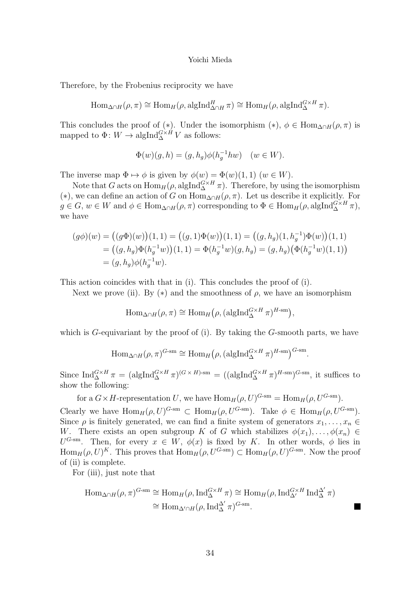Therefore, by the Frobenius reciprocity we have

$$
\text{Hom}_{\Delta \cap H}(\rho, \pi) \cong \text{Hom}_{H}(\rho, \text{algInd}_{\Delta \cap H}^{H} \pi) \cong \text{Hom}_{H}(\rho, \text{algInd}_{\Delta}^{G \times H} \pi).
$$

This concludes the proof of (\*). Under the isomorphism (\*),  $\phi \in \text{Hom}_{\Delta \cap H}(\rho, \pi)$  is mapped to  $\Phi: W \to \mathrm{algInd}_{\Delta}^{G \times H} V$  as follows:

$$
\Phi(w)(g,h) = (g,h_g)\phi(h_g^{-1}hw) \quad (w \in W).
$$

The inverse map  $\Phi \mapsto \phi$  is given by  $\phi(w) = \Phi(w)(1, 1)$   $(w \in W)$ .

Note that G acts on  $\text{Hom}_H(\rho, \text{algInd}_{\Delta}^{G \times H} \pi)$ . Therefore, by using the isomorphism (\*), we can define an action of G on  $\overline{\text{Hom}_{\Delta \cap H}(\rho, \pi)}$ . Let us describe it explicitly. For  $g \in G$ ,  $w \in W$  and  $\phi \in \text{Hom}_{\Delta \cap H}(\rho, \pi)$  corresponding to  $\Phi \in \text{Hom}_{H}(\rho, \text{algInd}_{\Delta}^{G \times H} \pi)$ , we have

$$
(g\phi)(w) = ((g\Phi)(w))(1,1) = ((g,1)\Phi(w))(1,1) = ((g,h_g)(1,h_g^{-1})\Phi(w))(1,1)
$$
  
=  $((g,h_g)\Phi(h_g^{-1}w))(1,1) = \Phi(h_g^{-1}w)(g,h_g) = (g,h_g)(\Phi(h_g^{-1}w)(1,1))$   
=  $(g,h_g)\phi(h_g^{-1}w).$ 

This action coincides with that in (i). This concludes the proof of (i).

Next we prove (ii). By  $(*)$  and the smoothness of  $\rho$ , we have an isomorphism

$$
\operatorname{Hom}_{\Delta \cap H}(\rho, \pi) \cong \operatorname{Hom}_{H}(\rho, (\operatorname{algInd}_{\Delta}^{G \times H} \pi)^{H \cdot \mathrm{sm}}),
$$

which is  $G$ -equivariant by the proof of (i). By taking the  $G$ -smooth parts, we have

$$
\text{Hom}_{\Delta \cap H}(\rho, \pi)^{G \text{-sm}} \cong \text{Hom}_{H}(\rho, (\text{algInd}_{\Delta}^{G \times H} \pi)^{H \text{-sm}})^{G \text{-sm}}.
$$

Since  ${\rm Ind}_{\Delta}^{G \times H} \pi = ( \text{algInd}_{\Delta}^{G \times H} \pi )^{(G \times H) \cdot \text{sm}} = ( (\text{algInd}_{\Delta}^{G \times H} \pi )^{H \cdot \text{sm}} )^{G \cdot \text{sm}}$ , it suffices to show the following:

for a  $G \times H$ -representation U, we have  $\text{Hom}_H(\rho, U)^{G-\text{sm}} = \text{Hom}_H(\rho, U^{G-\text{sm}})$ .

Clearly we have  $\text{Hom}_H(\rho, U)^{G-\text{sm}} \subset \text{Hom}_H(\rho, U^{G-\text{sm}})$ . Take  $\phi \in \text{Hom}_H(\rho, U^{G-\text{sm}})$ . Since  $\rho$  is finitely generated, we can find a finite system of generators  $x_1, \ldots, x_n \in$ W. There exists an open subgroup K of G which stabilizes  $\phi(x_1), \ldots, \phi(x_n) \in$  $U^{G\text{-sm}}$ . Then, for every  $x \in W$ ,  $\phi(x)$  is fixed by K. In other words,  $\phi$  lies in  $\text{Hom}_H(\rho, U)^K$ . This proves that  $\text{Hom}_H(\rho, U^{G\text{-sm}}) \subset \text{Hom}_H(\rho, U)^{G\text{-sm}}$ . Now the proof of (ii) is complete.

For (iii), just note that

$$
\text{Hom}_{\Delta \cap H}(\rho, \pi)^{G \text{-sm}} \cong \text{Hom}_{H}(\rho, \text{Ind}_{\Delta}^{G \times H} \pi) \cong \text{Hom}_{H}(\rho, \text{Ind}_{\Delta'}^{G \times H} \text{Ind}_{\Delta}^{\Delta'} \pi)
$$

$$
\cong \text{Hom}_{\Delta' \cap H}(\rho, \text{Ind}_{\Delta}^{\Delta'} \pi)^{G \text{-sm}}.
$$

E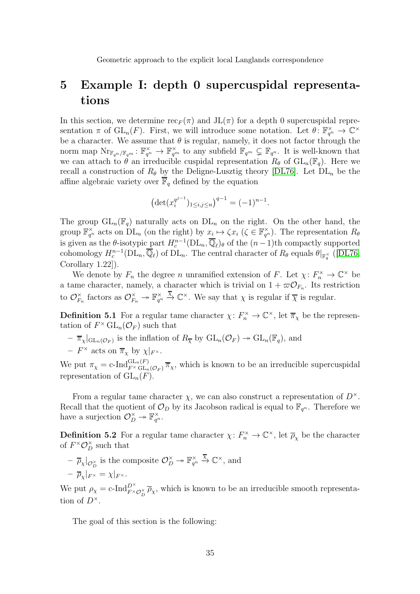## <span id="page-34-0"></span>5 Example I: depth 0 supercuspidal representations

In this section, we determine  $\operatorname{rec}_F(\pi)$  and  $JL(\pi)$  for a depth 0 supercuspidal representation  $\pi$  of  $\operatorname{GL}_n(F)$ . First, we will introduce some notation. Let  $\theta \colon \mathbb{F}_{q^n}^{\times} \to \mathbb{C}^{\times}$ be a character. We assume that  $\theta$  is regular, namely, it does not factor through the norm map  $\text{Nr}_{\mathbb{F}_{q^n}/\mathbb{F}_{q^m}}: \mathbb{F}_{q^n}^{\times} \to \mathbb{F}_{q^m}^{\times}$  to any subfield  $\mathbb{F}_{q^m} \subsetneq \mathbb{F}_{q^n}$ . It is well-known that we can attach to  $\theta$  an irreducible cuspidal representation  $R_{\theta}$  of  $GL_n(\mathbb{F}_q)$ . Here we recall a construction of  $R_{\theta}$  by the Deligne-Lusztig theory [\[DL76\]](#page-51-6). Let  $DL_n$  be the affine algebraic variety over  $\overline{\mathbb{F}}_q$  defined by the equation

$$
\left(\det(x_i^{q^{j-1}})_{1\leq i,j\leq n}\right)^{q-1} = (-1)^{n-1}.
$$

The group  $GL_n(\mathbb{F}_q)$  naturally acts on  $DL_n$  on the right. On the other hand, the group  $\mathbb{F}_{q^n}^{\times}$  acts on  $DL_n$  (on the right) by  $x_i \mapsto \zeta x_i$  ( $\zeta \in \mathbb{F}_{q^n}^{\times}$ ). The representation  $R_{\theta}$ is given as the  $\theta$ -isotypic part  $H_c^{n-1}(\text{DL}_n, \overline{\mathbb{Q}}_\ell)_{\theta}$  of the  $(n-1)$ th compactly supported cohomology  $H_c^{n-1}(\text{DL}_n, \overline{\mathbb{Q}}_\ell)$  of  $\text{DL}_n$ . The central character of  $R_\theta$  equals  $\theta|_{\mathbb{F}_q^{\times}}$  ([\[DL76,](#page-51-6) Corollary 1.22]).

We denote by  $F_n$  the degree n unramified extension of F. Let  $\chi: F_n^{\times} \to \mathbb{C}^{\times}$  be a tame character, namely, a character which is trivial on  $1 + \varpi O_{F_n}$ . Its restriction to  $\mathcal{O}_{F_3}^{\times}$  $E_{F_n}^{\times}$  factors as  $\mathcal{O}_{F_n}^{\times} \to \mathbb{F}_{q^n}^{\times}$  $\overline{\mathcal{X}}$   $\mathbb{C}^{\times}$ . We say that  $\chi$  is regular if  $\overline{\chi}$  is regular.

**Definition 5.1** For a regular tame character  $\chi: F_n^{\times} \to \mathbb{C}^{\times}$ , let  $\overline{\pi}_{\chi}$  be the representation of  $F^{\times}$  GL<sub>n</sub>( $\mathcal{O}_F$ ) such that

 $\overline{\pi}_{\chi}|_{\mathrm{GL}_n(\mathcal{O}_F)}$  is the inflation of  $R_{\overline{\chi}}$  by  $\mathrm{GL}_n(\mathcal{O}_F) \twoheadrightarrow \mathrm{GL}_n(\mathbb{F}_q)$ , and

- 
$$
F^{\times}
$$
 acts on  $\overline{\pi}_{\chi}$  by  $\chi|_{F^{\times}}$ .

We put  $\pi_{\chi} = c \cdot \text{Ind}_{F^{\times} \text{GL}_n(\mathcal{O}_F)}^{GL_n(F)} \overline{\pi}_{\chi}$ , which is known to be an irreducible supercuspidal representation of  $GL_n(F)$ .

From a regular tame character  $\chi$ , we can also construct a representation of  $D^{\times}$ . Recall that the quotient of  $\mathcal{O}_D$  by its Jacobson radical is equal to  $\mathbb{F}_{q^n}$ . Therefore we have a surjection  $\mathcal{O}_D^{\times} \to \mathbb{F}_{q^n}^{\times}$ .

**Definition 5.2** For a regular tame character  $\chi: F_n^{\times} \to \mathbb{C}^{\times}$ , let  $\overline{\rho}_{\chi}$  be the character of  $F^{\times} \mathcal{O}_D^{\times}$  such that

 $\overline{\rho}_{\chi}|_{\mathcal{O}_{D}^{\times}}$  is the composite  $\mathcal{O}_{D}^{\times} \rightarrow \mathbb{F}_{q^{n}}^{\times}$  $\overline{\mathcal{X}}$   $\mathbb{C}^{\times}$ , and  $- \overline{\rho}_{\chi}|_{F^{\times}} = \chi|_{F^{\times}}.$ 

We put  $\rho_{\chi} = c \text{-Ind}_{F^{\times} \mathcal{O}_{D}^{\times}}^{\mathcal{D}^{\times}} \overline{\rho}_{\chi}$ , which is known to be an irreducible smooth representation of  $D^{\times}$ .

The goal of this section is the following: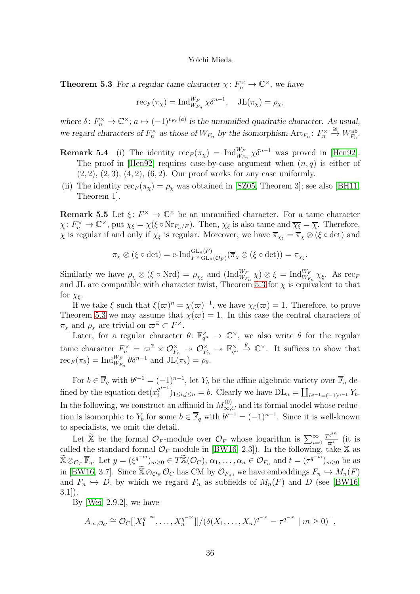**Theorem 5.3** For a regular tame character  $\chi: F_n^{\times} \to \mathbb{C}^{\times}$ , we have

$$
\mathrm{rec}_F(\pi_\chi) = \mathrm{Ind}_{W_{F_n}}^{W_F} \chi \delta^{n-1}, \quad \mathrm{JL}(\pi_\chi) = \rho_\chi,
$$

where  $\delta: F_n^{\times} \to \mathbb{C}^{\times}$ ;  $a \mapsto (-1)^{v_{F_n}(a)}$  is the unramified quadratic character. As usual, we regard characters of  $F_n^{\times}$  as those of  $W_{F_n}$  by the isomorphism  $\text{Art}_{F_n} : F_n^{\times} \xrightarrow{\cong} W_{F_n}^{\text{ab}}$ .

- **Remark 5.4** (i) The identity  $\operatorname{rec}_F(\pi_\chi) = \operatorname{Ind}_{W_{F_n}}^{W_F} \chi \delta^{n-1}$  was proved in [\[Hen92\]](#page-52-16). The proof in [\[Hen92\]](#page-52-16) requires case-by-case argument when  $(n, q)$  is either of  $(2, 2), (2, 3), (4, 2), (6, 2).$  Our proof works for any case uniformly.
- (ii) The identity  $\operatorname{rec}_F(\pi_\chi) = \rho_\chi$  was obtained in [\[SZ05,](#page-53-13) Theorem 3]; see also [\[BH11,](#page-51-14) Theorem 1].

**Remark 5.5** Let  $\xi: F^{\times} \to \mathbb{C}^{\times}$  be an unramified character. For a tame character  $\chi: F_n^{\times} \to \mathbb{C}^{\times}$ , put  $\chi_{\xi} = \chi(\xi \circ \text{Nr}_{F_n/F})$ . Then,  $\chi_{\xi}$  is also tame and  $\overline{\chi_{\xi}} = \overline{\chi}$ . Therefore,  $\chi$  is regular if and only if  $\chi_{\xi}$  is regular. Moreover, we have  $\overline{\pi}_{\chi_{\xi}} = \overline{\pi}_{\chi} \otimes (\xi \circ \det)$  and

$$
\pi_{\chi} \otimes (\xi \circ \det) = \mathrm{c}\text{-}\mathrm{Ind}_{F^{\times} \mathrm{GL}_{n}(\mathcal{O}_{F})}^{\mathrm{GL}_{n}(F)}(\overline{\pi}_{\chi} \otimes (\xi \circ \det)) = \pi_{\chi_{\xi}}.
$$

Similarly we have  $\rho_{\chi} \otimes (\xi \circ \text{Nrd}) = \rho_{\chi_{\xi}}$  and  $(\text{Ind}_{W_{F_n}}^{W_F} \chi) \otimes \xi = \text{Ind}_{W_{F_n}}^{W_F} \chi_{\xi}$ . As rec<sub>F</sub> and JL are compatible with character twist, Theorem [5.3](#page-49-1) for  $\chi$  is equivalent to that for  $\chi_{\xi}$ .

If we take  $\xi$  such that  $\xi(\varpi)^n = \chi(\varpi)^{-1}$ , we have  $\chi_{\xi}(\varpi) = 1$ . Therefore, to prove Theorem [5.3](#page-49-1) we may assume that  $\chi(\varpi) = 1$ . In this case the central characters of  $\pi_{\chi}$  and  $\rho_{\chi}$  are trivial on  $\varpi^{\mathbb{Z}} \subset F^{\times}$ .

Later, for a regular character  $\theta: \mathbb{F}_{q^n}^{\times} \to \mathbb{C}^{\times}$ , we also write  $\theta$  for the regular tame character  $F_n^{\times} = \varpi^{\mathbb{Z}} \times \mathcal{O}_{F_n}^{\times} \rightarrow \mathcal{O}_{F_n}^{\times} \rightarrow \mathbb{F}_{q^n}^{\times}$  $\stackrel{\theta}{\rightarrow} \mathbb{C}^{\times}$ . It suffices to show that  $\operatorname{rec}_F(\pi_{\theta}) = \operatorname{Ind}_{W_{F_n}}^{W_F} \theta \delta^{n-1}$  and  $\operatorname{JL}(\pi_{\theta}) = \rho_{\theta}$ .

For  $b \in \overline{\mathbb{F}}_q$  with  $b^{q-1} = (-1)^{n-1}$ , let  $Y_b$  be the affine algebraic variety over  $\overline{\mathbb{F}}_q$  defined by the equation det $(x_i^{q^{j-1}})$  $i^{q^{j-1}})_{1 \leq i,j \leq n} = b.$  Clearly we have  $DL_n = \coprod_{b^{q-1} = (-1)^{n-1}} Y_b$ . In the following, we construct an affinoid in  $M_{\infty,C}^{(0)}$  and its formal model whose reduction is isomorphic to  $Y_b$  for some  $b \in \overline{\mathbb{F}}_q$  with  $b^{q-1} = (-1)^{n-1}$ . Since it is well-known to specialists, we omit the detail.

Let  $\widetilde{\mathbb{X}}$  be the formal  $\mathcal{O}_F$ -module over  $\mathcal{O}_F$  whose logarithm is  $\sum_{i=0}^{\infty}$  $\frac{T^{q^{in}}}{\varpi^i}$  (it is called the standard formal  $\mathcal{O}_F$ -module in [\[BW16,](#page-51-8) 2.3]). In the following, take X as  $\widetilde{\mathbb{X}} \otimes_{\mathcal{O}_F} \overline{\mathbb{F}}_q$ . Let  $y = (\xi^{q^{-m}})_{m \geq 0} \in T \widetilde{\mathbb{X}}(\mathcal{O}_C), \alpha_1, \ldots, \alpha_n \in \mathcal{O}_{F_n}$  and  $t = (\tau^{q^{-m}})_{m \geq 0}$  be as in [\[BW16,](#page-51-8) 3.7]. Since  $\mathbb{X} \otimes_{\mathcal{O}_F} \mathcal{O}_C$  has CM by  $\mathcal{O}_{F_n}$ , we have embeddings  $F_n \hookrightarrow M_n(F)$ and  $F_n \hookrightarrow D$ , by which we regard  $F_n$  as subfields of  $M_n(F)$  and D (see [\[BW16,](#page-51-8)  $3.1$ ].

By [\[Wei,](#page-53-3) 2.9.2], we have

$$
A_{\infty,\mathcal{O}_C} \cong \mathcal{O}_C[[X_1^{q^{-\infty}},\ldots,X_n^{q^{-\infty}}]]/(\delta(X_1,\ldots,X_n)^{q^{-m}} - \tau^{q^{-m}} \mid m \geq 0)^-,
$$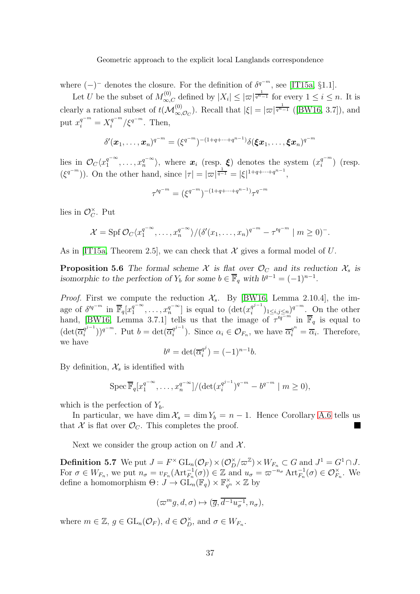where  $(-)^-$  denotes the closure. For the definition of  $\delta^{q^{-m}}$ , see [\[IT15a,](#page-52-5) §1.1].

Let U be the subset of  $M_{\infty,C}^{(0)}$  defined by  $|X_i| \leq |\varpi|^{\frac{1}{q^n-1}}$  for every  $1 \leq i \leq n$ . It is clearly a rational subset of  $t(\mathcal{M}^{(0)}_{\infty,\mathcal{O}_C})$ . Recall that  $|\xi| = |\varpi|^{\frac{1}{q^n-1}}$  ([\[BW16,](#page-51-8) 3.7]), and put  $x_i^{q^{-m}} = X_i^{q^{-m}}$  $\int_{i}^{q^{-m}}/\xi^{q^{-m}}$ . Then,

$$
\delta'(\bm{x}_1,\ldots,\bm{x}_n)^{q^{-m}} = (\xi^{q^{-m}})^{-(1+q+\cdots+q^{n-1})} \delta(\bm{\xi} \bm{x}_1,\ldots,\bm{\xi} \bm{x}_n)^{q^{-m}}
$$

lies in  $\mathcal{O}_C \langle x_1^{q^{-\infty}}$  $\langle \mathbf{q}^{q-\infty}, \ldots, \mathbf{x}_n^{q-\infty} \rangle$ , where  $\mathbf{x}_i$  (resp.  $\xi$ ) denotes the system  $(\mathbf{x}_i^{q-m})$  $\binom{q}{i}$  (resp.  $(\xi^{q^{-m}})$ ). On the other hand, since  $|\tau| = |\varpi|^{\frac{1}{q-1}} = |\xi|^{1+q+\cdots+q^{n-1}}$ ,

$$
\tau'^{q^{-m}} = (\xi^{q^{-m}})^{-(1+q+\cdots+q^{n-1})}\tau^{q^{-m}}
$$

lies in  $\mathcal{O}_C^{\times}$  $_{C}^{\times}$ . Put

$$
\mathcal{X} = \text{Spf } \mathcal{O}_C \langle x_1^{q^{-\infty}}, \dots, x_n^{q^{-\infty}} \rangle / (\delta'(x_1, \dots, x_n)^{q^{-m}} - \tau'^{q^{-m}} \mid m \geq 0)^{-}.
$$

As in [\[IT15a,](#page-52-5) Theorem 2.5], we can check that X gives a formal model of U.

**Proposition 5.6** The formal scheme X is flat over  $\mathcal{O}_C$  and its reduction  $\mathcal{X}_s$  is isomorphic to the perfection of  $Y_b$  for some  $b \in \overline{\mathbb{F}}_q$  with  $b^{q-1} = (-1)^{n-1}$ .

*Proof.* First we compute the reduction  $\mathcal{X}_s$ . By [\[BW16,](#page-51-8) Lemma 2.10.4], the image of  $\delta'^{q^{-m}}$  in  $\overline{\mathbb{F}}_q[x_1^{q^{-\infty}}]$  $a_1^{q^-\infty}, \ldots, x_n^{q^-\infty}]$  is equal to  $(\det(x_i^{q^{j-1}}))$  $\int_i^{q^{j-1}}$ )<sub>1 $\leq i,j \leq n$ </sub>)<sup>q $^{-m}$ </sup>. On the other hand, [\[BW16,](#page-51-8) Lemma 3.7.1] tells us that the image of  $\tau'^{q-m}$  in  $\overline{\mathbb{F}}_q$  is equal to  $(\det(\overline{\alpha}_i^{q^{j-1}}))$  $\overline{q^{j-1}}$ ))<sup>q-m</sup>. Put  $b = \det(\overline{\alpha}_i^{q^{j-1}})$  $\overline{\alpha}_i^{q^{j-1}}$ ). Since  $\alpha_i \in \mathcal{O}_{F_n}$ , we have  $\overline{\alpha}_i^{q^n} = \overline{\alpha}_i$ . Therefore, we have

$$
b^q = \det(\overline{\alpha}_i^{q^j}) = (-1)^{n-1}b.
$$

By definition,  $\mathcal{X}_s$  is identified with

Spec 
$$
\overline{\mathbb{F}}_q[x_1^{q^{-\infty}}, \ldots, x_n^{q^{-\infty}}]/(\det(x_i^{q^{j-1}})^{q^{-m}} - b^{q^{-m}} \mid m \ge 0),
$$

which is the perfection of  $Y<sub>b</sub>$ .

In particular, we have dim  $\mathcal{X}_s = \dim Y_b = n - 1$ . Hence Corollary [A.6](#page-49-4) tells us that X is flat over  $\mathcal{O}_C$ . This completes the proof.

Next we consider the group action on U and  $\mathcal{X}$ .

**Definition 5.7** We put  $J = F^{\times} \operatorname{GL}_n(\mathcal{O}_F) \times (\mathcal{O}_D^{\times}/\varpi^{\mathbb{Z}}) \times W_{F_n} \subset G$  and  $J^1 = G^1 \cap J$ . For  $\sigma \in W_{F_n}$ , we put  $n_{\sigma} = v_{F_n}(\text{Art}_{F_n}^{-1}(\sigma)) \in \mathbb{Z}$  and  $u_{\sigma} = \varpi^{-n_{\sigma}} \text{Art}_{F_n}^{-1}(\sigma) \in \mathcal{O}_{F_n}^{\times}$ . We define a homomorphism  $\Theta: J \to \mathrm{GL}_n(\mathbb{F}_q) \times \mathbb{F}_{q^n}^{\times} \times \mathbb{Z}$  by

$$
(\varpi^m g, d, \sigma) \mapsto (\overline{g}, \overline{d^{-1}u_{\sigma}^{-1}}, n_{\sigma}),
$$

where  $m \in \mathbb{Z}, g \in GL_n(\mathcal{O}_F), d \in \mathcal{O}_D^{\times}$ , and  $\sigma \in W_{F_n}$ .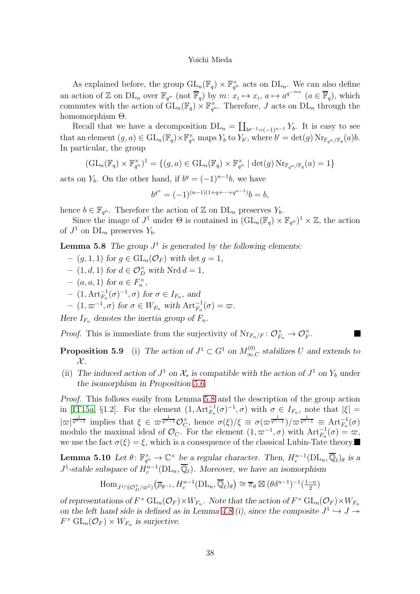As explained before, the group  $GL_n(\mathbb{F}_q) \times \mathbb{F}_{q^n}^{\times}$  acts on  $DL_n$ . We can also define an action of Z on  $DL_n$  over  $\mathbb{F}_{q^n}$  (not  $\overline{\mathbb{F}}_q$ ) by  $m: x_i \mapsto x_i$ ,  $a \mapsto a^{q^{-mn}}$   $(a \in \overline{\mathbb{F}}_q)$ , which commutes with the action of  $GL_n(\mathbb{F}_q) \times \mathbb{F}_{q^n}^{\times}$ . Therefore, J acts on  $DL_n$  through the homomorphism Θ.

Recall that we have a decomposition  $DL_n = \coprod_{b^{q-1}=(-1)^{n-1}} Y_b$ . It is easy to see that an element  $(g, a) \in GL_n(\mathbb{F}_q) \times \mathbb{F}_{q^n}^{\times}$  maps  $Y_b$  to  $Y_{b'}$ , where  $b' = \det(g) \operatorname{Nr}_{\mathbb{F}_{q^n}/\mathbb{F}_q}(a)b$ . In particular, the group

$$
(\mathrm{GL}_n(\mathbb{F}_q) \times \mathbb{F}_{q^n}^{\times})^1 = \{ (g, a) \in \mathrm{GL}_n(\mathbb{F}_q) \times \mathbb{F}_{q^n}^{\times} \mid \det(g) \mathrm{Nr}_{\mathbb{F}_{q^n}/\mathbb{F}_q}(a) = 1 \}
$$

acts on  $Y_b$ . On the other hand, if  $b^q = (-1)^{n-1}b$ , we have

$$
b^{q^n} = (-1)^{(n-1)(1+q+\cdots+q^{n-1})}b = b,
$$

hence  $b \in \mathbb{F}_{q^n}$ . Therefore the action of Z on  $DL_n$  preserves  $Y_b$ .

Since the image of  $J^1$  under  $\Theta$  is contained in  $(\mathrm{GL}_n(\mathbb{F}_q) \times \mathbb{F}_{q^n})^1 \times \mathbb{Z}$ , the action of  $J^1$  on  $DL_n$  preserves  $Y_b$ .

**Lemma 5.8** The group  $J^1$  is generated by the following elements:

- $(g, 1, 1)$  for  $g \in GL_n(\mathcal{O}_F)$  with det  $g = 1$ ,
- $-$  (1, d, 1) for  $d \in \mathcal{O}_D^{\times}$  with Nrd  $d = 1$ ,
- $(a, a, 1)$  for  $a \in F_n^{\times}$ ,
- $-$  (1, Art<sub>F<sub>n</sub></sub> (σ)<sup>-1</sup>, σ) for σ ∈ I<sub>F<sub>n</sub></sub>, and
- $(1, \varpi^{-1}, \sigma)$  for  $\sigma \in W_{F_n}$  with  $\text{Art}_{F_n}^{-1}(\sigma) = \varpi$ .

Here  $I_{F_n}$  denotes the inertia group of  $F_n$ .

*Proof.* This is immediate from the surjectivity of  $\text{Nr}_{F_n/F}: \mathcal{O}_{F_n}^{\times} \to \mathcal{O}_{F}^{\times}$ .

**Proposition 5.9** (i) The action of  $J^1 \subset G^1$  on  $M_{\infty,C}^{(0)}$  stabilizes U and extends to  $\mathcal{X}$ .

(ii) The induced action of  $J^1$  on  $\mathcal{X}_s$  is compatible with the action of  $J^1$  on  $Y_b$  under the isomorphism in Proposition [5.6.](#page-49-4)

Proof. This follows easily from Lemma [5.8](#page-43-0) and the description of the group action in [\[IT15a,](#page-52-5) §1.2]. For the element  $(1, \text{Art}_{F_n}^{-1}(\sigma)^{-1}, \sigma)$  with  $\sigma \in I_{F_n}$ , note that  $|\xi| =$  $|\varpi|^{\frac{1}{q^{n-1}}}$  implies that  $\xi \in \varpi^{\frac{1}{q^{n-1}}} \mathcal{O}_C^{\times}$  $\chi_C^{\times}$ , hence  $\sigma(\xi)/\xi \equiv \sigma(\varpi^{\frac{1}{q^n-1}})/\varpi^{\frac{1}{q^n-1}} \equiv \text{Art}_{F_n}^{-1}(\sigma)$ modulo the maximal ideal of  $\mathcal{O}_C$ . For the element  $(1, \varpi^{-1}, \sigma)$  with  $\text{Art}_{F_n}^{-1}(\sigma) = \varpi$ , we use the fact  $\sigma(\xi) = \xi$ , which is a consequence of the classical Lubin-Tate theory.

**Lemma 5.10** Let  $\theta: \mathbb{F}_{q^n}^{\times} \to \mathbb{C}^{\times}$  be a regular character. Then,  $H_c^{n-1}(\text{DL}_n, \overline{\mathbb{Q}}_\ell)_{\theta}$  is a  $J^1$ -stable subspace of  $H_c^{n-1}(\text{DL}_n, \overline{\mathbb{Q}}_\ell)$ . Moreover, we have an isomorphism

$$
\text{Hom}_{J^1 \cap (\mathcal{O}_D^{\times}/\varpi^{\mathbb{Z}})}(\overline{\rho}_{\theta^{-1}}, H_c^{n-1}(\text{DL}_n, \overline{\mathbb{Q}}_{\ell})_{\theta}) \cong \overline{\pi}_{\theta} \boxtimes (\theta \delta^{n-1})^{-1}(\frac{1-n}{2})
$$

of representations of  $F^{\times}$   $GL_n(\mathcal{O}_F) \times W_{F_n}$ . Note that the action of  $F^{\times}$   $GL_n(\mathcal{O}_F) \times W_{F_n}$ on the left hand side is defined as in Lemma [4.8](#page-43-0) (i), since the composite  $J^1 \hookrightarrow J \twoheadrightarrow$  $F^{\times} GL_n(\mathcal{O}_F) \times W_{F_n}$  is surjective.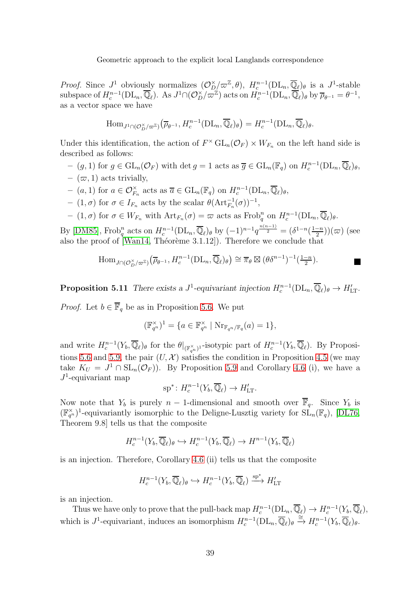*Proof.* Since  $J^1$  obviously normalizes  $(\mathcal{O}_{D_n}^{\times}/\varpi^{\mathbb{Z}}, \theta)$ ,  $H_c^{n-1}(\text{DL}_n, \overline{\mathbb{Q}}_{\ell})_{\theta}$  is a  $J^1$ -stable subspace of  $H_c^{n-1}(\mathrm{DL}_n, \overline{\mathbb{Q}}_\ell)$ . As  $J^1 \cap (\mathcal{O}_D^{\times}/\varpi^{\mathbb{Z}})$  acts on  $H_c^{n-1}(\mathrm{DL}_n, \overline{\mathbb{Q}}_\ell)$  by  $\overline{\rho}_{\theta^{-1}} = \theta^{-1}$ , as a vector space we have

$$
\text{Hom}_{J^1 \cap (\mathcal{O}_D^{\times}/\varpi^{\mathbb{Z}})}(\overline{\rho}_{\theta^{-1}}, H_c^{n-1}(\text{DL}_n, \overline{\mathbb{Q}}_{\ell})_{\theta}) = H_c^{n-1}(\text{DL}_n, \overline{\mathbb{Q}}_{\ell})_{\theta}.
$$

Under this identification, the action of  $F^{\times}$  GL<sub>n</sub>( $\mathcal{O}_F$ ) ×  $W_{F_n}$  on the left hand side is described as follows:

- $(g, 1)$  for  $g \in GL_n(\mathcal{O}_F)$  with det  $g = 1$  acts as  $\overline{g} \in GL_n(\mathbb{F}_q)$  on  $H_c^{n-1}(DL_n, \overline{\mathbb{Q}}_\ell)_\theta$ ,
- $(\varpi, 1)$  acts trivially,
- $-$  (a, 1) for  $a \in \mathcal{O}_{F_n}^{\times}$  acts as  $\overline{a} \in GL_n(\mathbb{F}_q)$  on  $H_c^{n-1}(\mathrm{DL}_n, \overline{\mathbb{Q}}_{\ell})_{\theta}$ ,
- $-$  (1, σ) for σ ∈  $I_{F_n}$  acts by the scalar  $\theta(\text{Art}_{F_n}^{-1}(\sigma))^{-1}$ ,
- $(1, \sigma)$  for  $\sigma \in W_{F_n}$  with  $\mathrm{Art}_{F_n}(\sigma) = \varpi$  acts as  $\mathrm{Frob}_q^n$  on  $H_c^{n-1}(\mathrm{DL}_n, \overline{\mathbb{Q}}_\ell)_\theta$ .

By [\[DM85\]](#page-51-15), Frob<sup>n</sup> acts on  $H_c^{n-1}(\text{DL}_n, \overline{\mathbb{Q}}_\ell)$  by  $(-1)^{n-1}q^{\frac{n(n-1)}{2}} = (\delta^{1-n}(\frac{1-n}{2})$  $\frac{(-n)}{2}) (\varpi)$  (see also the proof of [\[Wan14,](#page-53-14) Théorème 3.1.12]). Therefore we conclude that

$$
\text{Hom}_{J \cap (\mathcal{O}_D^{\times}/\varpi^{\mathbb{Z}})}(\overline{\rho}_{\theta^{-1}}, H_c^{n-1}(\text{DL}_n, \overline{\mathbb{Q}}_{\ell})_{\theta}) \cong \overline{\pi}_{\theta} \boxtimes (\theta \delta^{n-1})^{-1}(\frac{1-n}{2}).
$$

**Proposition 5.11** There exists a  $J^1$ -equivariant injection  $H_c^{n-1}(\text{DL}_n, \overline{\mathbb{Q}}_\ell)_{\theta} \to H'_{\text{LT}}$ .

*Proof.* Let  $b \in \overline{\mathbb{F}}_q$  be as in Proposition [5.6.](#page-49-4) We put

$$
(\mathbb{F}_{q^n}^{\times})^1 = \{ a \in \mathbb{F}_{q^n}^{\times} \mid \mathrm{Nr}_{\mathbb{F}_{q^n}/\mathbb{F}_q}(a) = 1 \},
$$

and write  $H_c^{n-1}(Y_b, \overline{\mathbb{Q}}_\ell)$  for the  $\theta|_{(\mathbb{F}_{q^n}^\times)^1}$ -isotypic part of  $H_c^{n-1}(Y_b, \overline{\mathbb{Q}}_\ell)$ . By Proposi-tions [5.6](#page-49-4) and [5.9,](#page-44-0) the pair  $(U, \mathcal{X})$  satisfies the condition in Proposition [4.5](#page-48-0) (we may take  $K_U = J^1 \cap SL_n(\mathcal{O}_F)$ . By Proposition [5.9](#page-44-0) and Corollary [4.6](#page-49-4) (i), we have a  $J^1$ -equivariant map

$$
\mathrm{sp}^*\colon H_c^{n-1}(Y_b,\overline{\mathbb{Q}}_\ell)\to H'_{\mathrm{LT}}.
$$

Now note that  $Y_b$  is purely  $n-1$ -dimensional and smooth over  $\overline{\mathbb{F}}_q$ . Since  $Y_b$  is  $(\mathbb{F}_{q^n}^{\times})^1$ -equivariantly isomorphic to the Deligne-Lusztig variety for  $SL_n(\mathbb{F}_q)$ , [\[DL76,](#page-51-6) Theorem 9.8] tells us that the composite

$$
H_c^{n-1}(Y_b, \overline{\mathbb{Q}}_\ell)_\theta \hookrightarrow H_c^{n-1}(Y_b, \overline{\mathbb{Q}}_\ell) \to H^{n-1}(Y_b, \overline{\mathbb{Q}}_\ell)
$$

is an injection. Therefore, Corollary [4.6](#page-49-4) (ii) tells us that the composite

$$
H_c^{n-1}(Y_b, \overline{\mathbb{Q}}_{\ell})_{\theta} \hookrightarrow H_c^{n-1}(Y_b, \overline{\mathbb{Q}}_{\ell}) \xrightarrow{\text{sp}^*} H'_{\text{LT}}
$$

is an injection.

Thus we have only to prove that the pull-back map  $H_c^{n-1}(\mathrm{DL}_n, \overline{\mathbb{Q}}_\ell) \to H_c^{n-1}(Y_b, \overline{\mathbb{Q}}_\ell)$ , which is  $J^1$ -equivariant, induces an isomorphism  $H_c^{n-1}(\mathrm{DL}_n, \overline{\mathbb{Q}}_\ell)_\theta \stackrel{\cong}{\to} H_c^{n-1}(Y_b, \overline{\mathbb{Q}}_\ell)_\theta$ .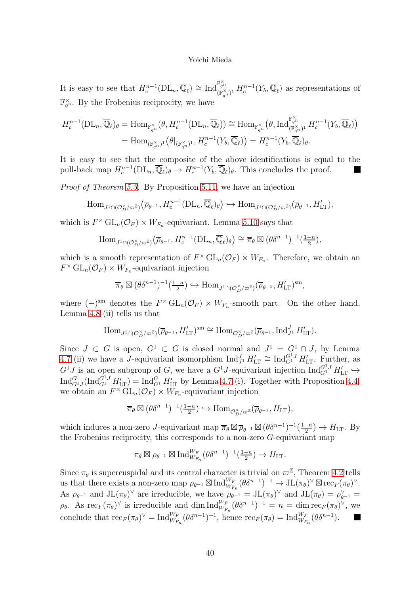It is easy to see that  $H_c^{n-1}(\mathrm{DL}_n, \overline{\mathbb{Q}}_\ell) \cong \mathrm{Ind}_{\mathbb{R}^\times}^{\mathbb{F}_{q^n_\ell}}$  $(\mathbb{F}_{q^n}^{\times})^1$   $H_c^{n-1}(Y_b, \overline{\mathbb{Q}}_\ell)$  as representations of  $\mathbb{F}_{q^n}^{\times}$ . By the Frobenius reciprocity, we have

$$
H_c^{n-1}(\text{DL}_n, \overline{\mathbb{Q}}_\ell)_{\theta} = \text{Hom}_{\mathbb{F}_{q^n}^{\times}}(\theta, H_c^{n-1}(\text{DL}_n, \overline{\mathbb{Q}}_\ell)) \cong \text{Hom}_{\mathbb{F}_{q^n}^{\times}}(\theta, \text{Ind}_{(\mathbb{F}_{q^n}^{\times})^1}^{\mathbb{F}_{q^n}^{\times}} H_c^{n-1}(Y_b, \overline{\mathbb{Q}}_\ell))
$$
  
= Hom<sub>(\mathbb{F}\_{q^n}^{\times})^1}(\theta|\_{(\mathbb{F}\_{q^n}^{\times})^1}, H\_c^{n-1}(Y\_b, \overline{\mathbb{Q}}\_\ell)) = H\_c^{n-1}(Y\_b, \overline{\mathbb{Q}}\_\ell)\_{\theta}.</sub>

It is easy to see that the composite of the above identifications is equal to the pull-back map  $H_c^{n-1}(\text{DL}_n, \overline{\mathbb{Q}}_\ell)_\theta \to H_c^{n-1}(Y_b, \overline{\mathbb{Q}}_\ell)_\theta$ . This concludes the proof.

Proof of Theorem [5.3.](#page-49-1) By Proposition [5.11,](#page-45-1) we have an injection

$$
\text{Hom}_{J^1 \cap (\mathcal{O}_D^{\times}/\varpi^{\mathbb{Z}})}(\overline{\rho}_{\theta^{-1}}, H_c^{n-1}(\text{DL}_n, \overline{\mathbb{Q}}_{\ell})_{\theta}) \hookrightarrow \text{Hom}_{J^1 \cap (\mathcal{O}_D^{\times}/\varpi^{\mathbb{Z}})}(\overline{\rho}_{\theta^{-1}}, H_{\text{LT}}'),
$$

which is  $F^{\times}$   $GL_n(\mathcal{O}_F) \times W_{F_n}$ -equivariant. Lemma [5.10](#page-45-0) says that

$$
\text{Hom}_{J^1 \cap (\mathcal{O}_D^{\times}/\varpi^{\mathbb{Z}})}(\overline{\rho}_{\theta^{-1}}, H_c^{n-1}(\text{DL}_n, \overline{\mathbb{Q}}_{\ell})_{\theta}) \cong \overline{\pi}_{\theta} \boxtimes (\theta \delta^{n-1})^{-1}(\frac{1-n}{2}),
$$

which is a smooth representation of  $F^{\times} GL_n(\mathcal{O}_F) \times W_{F_n}$ . Therefore, we obtain an  $F^{\times} \mathrm{GL}_n(\mathcal{O}_F) \times W_{F_n}$ -equivariant injection

$$
\overline{\pi}_{\theta} \boxtimes (\theta \delta^{n-1})^{-1}(\frac{1-n}{2}) \hookrightarrow \text{Hom}_{J^1 \cap (\mathcal{O}_D^{\times}/\varpi^{\mathbb{Z}})}(\overline{\rho}_{\theta^{-1}}, H^{\prime}_{\text{LT}})^{\text{sm}},
$$

where  $(-)^{sm}$  denotes the  $F^{\times} GL_n(\mathcal{O}_F) \times W_{F_n}$ -smooth part. On the other hand, Lemma [4.8](#page-43-0) (ii) tells us that

$$
\text{Hom}_{J^1 \cap (\mathcal{O}_D^{\times}/\varpi^{\mathbb{Z}})}(\overline{\rho}_{\theta^{-1}}, H'_{\text{LT}})^{\text{sm}} \cong \text{Hom}_{\mathcal{O}_D^{\times}/\varpi^{\mathbb{Z}}}(\overline{\rho}_{\theta^{-1}}, \text{Ind}_{J^1}^J H'_{\text{LT}}).
$$

Since  $J \subset G$  is open,  $G^1 \subset G$  is closed normal and  $J^1 = G^1 \cap J$ , by Lemma [4.7](#page-42-0) (ii) we have a J-equivariant isomorphism  $\text{Ind}_{J}^{J} H'_{LT} \cong \text{Ind}_{G}^{G^1J} H'_{LT}$ . Further, as  $G^1J$  is an open subgroup of G, we have a  $G^1J$ -equivariant injection  $\text{Ind}_{G^1}^{G^1J} H'_{LT} \hookrightarrow$  $\text{Ind}_{G^1J}^G(\text{Ind}_{G^1}^{G^1J}H'_{LT}) = \text{Ind}_{G^1}^G H'_{LT}$  by Lemma [4.7](#page-42-0) (i). Together with Proposition [4.4,](#page-50-0) we obtain an  $F^{\times}$   $GL_n(\mathcal{O}_F) \times W_{F_n}$ -equivariant injection

$$
\overline{\pi}_{\theta} \boxtimes (\theta \delta^{n-1})^{-1}(\frac{1-n}{2}) \hookrightarrow \text{Hom}_{\mathcal{O}_D^{\times}/\varpi^{\mathbb{Z}}}(\overline{\rho}_{\theta^{-1}}, H_{\text{LT}}),
$$

which induces a non-zero J-equivariant map  $\overline{\pi}_{\theta} \boxtimes \overline{\rho}_{\theta^{-1}} \boxtimes (\theta \delta^{n-1})^{-1}(\frac{1-n}{2})$  $\frac{-n}{2}) \to H_{\text{LT}}$ . By the Frobenius reciprocity, this corresponds to a non-zero G-equivariant map

$$
\pi_{\theta} \boxtimes \rho_{\theta^{-1}} \boxtimes \text{Ind}_{W_{F_n}}^{W_F}(\theta \delta^{n-1})^{-1}(\frac{1-n}{2}) \to H_{\mathrm{LT}}.
$$

Since  $\pi_{\theta}$  is supercuspidal and its central character is trivial on  $\varpi^{\mathbb{Z}}$ , Theorem [4.2](#page-49-2) tells us that there exists a non-zero map  $\rho_{\theta^{-1}} \boxtimes \text{Ind}_{W_{F_n}}^{W_F}(\theta \delta^{n-1})^{-1} \to \text{JL}(\pi_\theta)^{\vee} \boxtimes \text{rec}_F(\pi_\theta)^{\vee}$ . As  $\rho_{\theta^{-1}}$  and  $JL(\pi_{\theta})^{\vee}$  are irreducible, we have  $\rho_{\theta^{-1}} = JL(\pi_{\theta})^{\vee}$  and  $JL(\pi_{\theta}) = \rho_{\theta^{-1}}^{\vee} =$  $\rho_{\theta}$ . As  $\operatorname{rec}_F(\pi_{\theta})^{\vee}$  is irreducible and dim  $\operatorname{Ind}_{W_{F_n}}^{W_F}(\theta \delta^{n-1})^{-1} = n = \dim \operatorname{rec}_F(\pi_{\theta})^{\vee}$ , we conclude that  $\mathrm{rec}_F(\pi_{\theta})^{\vee} = \mathrm{Ind}_{W_{F_n}}^{W_F}(\theta \delta^{n-1})^{-1}$ , hence  $\mathrm{rec}_F(\pi_{\theta}) = \mathrm{Ind}_{W_{F_n}}^{W_F}(\theta \delta^{n-1})$ .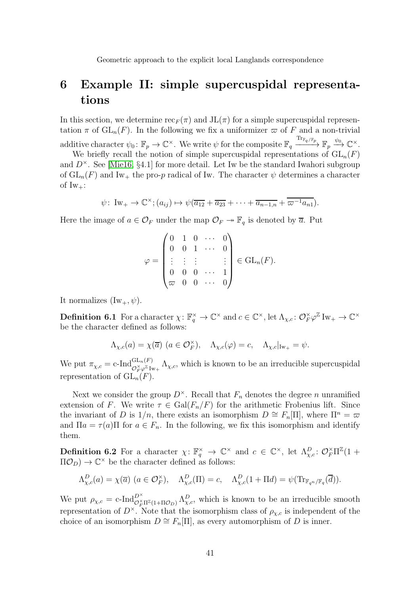# <span id="page-40-0"></span>6 Example II: simple supercuspidal representations

In this section, we determine  $\operatorname{rec}_F(\pi)$  and  $JL(\pi)$  for a simple supercuspidal representation  $\pi$  of  $GL_n(F)$ . In the following we fix a uniformizer  $\varpi$  of F and a non-trivial additive character  $\psi_0: \mathbb{F}_p \to \mathbb{C}^\times$ . We write  $\psi$  for the composite  $\mathbb{F}_q \xrightarrow{\text{Tr}_{\mathbb{F}_q/\mathbb{F}_p}} \mathbb{F}_p \xrightarrow{\psi_0} \mathbb{C}^\times$ .

We briefly recall the notion of simple supercuspidal representations of  $GL_n(F)$ and  $D^{\times}$ . See [\[Mie16,](#page-53-15) §4.1] for more detail. Let Iw be the standard Iwahori subgroup of  $GL_n(F)$  and Iw<sub>+</sub> the pro-p radical of Iw. The character  $\psi$  determines a character of  $Iw_+$ :

$$
\psi\colon Iw_+\to \mathbb{C}^{\times}; (a_{ij})\mapsto \psi(\overline{a_{12}}+\overline{a_{23}}+\cdots+\overline{a_{n-1,n}}+\overline{\omega^{-1}a_{n1}}).
$$

Here the image of  $a \in \mathcal{O}_F$  under the map  $\mathcal{O}_F \to \mathbb{F}_q$  is denoted by  $\overline{a}$ . Put

$$
\varphi = \begin{pmatrix} 0 & 1 & 0 & \cdots & 0 \\ 0 & 0 & 1 & \cdots & 0 \\ \vdots & \vdots & \vdots & & \vdots \\ 0 & 0 & 0 & \cdots & 1 \\ \varpi & 0 & 0 & \cdots & 0 \end{pmatrix} \in \text{GL}_n(F).
$$

It normalizes  $(Iw_+, \psi)$ .

**Definition 6.1** For a character  $\chi: \mathbb{F}_q^{\times} \to \mathbb{C}^{\times}$  and  $c \in \mathbb{C}^{\times}$ , let  $\Lambda_{\chi,c}: \mathcal{O}_F^{\times} \varphi^{\mathbb{Z}}$  Iw<sub>+</sub>  $\to \mathbb{C}^{\times}$ be the character defined as follows:

$$
\Lambda_{\chi,c}(a) = \chi(\overline{a}) \ (a \in \mathcal{O}_F^{\times}), \quad \Lambda_{\chi,c}(\varphi) = c, \quad \Lambda_{\chi,c}|_{\mathrm{Iw}_+} = \psi.
$$

We put  $\pi_{\chi,c} = c \cdot \text{Ind}_{\mathcal{O}_F^{\times} \varphi^{\mathbb{Z}} \text{Iw}_+}^{\text{GL}_n(F)} \Lambda_{\chi,c}$ , which is known to be an irreducible supercuspidal representation of  $GL_n(F)$ .

Next we consider the group  $D^{\times}$ . Recall that  $F_n$  denotes the degree n unramified extension of F. We write  $\tau \in \text{Gal}(F_n/F)$  for the arithmetic Frobenius lift. Since the invariant of D is  $1/n$ , there exists an isomorphism  $D \cong F_n[\Pi]$ , where  $\Pi^n = \varpi$ and  $\Pi a = \tau(a)\Pi$  for  $a \in F_n$ . In the following, we fix this isomorphism and identify them.

**Definition 6.2** For a character  $\chi: \mathbb{F}_q^{\times} \to \mathbb{C}^{\times}$  and  $c \in \mathbb{C}^{\times}$ , let  $\Lambda_{\chi,c}^D: \mathcal{O}_F^{\times} \Pi^{\mathbb{Z}}(1+\mathbb{C}^{\times})$  $\Pi \mathcal{O}_D$ )  $\to \mathbb{C}^\times$  be the character defined as follows:

$$
\Lambda_{\chi,c}^D(a) = \chi(\overline{a}) \ (a \in \mathcal{O}_F^{\times}), \quad \Lambda_{\chi,c}^D(\Pi) = c, \quad \Lambda_{\chi,c}^D(1 + \Pi d) = \psi(\text{Tr}_{\mathbb{F}_{q^n}/\mathbb{F}_q}(\overline{d})).
$$

We put  $\rho_{\chi,c} = c\text{-Ind}_{\mathcal{O}_F^{\times} \Pi^{\mathbb{Z}}(1+\Pi\mathcal{O}_D)}^{\mathcal{D}^{\times}} \Lambda_{\chi,c}^D$ , which is known to be an irreducible smooth representation of  $D^{\times}$ . Note that the isomorphism class of  $\rho_{\chi,c}$  is independent of the choice of an isomorphism  $D \cong F_n[\Pi]$ , as every automorphism of D is inner.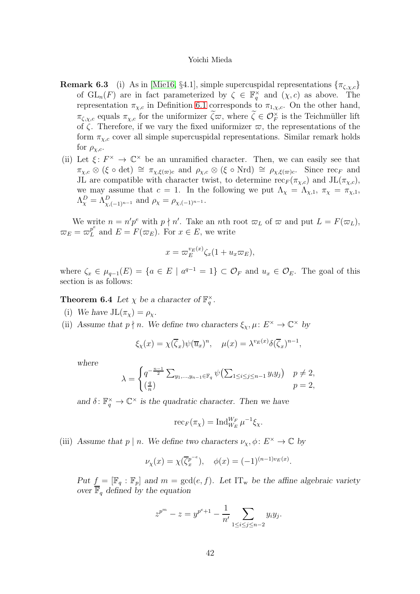- **Remark 6.3** (i) As in [\[Mie16,](#page-53-15) §4.1], simple supercuspidal representations  $\{\pi_{\zeta,x,c}\}$ of  $GL_n(F)$  are in fact parameterized by  $\zeta \in \mathbb{F}_q^{\times}$  and  $(\chi, c)$  as above. The representation  $\pi_{\chi,c}$  in Definition [6.1](#page-49-0) corresponds to  $\pi_{1,\chi,c}$ . On the other hand,  $\pi_{\zeta,\chi,c}$  equals  $\pi_{\chi,c}$  for the uniformizer  $\zeta \varpi$ , where  $\zeta \in \mathcal{O}_F^{\times}$  is the Teichmüller lift of  $\zeta$ . Therefore, if we vary the fixed uniformizer  $\varpi$ , the representations of the form  $\pi_{\chi,c}$  cover all simple supercuspidal representations. Similar remark holds for  $\rho_{\chi,c}$ .
- (ii) Let  $\xi: F^{\times} \to \mathbb{C}^{\times}$  be an unramified character. Then, we can easily see that  $\pi_{\chi,c} \otimes (\xi \circ \det) \cong \pi_{\chi,\xi(\varpi)c}$  and  $\rho_{\chi,c} \otimes (\xi \circ \mathrm{Nrd}) \cong \rho_{\chi,\xi(\varpi)c}$ . Since rec<sub>F</sub> and JL are compatible with character twist, to determine  $\operatorname{rec}_F(\pi_{\chi,c})$  and  $\operatorname{JL}(\pi_{\chi,c})$ , we may assume that  $c = 1$ . In the following we put  $\Lambda_{\chi} = \Lambda_{\chi,1}$ ,  $\pi_{\chi} = \pi_{\chi,1}$ ,  $\Lambda^D_{\chi} = \Lambda^D_{\chi, (-1)^{n-1}}$  and  $\rho_{\chi} = \rho_{\chi, (-1)^{n-1}}$ .

We write  $n = n'p^e$  with  $p \nmid n'$ . Take an nth root  $\varpi_L$  of  $\varpi$  and put  $L = F(\varpi_L)$ ,  $\varpi_E = \varpi_L^{p^e}$  $L<sup>p</sup>$  and  $E = F(\varpi_E)$ . For  $x \in E$ , we write

$$
x = \varpi_E^{v_E(x)} \zeta_x(1 + u_x \varpi_E),
$$

where  $\zeta_x \in \mu_{q-1}(E) = \{a \in E \mid a^{q-1} = 1\} \subset \mathcal{O}_F$  and  $u_x \in \mathcal{O}_E$ . The goal of this section is as follows:

**Theorem 6.4** Let  $\chi$  be a character of  $\mathbb{F}_q^{\times}$ .

- (i) We have  $JL(\pi_{\chi}) = \rho_{\chi}$ .
- (ii) Assume that  $p \nmid n$ . We define two characters  $\xi_{\chi}, \mu \colon E^{\times} \to \mathbb{C}^{\times}$  by

$$
\xi_{\chi}(x) = \chi(\overline{\zeta}_x)\psi(\overline{u}_x)^n, \quad \mu(x) = \lambda^{v_E(x)}\delta(\overline{\zeta}_x)^{n-1},
$$

where

$$
\lambda = \begin{cases} q^{-\frac{n-1}{2}} \sum_{y_1, \dots, y_{n-1} \in \mathbb{F}_q} \psi\left(\sum_{1 \le i \le j \le n-1} y_i y_j\right) & p \ne 2, \\ \left(\frac{q}{n}\right) & p = 2, \end{cases}
$$

and  $\delta: \mathbb{F}_q^{\times} \to \mathbb{C}^{\times}$  is the quadratic character. Then we have

$$
\operatorname{rec}_F(\pi_\chi) = \operatorname{Ind}_{W_E}^{W_F} \mu^{-1} \xi_\chi.
$$

(iii) Assume that  $p \mid n$ . We define two characters  $\nu_x, \phi \colon E^\times \to \mathbb{C}$  by

$$
\nu_{\chi}(x) = \chi(\overline{\zeta}_x^{p^{-e}}), \quad \phi(x) = (-1)^{(n-1)v_E(x)}.
$$

Put  $f = [\mathbb{F}_q : \mathbb{F}_p]$  and  $m = \gcd(e, f)$ . Let  $IT_w$  be the affine algebraic variety over  $\overline{\mathbb{F}}_q$  defined by the equation

$$
z^{p^{m}} - z = y^{p^{e}+1} - \frac{1}{n'} \sum_{1 \le i \le j \le n-2} y_{i} y_{j}.
$$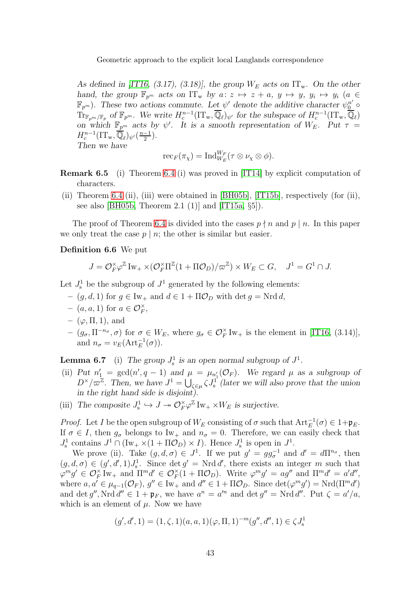As defined in [\[IT16,](#page-52-6) (3.17), (3.18)], the group  $W_E$  acts on  $IT_w$ . On the other hand, the group  $\mathbb{F}_{p^m}$  acts on  $IT_w$  by  $a: z \mapsto z + a, y \mapsto y, y_i \mapsto y_i$   $(a \in$  $(\mathbb{F}_{p^m})$ . These two actions commute. Let  $\psi'$  denote the additive character  $\psi_0^{n'}$  $\text{Tr}_{\mathbb{F}_{p^m}/\mathbb{F}_p}$  of  $\mathbb{F}_{p^m}$ . We write  $H_c^{n-1}(\text{IT}_w, \overline{\mathbb{Q}}_\ell)_{\psi'}$  for the subspace of  $H_c^{n-1}(\text{IT}_w, \overline{\mathbb{Q}}_\ell)$ on which  $\mathbb{F}_{p^m}$  acts by  $\psi'$ . It is a smooth representation of  $W_E$ . Put  $\tau =$  $H_c^{n-1}(\mathrm{IT}_{\mathrm{w}},\overline{\mathbb{Q}}_\ell)_{\psi'}(\frac{n-1}{2})$  $\frac{-1}{2}$ ). Then we have

$$
\mathrm{rec}_F(\pi_\chi)=\mathrm{Ind}_{W_E}^{W_F}(\tau\otimes\nu_\chi\otimes\phi).
$$

Remark 6.5 (i) Theorem [6.4](#page-50-0) (i) was proved in [\[IT14\]](#page-52-17) by explicit computation of characters.

(ii) Theorem [6.4](#page-50-0) (ii), (iii) were obtained in [\[BH05b\]](#page-51-2), [\[IT15b\]](#page-52-3), respectively (for (ii), see also [\[BH05b,](#page-51-2) Theorem 2.1 (1)] and [\[IT15a,](#page-52-5)  $\S5$ ]).

The proof of Theorem [6.4](#page-50-0) is divided into the cases  $p \nmid n$  and  $p \mid n$ . In this paper we only treat the case  $p \mid n$ ; the other is similar but easier.

#### Definition 6.6 We put

$$
J = \mathcal{O}_F^{\times} \varphi^{\mathbb{Z}} \operatorname{Iw}_+ \times (\mathcal{O}_F^{\times} \Pi^{\mathbb{Z}} (1 + \Pi \mathcal{O}_D) / \varpi^{\mathbb{Z}}) \times W_E \subset G, \quad J^1 = G^1 \cap J.
$$

Let  $J_s^1$  be the subgroup of  $J^1$  generated by the following elements:

- $(g, d, 1)$  for  $g \in \text{Iw}_+$  and  $d \in 1 + \Pi \mathcal{O}_D$  with det  $g = \text{Nrd } d$ ,
- $(a, a, 1)$  for  $a \in \mathcal{O}_F^{\times}$ ,
- $-$  ( $\varphi$ ,  $\Pi$ , 1), and
- $-(g_{\sigma}, \Pi^{-n_{\sigma}}, \sigma)$  for  $\sigma \in W_E$ , where  $g_{\sigma} \in \mathcal{O}_F^{\times}$  Iw<sub>+</sub> is the element in [\[IT16,](#page-52-6) (3.14)], and  $n_{\sigma} = v_E(\text{Art}_{E}^{-1}(\sigma)).$

<span id="page-42-0"></span>**Lemma 6.7** (i) The group  $J_s^1$  is an open normal subgroup of  $J^1$ .

- (ii) Put  $n'_1 = \gcd(n', q 1)$  and  $\mu = \mu_{n'_1}(\mathcal{O}_F)$ . We regard  $\mu$  as a subgroup of  $D^{\times}/\varpi^{\mathbb{Z}}$ . Then, we have  $J^1 = \bigcup_{\zeta \in \mu} \zeta J_s^1$  (later we will also prove that the union in the right hand side is disjoint).
- (iii) The composite  $J_s^1 \hookrightarrow J \twoheadrightarrow \mathcal{O}_F^{\times} \varphi^{\mathbb{Z}} \mathbb{I}_{W_+} \times W_E$  is surjective.

*Proof.* Let *I* be the open subgroup of  $W_E$  consisting of  $\sigma$  such that  $Art_E^{-1}(\sigma) \in 1 + \mathfrak{p}_E$ . If  $\sigma \in I$ , then  $g_{\sigma}$  belongs to Iw<sub>+</sub> and  $n_{\sigma} = 0$ . Therefore, we can easily check that  $J_s^1$  contains  $J^1 \cap (\text{Iw}_+ \times (1 + \Pi \mathcal{O}_D) \times I)$ . Hence  $J_s^1$  is open in  $J^1$ .

We prove (ii). Take  $(g, d, \sigma) \in J^1$ . If we put  $g' = gg_{\sigma}^{-1}$  and  $d' = d\Pi^{n_{\sigma}},$  then  $(g, d, \sigma) \in (g', d', 1)J_s^1$ . Since  $\det g' = \text{Nrd } d'$ , there exists an integer m such that  $\varphi^{m}g' \in \mathcal{O}_{F}^{\times}$  Iw<sub>+</sub> and  $\Pi^{m}d' \in \mathcal{O}_{F}^{\times}(1 + \Pi \mathcal{O}_{D})$ . Write  $\varphi^{m}g' = ag''$  and  $\Pi^{m}d' = a'd'',$ where  $a, a' \in \mu_{q-1}(\mathcal{O}_F), g'' \in \text{Iw}_+$  and  $d'' \in 1 + \Pi \mathcal{O}_D$ . Since  $\det(\varphi^m g') = \text{Nrd}(\Pi^m d')$ and det g'', Nrd  $d'' \in 1 + \mathfrak{p}_F$ , we have  $a^n = a'^n$  and det  $g'' = Nrd d''$ . Put  $\zeta = a'/a$ , which is an element of  $\mu$ . Now we have

$$
(g', d', 1) = (1, \zeta, 1)(a, a, 1)(\varphi, \Pi, 1)^{-m}(g'', d'', 1) \in \zeta J^1_{\mathbf{s}}
$$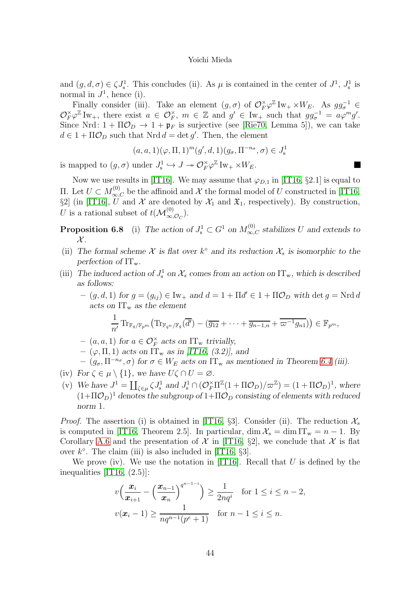and  $(g, d, \sigma) \in \zeta J_s^1$ . This concludes (ii). As  $\mu$  is contained in the center of  $J^1$ ,  $J_s^1$  is normal in  $J^1$ , hence (i).

Finally consider (iii). Take an element  $(g, \sigma)$  of  $\mathcal{O}_F^{\times} \varphi^{\mathbb{Z}} \text{Iw}_+ \times W_E$ . As  $gg_{\sigma}^{-1} \in \mathbb{Z}$  $\mathcal{O}_F^{\times} \varphi^{\mathbb{Z}} \text{Iw}_+$ , there exist  $a \in \mathcal{O}_F^{\times}$ ,  $m \in \mathbb{Z}$  and  $g' \in \text{Iw}_+$  such that  $gg_\sigma^{-1} = a\varphi^m g'.$ Since Nrd:  $1 + \Pi \mathcal{O}_D \rightarrow 1 + \mathfrak{p}_F$  is surjective (see [\[Rie70,](#page-53-16) Lemma 5]), we can take  $d \in 1 + \Pi \mathcal{O}_D$  such that  $Nrd d = det g'$ . Then, the element

$$
(a, a, 1)(\varphi, \Pi, 1)^m (g', d, 1)(g_\sigma, \Pi^{-n_\sigma}, \sigma) \in J^1_s
$$

 $\blacksquare$ 

is mapped to  $(g, \sigma)$  under  $J_s^1 \hookrightarrow J \twoheadrightarrow \mathcal{O}_F^{\times} \varphi^{\mathbb{Z}}$  Iw<sub>+</sub>  $\times W_E$ .

Now we use results in [\[IT16\]](#page-52-6). We may assume that  $\varphi_{D,1}$  in [\[IT16,](#page-52-6) §2.1] is equal to II. Let  $U \subset M_{\infty,C}^{(0)}$  be the affinoid and  $\mathcal X$  the formal model of U constructed in [\[IT16,](#page-52-6) §2] (in [\[IT16\]](#page-52-6),  $\widetilde{U}$  and  $\mathcal X$  are denoted by  $\mathcal X_1$  and  $\mathfrak X_1$ , respectively). By construction, U is a rational subset of  $t(\mathcal{M}^{(0)}_{\infty,\mathcal{O}_C})$ .

<span id="page-43-0"></span>**Proposition 6.8** (i) The action of  $J_s^1 \subset G^1$  on  $M_{\infty,C}^{(0)}$  stabilizes U and extends to  $\mathcal{X}.$ 

- (ii) The formal scheme  $\mathcal X$  is flat over  $k^{\circ}$  and its reduction  $\mathcal X_s$  is isomorphic to the perfection of  $IT_w$ .
- (iii) The induced action of  $J_s^1$  on  $\mathcal{X}_s$  comes from an action on  $IT_w$ , which is described as follows:

 $(- (g, d, 1))$  for  $g = (g_{ij}) \in \text{Iw}_+$  and  $d = 1 + \Pi d' \in 1 + \Pi \mathcal{O}_D$  with  $\det g = \text{Nrd } d$ acts on  $IT_w$  as the element

$$
\frac{1}{n'} \operatorname{Tr}_{\mathbb{F}_q/\mathbb{F}_{p^m}} \left( \operatorname{Tr}_{\mathbb{F}_{q^n}/\mathbb{F}_q} (\overline{d'}) - (\overline{g_{12}} + \cdots + \overline{g_{n-1,n}} + \overline{\omega^{-1}g_{n1}}) \right) \in \mathbb{F}_{p^m},
$$

 $(a, a, 1)$  for  $a \in \mathcal{O}_F^{\times}$  acts on  $IT_w$  trivially,

 $-$  ( $\varphi$ ,  $\Pi$ , 1) acts on  $IT_w$  as in [\[IT16,](#page-52-6) (3.2)], and

$$
- (g_{\sigma}, \Pi^{-n_{\sigma}}, \sigma) \text{ for } \sigma \in W_E \text{ acts on } \Pi_{\mathbf{w}} \text{ as mentioned in Theorem 6.4 (iii)}.
$$

- (iv) For  $\zeta \in \mu \setminus \{1\}$ , we have  $U\zeta \cap U = \varnothing$ .
- (v) We have  $J^1 = \coprod_{\zeta \in \mu} \zeta J_s^1$  and  $J_s^1 \cap (\mathcal{O}_F^{\times} \Pi^{\mathbb{Z}}(1 + \Pi \mathcal{O}_D)/\varpi^{\mathbb{Z}}) = (1 + \Pi \mathcal{O}_D)^1$ , where  $(1+\Pi\mathcal{O}_D)^1$  denotes the subgroup of  $1+\Pi\mathcal{O}_D$  consisting of elements with reduced norm 1.

*Proof.* The assertion (i) is obtained in [\[IT16,](#page-52-6) §3]. Consider (ii). The reduction  $\mathcal{X}_s$ is computed in [\[IT16,](#page-52-6) Theorem 2.5]. In particular, dim  $\mathcal{X}_s = \dim \mathrm{IT_w} = n - 1$ . By Corollary [A.6](#page-49-4) and the presentation of X in [\[IT16,](#page-52-6)  $\S2$ ], we conclude that X is flat over  $k^{\circ}$ . The claim (iii) is also included in [\[IT16,](#page-52-6) §3].

We prove (iv). We use the notation in [\[IT16\]](#page-52-6). Recall that  $U$  is defined by the inequalities [\[IT16,](#page-52-6) (2.5)]:

$$
v\left(\frac{\boldsymbol{x}_i}{\boldsymbol{x}_{i+1}} - \left(\frac{\boldsymbol{x}_{n-1}}{\boldsymbol{x}_n}\right)^{q^{n-1-i}}\right) \ge \frac{1}{2nq^i} \quad \text{for } 1 \le i \le n-2,
$$
  

$$
v(\boldsymbol{x}_i - 1) \ge \frac{1}{nq^{n-1}(p^e + 1)} \quad \text{for } n-1 \le i \le n.
$$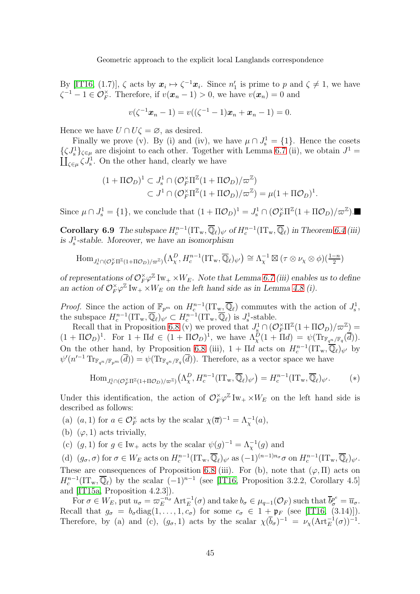By [\[IT16,](#page-52-6) (1.7)],  $\zeta$  acts by  $x_i \mapsto \zeta^{-1}x_i$ . Since  $n'_1$  is prime to p and  $\zeta \neq 1$ , we have  $\zeta^{-1} - 1 \in \mathcal{O}_F^{\times}$ . Therefore, if  $v(\boldsymbol{x}_n - 1) > 0$ , we have  $v(\boldsymbol{x}_n) = 0$  and

$$
v(\zeta^{-1}x_n-1)=v((\zeta^{-1}-1)x_n+x_n-1)=0.
$$

Hence we have  $U \cap U \subset \emptyset$ , as desired.

Finally we prove (v). By (i) and (iv), we have  $\mu \cap J_s^1 = \{1\}$ . Hence the cosets  $\{\zeta J_s^1\}_{\zeta \in \mu}$  are disjoint to each other. Together with Lemma [6.7](#page-42-0) (ii), we obtain  $J^1 =$  $\coprod_{\zeta \in \mu} \zeta J^1_{\mathbf{s}}$ . On the other hand, clearly we have

$$
(1 + \Pi \mathcal{O}_D)^1 \subset J_s^1 \cap (\mathcal{O}_F^{\times} \Pi^{\mathbb{Z}} (1 + \Pi \mathcal{O}_D) / \varpi^{\mathbb{Z}})
$$
  

$$
\subset J^1 \cap (\mathcal{O}_F^{\times} \Pi^{\mathbb{Z}} (1 + \Pi \mathcal{O}_D) / \varpi^{\mathbb{Z}}) = \mu (1 + \Pi \mathcal{O}_D)^1.
$$

<span id="page-44-0"></span>Since  $\mu \cap J_s^1 = \{1\}$ , we conclude that  $(1 + \Pi \mathcal{O}_D)^1 = J_s^1 \cap (\mathcal{O}_F^{\times} \Pi^{\mathbb{Z}}(1 + \Pi \mathcal{O}_D)/\varpi^{\mathbb{Z}})$ .

**Corollary 6.9** The subspace  $H_c^{n-1}(\mathrm{IT}_{w}, \overline{\mathbb{Q}}_{\ell})_{\psi'}$  of  $H_c^{n-1}(\mathrm{IT}_{w}, \overline{\mathbb{Q}}_{\ell})$  in Theorem [6.4](#page-50-0) (iii) is  $J_s^1$ -stable. Moreover, we have an isomorphism

$$
\text{Hom}_{J^1_s \cap (\mathcal{O}_F^{\times} \Pi^{\mathbb{Z}}(1 + \Pi \mathcal{O}_D)/\varpi^{\mathbb{Z}})}(\Lambda^D_\chi, H^{n-1}_c(\text{IT}_w, \overline{\mathbb{Q}}_\ell)_{\psi'}) \cong \Lambda_\chi^{-1} \boxtimes (\tau \otimes \nu_\chi \otimes \phi)(\frac{1-n}{2})
$$

of representations of  $\mathcal{O}_F^{\times} \varphi^{\mathbb{Z}} \text{Iw}_+ \times W_E$ . Note that Lemma [6.7](#page-42-0) (iii) enables us to define an action of  $\mathcal{O}_F^{\times} \varphi^{\mathbb{Z}}$  Iw<sub>+</sub> ×W<sub>E</sub> on the left hand side as in Lemma [4.8](#page-43-0) (i).

*Proof.* Since the action of  $\mathbb{F}_{p^m}$  on  $H_c^{n-1}(\mathrm{IT}_{w} \overline{\mathbb{Q}}_{\ell})$  commutes with the action of  $J_s^1$ , the subspace  $H_c^{n-1}(\mathrm{IT}_{w},\overline{\mathbb{Q}}_{\ell})_{\psi'} \subset H_c^{n-1}(\mathrm{IT}_{w},\overline{\mathbb{Q}}_{\ell})$  is  $J_s^1$ -stable.

Recall that in Proposition [6.8](#page-43-0) (v) we proved that  $J_s^1 \cap (\mathcal{O}_F^{\times} \Pi^{\mathbb{Z}}(1 + \Pi \mathcal{O}_D)/\varpi^{\mathbb{Z}}) =$  $(1 + \Pi \mathcal{O}_D)^1$ . For  $1 + \Pi d \in (1 + \Pi \mathcal{O}_D)^1$ , we have  $\Lambda^D_\chi(1 + \Pi d) = \psi(\text{Tr}_{\mathbb{F}_{q^n}/\mathbb{F}_q}(\overline{d}))$ . On the other hand, by Proposition [6.8](#page-43-0) (iii),  $1 + \Pi d$  acts on  $H_c^{n-1}(\mathrm{IT}_{w}, \overline{\mathbb{Q}}_{\ell})_{\psi'}$  by  $\psi'(n'^{-1} \operatorname{Tr}_{\mathbb{F}_{q^n}/\mathbb{F}_{p^m}}(\overline{d})) = \psi(\operatorname{Tr}_{\mathbb{F}_{q^n}/\mathbb{F}_q}(\overline{d}))$ . Therefore, as a vector space we have

$$
\text{Hom}_{J^1_s \cap (\mathcal{O}_F^{\times} \Pi^{\mathbb{Z}}(1 + \Pi \mathcal{O}_D)/\varpi^{\mathbb{Z}})}(\Lambda^D_\chi, H^{n-1}_c(\text{IT}_w, \overline{\mathbb{Q}}_\ell)_{\psi'}) = H^{n-1}_c(\text{IT}_w, \overline{\mathbb{Q}}_\ell)_{\psi'}.
$$
 (\*)

Under this identification, the action of  $\mathcal{O}_F^{\times} \varphi^{\mathbb{Z}} \mathrm{Iw}_+ \times W_E$  on the left hand side is described as follows:

(a)  $(a, 1)$  for  $a \in \mathcal{O}_F^{\times}$  acts by the scalar  $\chi(\overline{a})^{-1} = \Lambda_{\chi}^{-1}(a)$ ,

- (b)  $(\varphi, 1)$  acts trivially,
- (c)  $(g, 1)$  for  $g \in \text{Iw}_+$  acts by the scalar  $\psi(g)^{-1} = \Lambda_{\chi}^{-1}(g)$  and

(d)  $(g_{\sigma}, \sigma)$  for  $\sigma \in W_E$  acts on  $H_c^{n-1}(\mathrm{IT}_{w}, \overline{\mathbb{Q}}_{\ell})_{\psi'}$  as  $(-1)^{(n-1)n_{\sigma}}\sigma$  on  $H_c^{n-1}(\mathrm{IT}_{w}, \overline{\mathbb{Q}}_{\ell})_{\psi'}$ . These are consequences of Proposition [6.8](#page-43-0) (iii). For (b), note that  $(\varphi, \Pi)$  acts on  $H_c^{n-1}(\mathrm{IT}_{w},\overline{\mathbb{Q}}_{\ell})$  by the scalar  $(-1)^{n-1}$  (see [\[IT16,](#page-52-6) Proposition 3.2.2, Corollary 4.5] and [\[IT15a,](#page-52-5) Proposition 4.2.3]).

For  $\sigma \in W_E$ , put  $u_{\sigma} = \overline{\omega}_E^{-n_{\sigma}} \operatorname{Art}_E^{-1}(\sigma)$  and take  $b_{\sigma} \in \mu_{q-1}(\mathcal{O}_F)$  such that  $\overline{b}_{\sigma}^{p^e} = \overline{u}_{\sigma}$ . Recall that  $g_{\sigma} = b_{\sigma} \text{diag}(1, \ldots, 1, c_{\sigma})$  for some  $c_{\sigma} \in 1 + \mathfrak{p}_F$  (see [\[IT16,](#page-52-6) (3.14)]). Therefore, by (a) and (c),  $(g_{\sigma}, 1)$  acts by the scalar  $\chi(\overline{b}_{\sigma})^{-1} = \nu_{\chi}(\text{Art}_{E}^{-1}(\sigma))^{-1}$ .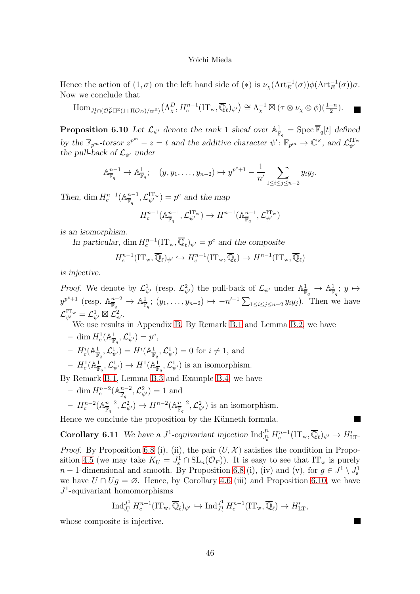Hence the action of  $(1, \sigma)$  on the left hand side of  $(*)$  is  $\nu_{\chi}(\text{Art}_{E}^{-1}(\sigma))\phi(\text{Art}_{E}^{-1}(\sigma))\sigma$ . Now we conclude that

 $\text{Hom}_{J^1_\mathbf{S} \cap (\mathcal{O}_F^\times \Pi^\mathbb{Z}(1 + \Pi \mathcal{O}_D)/\varpi^{\mathbb{Z}})} \left(\Lambda_\chi^D, H_c^{n-1}(\text{IT}_w, \overline{\mathbb{Q}}_\ell)_{\psi'}\right) \cong \Lambda_\chi^{-1} \boxtimes (\tau \otimes \nu_\chi \otimes \phi)(\frac{1-n}{2}).$ 

<span id="page-45-0"></span>**Proposition 6.10** Let  $\mathcal{L}_{\psi'}$  denote the rank 1 sheaf over  $\mathbb{A}^1_{\mathbb{F}}$  $\frac{1}{\mathbb{F}_q} = \operatorname{Spec} \mathbb{F}_q[t]$  defined by the  $\mathbb{F}_{p^m}$ -torsor  $z^{p^m}-z=t$  and the additive character  $\psi' : \mathbb{F}_{p^m} \to \mathbb{C}^\times$ , and  $\mathcal{L}_{\psi'}^{\mathrm{ITw}}$ the pull-back of  $\mathcal{L}_{\psi'}$  under

$$
\mathbb{A}_{\overline{\mathbb{F}}_q}^{n-1} \to \mathbb{A}_{\overline{\mathbb{F}}_q}^1; \quad (y, y_1, \dots, y_{n-2}) \mapsto y^{p^e+1} - \frac{1}{n'} \sum_{1 \leq i \leq j \leq n-2} y_i y_j.
$$

Then, dim  $H_c^{n-1}(\mathbb{A}_{\overline{\mathbb{F}}_a}^{n-1})$  $\mathcal{L}_{\psi}^{\mathrm{ITw}}$  =  $p^e$  and the map

$$
H^{n-1}_c(\mathbb{A}^{n-1}_{\overline{\mathbb{F}}_q},\mathcal{L}^\mathrm{IT_w}_{\psi'})\rightarrow H^{n-1}(\mathbb{A}^{n-1}_{\overline{\mathbb{F}}_q},\mathcal{L}^\mathrm{IT_w}_{\psi'})
$$

is an isomorphism.

In particular, dim  $H_c^{n-1}(\mathrm{IT}_{w}, \overline{\mathbb{Q}}_{\ell})_{\psi'} = p^e$  and the composite

$$
H_c^{n-1}(\mathrm{IT}_{w},\overline{\mathbb{Q}}_{\ell})_{\psi'} \hookrightarrow H_c^{n-1}(\mathrm{IT}_{w},\overline{\mathbb{Q}}_{\ell}) \to H^{n-1}(\mathrm{IT}_{w},\overline{\mathbb{Q}}_{\ell})
$$

is injective.

*Proof.* We denote by  $\mathcal{L}_{\psi'}^1$  (resp.  $\mathcal{L}_{\psi'}^2$ ) the pull-back of  $\mathcal{L}_{\psi'}$  under  $\mathbb{A}^1_{\overline{\mathbb{F}}_q} \to \mathbb{A}^1_{\overline{\mathbb{F}}}$  $\frac{1}{\mathbb{F}_q};\; y\mapsto$  $y^{p^e+1}$  (resp.  $\mathbb{A}^{n-2}_{\overline{\mathbb{F}}}$  $\frac{n-2}{\mathbb{F}_q} \to \mathbb{A}^1_{\overline{\mathbb{F}}}$  $\frac{1}{\mathbb{F}_q}$ ;  $(y_1, \ldots, y_{n-2}) \mapsto -n'^{-1} \sum_{1 \leq i \leq j \leq n-2} y_i y_j$ . Then we have  ${\cal L}^{\rm ITw}_{\psi'} = {\cal L}_{\psi'}^1 \boxtimes {\cal L}_{\psi'}^2.$ 

We use results in Appendix [B.](#page-49-3) By Remark [B.1](#page-49-0) and Lemma [B.2,](#page-49-2) we have

 $- \dim H^1_c(\mathbb{A}^1_{\overline{\mathbb{F}}}, \mathcal{L}^1_{\psi'}) = p^e,$  $c^1_c(\mathbb{A}^1_{\overline{\mathbb{F}}_q},\mathcal{L}_{\psi'}^1)=p$ 

- 
$$
H_c^i(\mathbb{A}^1_{\overline{\mathbb{F}}_q}, \mathcal{L}_{\psi'}^1) = H^i(\mathbb{A}^1_{\overline{\mathbb{F}}_q}, \mathcal{L}_{\psi'}^1) = 0
$$
 for  $i \neq 1$ , and

$$
- H_c^1(\mathbb{A}^1_{\overline{\mathbb{F}}_q}, \mathcal{L}_{\psi'}^1) \to H^1(\mathbb{A}^1_{\overline{\mathbb{F}}_q}, \mathcal{L}_{\psi'}^1)
$$
 is an isomorphism.

By Remark [B.1,](#page-49-0) Lemma [B.3](#page-49-1) and Example [B.4,](#page-50-0) we have

 $- \dim H_c^{n-2}(\mathbb{A}_{\overline{\mathbb{F}}_a}^{n-2})$  $\frac{n-2}{\mathbb{F}_q}, \mathcal{L}_{\psi'}^2) = 1$  and  $- H_c^{n-2} (\mathbb{A}_{\overline{\mathbb{F}}_a}^{n-2})$  $\frac{n-2}{\mathbb{F}_q}, {\mathcal{L}}^2_{\psi'}) \to H^{n-2}(\mathbb{A}^{n-2}_{\overline{\mathbb{F}}_q})$  $\frac{n-2}{\mathbb{F}_q}$ ,  $\mathcal{L}_{\psi'}^2$ ) is an isomorphism.

<span id="page-45-1"></span>Hence we conclude the proposition by the Künneth formula.

**Corollary 6.11** We have a  $J^1$ -equivariant injection  $\text{Ind}_{J^1}^{J^1}$  $J_s^1 H_c^{n-1}(\mathrm{IT}_{w},\overline{\mathbb{Q}}_{\ell})_{\psi'} \to H'_{\mathrm{LT}}.$ 

*Proof.* By Proposition [6.8](#page-43-0) (i), (ii), the pair  $(U, \mathcal{X})$  satisfies the condition in Propo-sition [4.5](#page-48-0) (we may take  $K_U = J_s^1 \cap SL_n(\mathcal{O}_F)$ ). It is easy to see that  $IT_w$  is purely  $n-1$ -dimensional and smooth. By Proposition [6.8](#page-43-0) (i), (iv) and (v), for  $g \in J^1 \setminus J^1$ we have  $U \cap U_g = \emptyset$ . Hence, by Corollary [4.6](#page-49-4) (iii) and Proposition [6.10,](#page-45-0) we have  $J^1$ -equivariant homomorphisms

$$
\operatorname{Ind}_{J_s^1}^{J^1} H_c^{n-1}(\mathrm{IT}_{w}, \overline{\mathbb{Q}}_{\ell})_{\psi'} \hookrightarrow \operatorname{Ind}_{J_s^1}^{J^1} H_c^{n-1}(\mathrm{IT}_{w}, \overline{\mathbb{Q}}_{\ell}) \to H'_{\mathrm{LT}},
$$

П

whose composite is injective.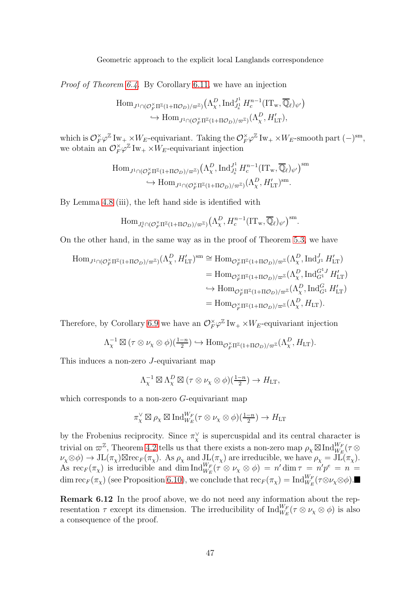Proof of Theorem [6.4.](#page-50-0) By Corollary [6.11,](#page-45-1) we have an injection

$$
\text{Hom}_{J^1 \cap (\mathcal{O}_F^{\times} \Pi^{\mathbb{Z}}(1 + \Pi \mathcal{O}_D)/\varpi^{\mathbb{Z}})}(\Lambda^D_\chi, \text{Ind}_{J^1_s}^{J^1} H^{n-1}_c(\text{IT}_w, \overline{\mathbb{Q}}_\ell)_{\psi'})
$$
  

$$
\hookrightarrow \text{Hom}_{J^1 \cap (\mathcal{O}_F^{\times} \Pi^{\mathbb{Z}}(1 + \Pi \mathcal{O}_D)/\varpi^{\mathbb{Z}})}(\Lambda^D_\chi, H'_{\text{LT}}),
$$

which is  $\mathcal{O}_F^{\times} \varphi^{\mathbb{Z}} \text{Iw}_+ \times W_E$ -equivariant. Taking the  $\mathcal{O}_F^{\times} \varphi^{\mathbb{Z}} \text{Iw}_+ \times W_E$ -smooth part  $(-)^{\text{sm}}$ , we obtain an  $\mathcal{O}_F^{\times} \varphi^{\mathbb{Z}}$  Iw<sub>+</sub> ×W<sub>E</sub>-equivariant injection

$$
\text{Hom}_{J^1 \cap (\mathcal{O}_F^{\times} \Pi^{\mathbb{Z}}(1 + \Pi \mathcal{O}_D)/\varpi^{\mathbb{Z}})} (\Lambda_\chi^D, \text{Ind}_{J^1_s}^{J^1} H_c^{n-1} (\text{IT}_w, \overline{\mathbb{Q}}_\ell)_{\psi'})^{\text{sm}} \to \text{Hom}_{J^1 \cap (\mathcal{O}_F^{\times} \Pi^{\mathbb{Z}}(1 + \Pi \mathcal{O}_D)/\varpi^{\mathbb{Z}})} (\Lambda_\chi^D, H'_{\text{LT}})^{\text{sm}}.
$$

By Lemma [4.8](#page-43-0) (iii), the left hand side is identified with

$$
\operatorname{Hom}_{J_{\mathrm{s}}^1 \cap (\mathcal{O}_F^{\times} \Pi^{\mathbb{Z}}(1 + \Pi \mathcal{O}_D)/\varpi^{\mathbb{Z}})} \left(\Lambda_\chi^D, H_c^{n-1} \left(\operatorname{IT}_w, \overline{\mathbb{Q}}_\ell\right)_{\psi'}\right)^{\operatorname{sm}}.
$$

On the other hand, in the same way as in the proof of Theorem [5.3,](#page-49-1) we have

$$
\begin{split} \text{Hom}_{J^{1}\cap(\mathcal{O}_{F}^{\times}\Pi^{\mathbb{Z}}(1+\Pi\mathcal{O}_{D})/\varpi^{\mathbb{Z}})}(\Lambda_{\chi}^{D},H'_{\mathrm{LT}})^{\mathrm{sm}} &\cong \text{Hom}_{\mathcal{O}_{F}^{\times}\Pi^{\mathbb{Z}}(1+\Pi\mathcal{O}_{D})/\varpi^{\mathbb{Z}}}(\Lambda_{\chi}^{D},\mathrm{Ind}_{J^{1}}^{J}H'_{\mathrm{LT}}) \\ & =\text{Hom}_{\mathcal{O}_{F}^{\times}\Pi^{\mathbb{Z}}(1+\Pi\mathcal{O}_{D})/\varpi^{\mathbb{Z}}}(\Lambda_{\chi}^{D},\mathrm{Ind}_{G^{1}}^{G^{1}J}H'_{\mathrm{LT}}) \\ &\hookrightarrow \text{Hom}_{\mathcal{O}_{F}^{\times}\Pi^{\mathbb{Z}}(1+\Pi\mathcal{O}_{D})/\varpi^{\mathbb{Z}}}(\Lambda_{\chi}^{D},\mathrm{Ind}_{G^{1}}^{G^{1}J}H'_{\mathrm{LT}}) \\ & =\text{Hom}_{\mathcal{O}_{F}^{\times}\Pi^{\mathbb{Z}}(1+\Pi\mathcal{O}_{D})/\varpi^{\mathbb{Z}}}(\Lambda_{\chi}^{D},H_{\mathrm{LT}}). \end{split}
$$

Therefore, by Corollary [6.9](#page-44-0) we have an  $\mathcal{O}_F^{\times} \varphi^{\mathbb{Z}}$  Iw<sub>+</sub>  $\times W_E$ -equivariant injection

$$
\Lambda_{\chi}^{-1} \boxtimes (\tau \otimes \nu_{\chi} \otimes \phi)(\frac{1-n}{2}) \hookrightarrow \text{Hom}_{\mathcal{O}_{F}^{\times}\Pi^{\mathbb{Z}}(1+\Pi\mathcal{O}_{D})/\varpi^{\mathbb{Z}}}(\Lambda_{\chi}^{D},H_{\text{LT}}).
$$

This induces a non-zero J-equivariant map

$$
\Lambda_{\chi}^{-1} \boxtimes \Lambda_{\chi}^{D} \boxtimes (\tau \otimes \nu_{\chi} \otimes \phi)(\frac{1-n}{2}) \to H_{\mathrm{LT}},
$$

which corresponds to a non-zero G-equivariant map

$$
\pi_{\chi}^{\vee} \boxtimes \rho_{\chi} \boxtimes \text{Ind}_{W_E}^{W_F} (\tau \otimes \nu_{\chi} \otimes \phi)(\frac{1-n}{2}) \to H_{\mathrm{LT}}
$$

by the Frobenius reciprocity. Since  $\pi_{\chi}^{\vee}$  is supercuspidal and its central character is trivial on  $\varpi^{\mathbb{Z}}$ , Theorem [4.2](#page-49-2) tells us that there exists a non-zero map  $\rho_{\chi} \boxtimes \text{Ind}_{W_E}^{W_F}(\tau \otimes$  $\nu_{\chi} \otimes \phi$ )  $\to \text{JL}(\pi_{\chi})\boxtimes \text{rec}_{F}(\pi_{\chi})$ . As  $\rho_{\chi}$  and  $\text{JL}(\pi_{\chi})$  are irreducible, we have  $\rho_{\chi} = \text{JL}(\pi_{\chi})$ . As  $\text{rec}_F(\pi_\chi)$  is irreducible and dim  $\text{Ind}_{W_E}^{W_F}(\tau \otimes \nu_\chi \otimes \phi) = n' \dim \tau = n'p^e = n$ dim  $\text{rec}_F(\pi_\chi)$  (see Proposition [6.10\)](#page-45-0), we conclude that  $\text{rec}_F(\pi_\chi) = \text{Ind}_{W_E}^{W_F}(\tau \otimes \nu_\chi \otimes \phi)$ .

<span id="page-46-0"></span>Remark 6.12 In the proof above, we do not need any information about the representation  $\tau$  except its dimension. The irreducibility of  $\text{Ind}_{W_E}^{W_F}(\tau \otimes \nu_\chi \otimes \phi)$  is also a consequence of the proof.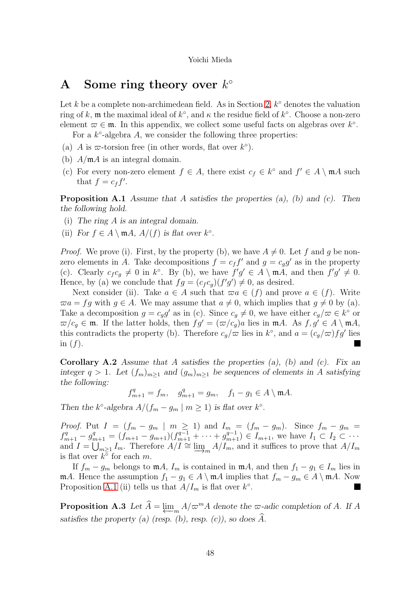## <span id="page-47-0"></span>A Some ring theory over  $k^{\circ}$

Let k be a complete non-archimedean field. As in Section [2,](#page-3-0)  $k^{\circ}$  denotes the valuation ring of k, m the maximal ideal of  $k^{\circ}$ , and  $\kappa$  the residue field of  $k^{\circ}$ . Choose a non-zero element  $\varpi \in \mathfrak{m}$ . In this appendix, we collect some useful facts on algebras over  $k^{\circ}$ .

For a  $k^{\circ}$ -algebra A, we consider the following three properties:

- (a) A is  $\varpi$ -torsion free (in other words, flat over  $k^{\circ}$ ).
- (b)  $A/\mathfrak{m}A$  is an integral domain.
- (c) For every non-zero element  $f \in A$ , there exist  $c_f \in k^{\circ}$  and  $f' \in A \setminus \mathfrak{m}A$  such that  $f = c_f f'$ .

**Proposition A.1** Assume that A satisfies the properties  $(a)$ ,  $(b)$  and  $(c)$ . Then the following hold.

- (i) The ring A is an integral domain.
- (ii) For  $f \in A \setminus \mathfrak{m}A$ ,  $A/(f)$  is flat over  $k^{\circ}$ .

*Proof.* We prove (i). First, by the property (b), we have  $A \neq 0$ . Let f and g be nonzero elements in A. Take decompositions  $f = c_f f'$  and  $g = c_g g'$  as in the property (c). Clearly  $c_f c_g \neq 0$  in k°. By (b), we have  $f'g' \in A \setminus \mathfrak{m}A$ , and then  $f'g' \neq 0$ . Hence, by (a) we conclude that  $fg = (c_f c_g)(f'g') \neq 0$ , as desired.

Next consider (ii). Take  $a \in A$  such that  $\overline{\omega}a \in (f)$  and prove  $a \in (f)$ . Write  $\overline{\omega}a = fg$  with  $g \in A$ . We may assume that  $a \neq 0$ , which implies that  $g \neq 0$  by (a). Take a decomposition  $g = c_g g'$  as in (c). Since  $c_g \neq 0$ , we have either  $c_g/\varpi \in k^{\circ}$  or  $\overline{\omega}/c_g \in \mathfrak{m}$ . If the latter holds, then  $fg' = (\overline{\omega}/c_g)a$  lies in  $\mathfrak{m}A$ . As  $f, g' \in A \setminus \mathfrak{m}A$ , this contradicts the property (b). Therefore  $c_g/\varpi$  lies in  $k^{\circ}$ , and  $a = (c_g/\varpi)fg'$  lies in  $(f)$ .

**Corollary A.2** Assume that A satisfies the properties  $(a)$ ,  $(b)$  and  $(c)$ . Fix an integer  $q > 1$ . Let  $(f_m)_{m \geq 1}$  and  $(g_m)_{m \geq 1}$  be sequences of elements in A satisfying the following:

 $f_{m+1}^q = f_m, \quad g_{m+1}^q = g_m, \quad f_1 - g_1 \in A \setminus \mathfrak{m}A.$ 

Then the  $k^{\circ}$ -algebra  $A/(f_m - g_m \mid m \ge 1)$  is flat over  $k^{\circ}$ .

*Proof.* Put  $I = (f_m - g_m \mid m \ge 1)$  and  $I_m = (f_m - g_m)$ . Since  $f_m - g_m =$  $f_{m+1}^q - g_{m+1}^q = (f_{m+1} - g_{m+1})(f_{m+1}^{q-1} + \cdots + g_{m+1}^{q-1}) \in I_{m+1}$ , we have  $I_1 \subset I_2 \subset \cdots$ and  $I = \bigcup_{m \geq 1} I_m$ . Therefore  $A/I \cong \varinjlim_m A/I_m$ , and it suffices to prove that  $A/I_m$  is flat over  $k^{\circ}$  for each m is flat over  $k^{\circ}$  for each m.

If  $f_m - g_m$  belongs to  $mA$ ,  $I_m$  is contained in  $mA$ , and then  $f_1 - g_1 \in I_m$  lies in mA. Hence the assumption  $f_1 - g_1 \in A \setminus \mathfrak{m}A$  implies that  $f_m - g_m \in A \setminus \mathfrak{m}A$ . Now Proposition [A.1](#page-49-0) (ii) tells us that  $A/I_m$  is flat over  $k^{\circ}$ .

Proposition A.3 Let  $A = \varprojlim_m$  $A/\varpi^{m}A$  denote the  $\varpi$ -adic completion of A. If A satisfies the property (a) (resp.  $(b)$ , resp.  $(c)$ ), so does A.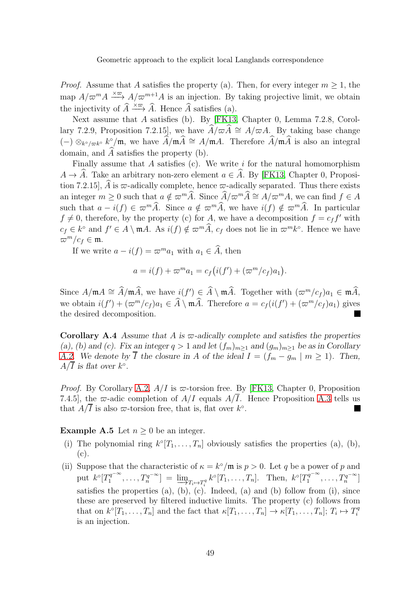*Proof.* Assume that A satisfies the property (a). Then, for every integer  $m \geq 1$ , the map  $A/\varpi^{m}A \xrightarrow{\times \varpi} A/\varpi^{m+1}A$  is an injection. By taking projective limit, we obtain the injectivity of  $\widehat{A} \xrightarrow{\times \varpi} \widehat{A}$ . Hence  $\widehat{A}$  satisfies (a).

Next assume that A satisfies (b). By [\[FK13,](#page-52-11) Chapter 0, Lemma 7.2.8, Corollary 7.2.9, Proposition 7.2.15], we have  $\widehat{A}/\varpi \widehat{A} \cong A/\varpi A$ . By taking base change (−)  $\otimes_{k^{\circ}/\varpi k^{\circ}} k^{\circ}/\mathfrak{m}$ , we have  $\widehat{A}/\mathfrak{m}\widehat{A} \cong A/\mathfrak{m}A$ . Therefore  $\widehat{A}/\mathfrak{m}\widehat{A}$  is also an integral domain, and  $\widehat{A}$  satisfies the property (b).

Finally assume that A satisfies  $(c)$ . We write i for the natural homomorphism  $A \to \widehat{A}$ . Take an arbitrary non-zero element  $a \in \widehat{A}$ . By [\[FK13,](#page-52-11) Chapter 0, Proposition 7.2.15],  $\widehat{A}$  is  $\varpi$ -adically complete, hence  $\varpi$ -adically separated. Thus there exists an integer  $m > 0$  such that  $a \notin \overline{\omega}^m \widehat{A}$ . Since  $\widehat{A}/\overline{\omega}^m \widehat{A} \cong A/\overline{\omega}^m A$ , we can find  $f \in A$ such that  $a - i(f) \in \varpi^m \widehat{A}$ . Since  $a \notin \varpi^m \widehat{A}$ , we have  $i(f) \notin \varpi^m \widehat{A}$ . In particular  $f \neq 0$ , therefore, by the property (c) for A, we have a decomposition  $f = c_f f'$  with  $c_f \in k^{\circ}$  and  $f' \in A \setminus \mathfrak{m}A$ . As  $i(f) \notin \varpi^m \widehat{A}$ ,  $c_f$  does not lie in  $\varpi^m k^{\circ}$ . Hence we have  $\varpi^m/c_f \in \mathfrak{m}$ .

If we write  $a - i(f) = \varpi^{m} a_1$  with  $a_1 \in \widehat{A}$ , then

$$
a = i(f) + \varpi^m a_1 = c_f(i(f') + (\varpi^m/c_f)a_1).
$$

Since  $A/\mathfrak{m}A \cong \hat{A}/\mathfrak{m}\hat{A}$ , we have  $i(f') \in \hat{A} \setminus \mathfrak{m}\hat{A}$ . Together with  $(\varpi^m/c_f)a_1 \in \mathfrak{m}\hat{A}$ , we obtain  $i(f') + (\varpi^m/c_f)a_1 \in \hat{A} \setminus \mathfrak{m}\hat{A}$ . Therefore  $a = c_f(i(f') + (\varpi^m/c_f)a_1)$  gives the desired decomposition.

**Corollary A.4** Assume that A is  $\varpi$ -adically complete and satisfies the properties (a), (b) and (c). Fix an integer  $q > 1$  and let  $(f_m)_{m>1}$  and  $(g_m)_{m>1}$  be as in Corollary [A.2.](#page-49-2) We denote by  $\overline{I}$  the closure in A of the ideal  $I = (f_m - g_m \mid m \ge 1)$ . Then,  $A/\overline{I}$  is flat over  $k^{\circ}$ .

*Proof.* By Corollary [A.2,](#page-49-2)  $A/I$  is  $\varpi$ -torsion free. By [\[FK13,](#page-52-11) Chapter 0, Proposition 7.4.5], the  $\varpi$ -adic completion of  $A/I$  equals  $A/\overline{I}$ . Hence Proposition [A.3](#page-49-1) tells us that  $A/\overline{I}$  is also  $\overline{\omega}$ -torsion free, that is, flat over  $k^{\circ}$ .

<span id="page-48-0"></span>**Example A.5** Let  $n \geq 0$  be an integer.

- (i) The polynomial ring  $k^{\circ}[T_1,\ldots,T_n]$  obviously satisfies the properties (a), (b), (c).
- (ii) Suppose that the characteristic of  $\kappa = k^{\circ}/\mathfrak{m}$  is  $p > 0$ . Let q be a power of p and put  $k^{\circ}[T_1^{q^{-\infty}}]$  $[T_1^{q^{-\infty}}, \ldots, T_n^{q^{-\infty}}] = \lim_{n \to \infty} T_{i} \mapsto T_i^q} k^{\circ}[T_1, \ldots, T_n].$  Then,  $k^{\circ}[T_1^{q^{-\infty}}]$  $T_1^{q^{-\infty}}, \ldots, T_n^{q^{-\infty}}]$ satisfies the properties (a), (b), (c). Indeed, (a) and (b) follow from (i), since these are preserved by filtered inductive limits. The property (c) follows from that on  $k^{\circ}[T_1,\ldots,T_n]$  and the fact that  $\kappa[T_1,\ldots,T_n] \to \kappa[T_1,\ldots,T_n]$ ;  $T_i \mapsto T_i^q$ i is an injection.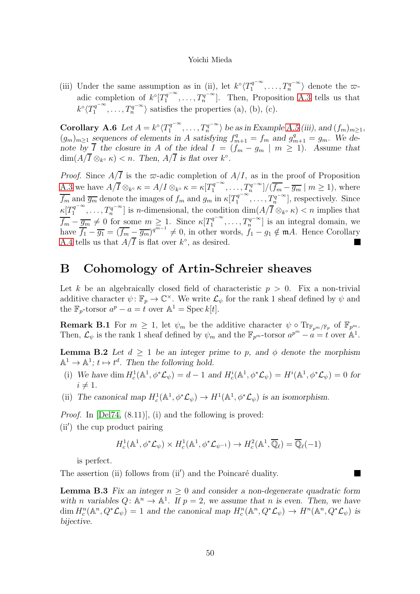(iii) Under the same assumption as in (ii), let  $k^{\circ} \langle T_1^{q^{-\infty}}$  $T_1^{q^{-\infty}}, \ldots, T_n^{q^{-\infty}}\rangle$  denote the  $\varpi$ adic completion of  $k^{\circ}[T_1^{q^{-\infty}}]$  $T_1^{q^{-\infty}}, \ldots, T_n^{q^{-\infty}}$  $\binom{q}{n}$ . Then, Proposition [A.3](#page-49-1) tells us that  $k^{\circ} \langle T_1^{q^{-\infty}}$  $T_1^{q^{-\infty}}, \ldots, T_n^{q^{-\infty}}$  $\binom{q}{n}$  satisfies the properties (a), (b), (c).

<span id="page-49-4"></span>Corollary A.6 Let  $A = k^{\circ} \langle T_1^{q^{-\infty}}$  $T_1^{q^{-\infty}}, \ldots, T_n^{q^{-\infty}}\rangle$  be as in Example [A.5](#page-48-0) (iii), and  $(f_m)_{m\geq 1}$ ,  $(g_m)_{m\geq 1}$  sequences of elements in A satisfying  $f_{m+1}^q = f_m$  and  $g_{m+1}^q = g_m$ . We denote by I the closure in A of the ideal  $I = (f_m - g_m \mid m \ge 1)$ . Assume that  $\dim(A/\overline{I}\otimes_{k^{\circ}}\kappa) < n.$  Then,  $A/\overline{I}$  is flat over  $k^{\circ}$ .

*Proof.* Since  $A/\overline{I}$  is the  $\varpi$ -adic completion of  $A/I$ , as in the proof of Proposition [A.3](#page-49-1) we have  $A/\overline{I} \otimes_{k^{\circ}} \kappa = A/I \otimes_{k^{\circ}} \kappa = \kappa [T_1^{q^{-\infty}}]$  $\int_{1}^{q^{-\infty}}, \ldots, T_n^{q^{-\infty}}]/(\overline{f_m}-\overline{g_m} \mid m \geq 1)$ , where  $\overline{f_m}$  and  $\overline{g_m}$  denote the images of  $f_m$  and  $g_m$  in  $\kappa[T_1^{q^{-\infty}}]$  $\operatorname{Ind}_{\mathcal{I}_{m}} \overline{g_{m}}$  denote the images of  $f_{m}$  and  $g_{m}$  in  $\kappa[T_{1}^{q^{-\infty}}, \ldots, T_{n}^{q^{-\infty}}]$ , respectively. Since  $\kappa[T_1^q$  $T_1^{q^{-\infty}}, \ldots, T_n^{q^{-\infty}}$  $\lim_{n}$ <sup>n</sup> is *n*-dimensional, the condition dim $(A/I \otimes_{k^{\circ}} \kappa) < n$  implies that  $\frac{1}{f_m} - \frac{g_m}{g_m} \neq 0$  for some  $m \geq 1$ . Since  $\kappa[T_1^{q^{-\infty}}]$  $T_1^{q^{-\infty}}, \ldots, T_n^{q^{-\infty}}]$  is an integral domain, we have  $f_1 - \overline{g_1} = (\overline{f_m} - \overline{g_m})^{q^{m-1}} \neq 0$ , in other words,  $f_1 - g_1 \notin \mathfrak{m}A$ . Hence Corollary [A.4](#page-50-0) tells us that  $A/\overline{I}$  is flat over  $k^{\circ}$ , as desired.

## <span id="page-49-3"></span>B Cohomology of Artin-Schreier sheaves

Let k be an algebraically closed field of characteristic  $p > 0$ . Fix a non-trivial additive character  $\psi: \mathbb{F}_p \to \mathbb{C}^\times$ . We write  $\mathcal{L}_{\psi}$  for the rank 1 sheaf defined by  $\psi$  and the  $\mathbb{F}_p$ -torsor  $a^p - a = t$  over  $\mathbb{A}^1 = \operatorname{Spec} k[t]$ .

<span id="page-49-0"></span>**Remark B.1** For  $m \geq 1$ , let  $\psi_m$  be the additive character  $\psi \circ \text{Tr}_{\mathbb{F}_{p^m}/\mathbb{F}_p}$  of  $\mathbb{F}_{p^m}$ . Then,  $\mathcal{L}_{\psi}$  is the rank 1 sheaf defined by  $\psi_m$  and the  $\mathbb{F}_{p^m}$ -torsor  $a^{p^m} - a = t$  over  $\mathbb{A}^1$ .

<span id="page-49-2"></span>**Lemma B.2** Let  $d \geq 1$  be an integer prime to p, and  $\phi$  denote the morphism  $\mathbb{A}^1 \to \mathbb{A}^1$ ;  $t \mapsto t^d$ . Then the following hold.

- (i) We have dim  $H_c^1(\mathbb{A}^1, \phi^*\mathcal{L}_\psi) = d 1$  and  $H_c^i(\mathbb{A}^1, \phi^*\mathcal{L}_\psi) = H^i(\mathbb{A}^1, \phi^*\mathcal{L}_\psi) = 0$  for  $i \neq 1$ .
- (ii) The canonical map  $H_c^1(\mathbb{A}^1, \phi^*\mathcal{L}_\psi) \to H^1(\mathbb{A}^1, \phi^*\mathcal{L}_\psi)$  is an isomorphism.

Proof. In [\[Del74,](#page-51-16) (8.11)], (i) and the following is proved:

(ii′ ) the cup product pairing

 $H_c^1(\mathbb{A}^1, \phi^*\mathcal{L}_\psi) \times H_c^1(\mathbb{A}^1, \phi^*\mathcal{L}_{\psi^{-1}}) \to H_c^2(\mathbb{A}^1, \overline{\mathbb{Q}}_\ell) = \overline{\mathbb{Q}}_\ell(-1)$ 

is perfect.

The assertion (ii) follows from (ii') and the Poincaré duality.

<span id="page-49-1"></span>**Lemma B.3** Fix an integer  $n \geq 0$  and consider a non-degenerate quadratic form with n variables  $Q: \mathbb{A}^n \to \mathbb{A}^1$ . If  $p = 2$ , we assume that n is even. Then, we have  $\dim H_c^n(\mathbb{A}^n, Q^*\mathcal{L}_\psi) = 1$  and the canonical map  $H_c^n(\mathbb{A}^n, Q^*\mathcal{L}_\psi) \to H^n(\mathbb{A}^n, Q^*\mathcal{L}_\psi)$  is bijective.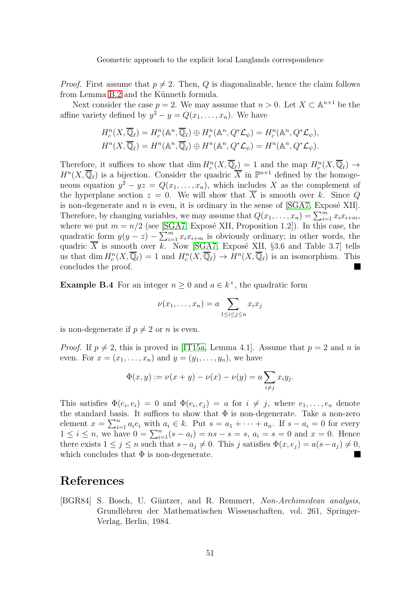*Proof.* First assume that  $p \neq 2$ . Then, Q is diagonalizable, hence the claim follows from Lemma [B.2](#page-49-2) and the Künneth formula.

Next consider the case  $p = 2$ . We may assume that  $n > 0$ . Let  $X \subset \mathbb{A}^{n+1}$  be the affine variety defined by  $y^2 - y = Q(x_1, \ldots, x_n)$ . We have

$$
H_c^n(X, \overline{\mathbb{Q}}_\ell) = H_c^n(\mathbb{A}^n, \overline{\mathbb{Q}}_\ell) \oplus H_c^n(\mathbb{A}^n, Q^*\mathcal{L}_\psi) = H_c^n(\mathbb{A}^n, Q^*\mathcal{L}_\psi),
$$
  

$$
H^n(X, \overline{\mathbb{Q}}_\ell) = H^n(\mathbb{A}^n, \overline{\mathbb{Q}}_\ell) \oplus H^n(\mathbb{A}^n, Q^*\mathcal{L}_\psi) = H^n(\mathbb{A}^n, Q^*\mathcal{L}_\psi).
$$

Therefore, it suffices to show that  $\dim H_c^n(X,\overline{\mathbb{Q}}_{\ell}) = 1$  and the map  $H_c^n(X,\overline{\mathbb{Q}}_{\ell}) \to$  $H^{n}(X,\overline{\mathbb{Q}}_{\ell})$  is a bijection. Consider the quadric  $\overline{X}$  in  $\mathbb{P}^{n+1}$  defined by the homogeneous equation  $y^2 - yz = Q(x_1, \ldots, x_n)$ , which includes X as the complement of the hyperplane section  $z = 0$ . We will show that  $\overline{X}$  is smooth over k. Since Q is non-degenerate and  $n$  is even, it is ordinary in the sense of  $[SGA7, Ex]$ . Therefore, by changing variables, we may assume that  $Q(x_1, \ldots, x_n) = \sum_{i=1}^m x_i x_{i+m}$ , where we put  $m = n/2$  (see [\[SGA7,](#page-54-1) Exposé XII, Proposition 1.2]). In this case, the quadratic form  $y(y - z) - \sum_{i=1}^{m} x_i x_{i+m}$  is obviously ordinary; in other words, the quadric  $\overline{X}$  is smooth over k. Now [\[SGA7,](#page-54-1) Exposé XII, §3.6 and Table 3.7] tells us that dim  $H_c^n(X, \overline{\mathbb{Q}}_\ell) = 1$  and  $H_c^n(X, \overline{\mathbb{Q}}_\ell) \to H^n(X, \overline{\mathbb{Q}}_\ell)$  is an isomorphism. This concludes the proof.  $\blacksquare$ 

<span id="page-50-0"></span>**Example B.4** For an integer  $n \geq 0$  and  $a \in k^{\times}$ , the quadratic form

$$
\nu(x_1,\ldots,x_n)=a\sum_{1\leq i\leq j\leq n}x_ix_j
$$

is non-degenerate if  $p \neq 2$  or n is even.

*Proof.* If  $p \neq 2$ , this is proved in [\[IT15a,](#page-52-5) Lemma 4.1]. Assume that  $p = 2$  and n is even. For  $x = (x_1, \ldots, x_n)$  and  $y = (y_1, \ldots, y_n)$ , we have

$$
\Phi(x, y) := \nu(x + y) - \nu(x) - \nu(y) = a \sum_{i \neq j} x_i y_j.
$$

This satisfies  $\Phi(e_i, e_i) = 0$  and  $\Phi(e_i, e_j) = a$  for  $i \neq j$ , where  $e_1, \ldots, e_n$  denote the standard basis. It suffices to show that  $\Phi$  is non-degenerate. Take a non-zero element  $x = \sum_{i=1}^{n} a_i e_i$  with  $a_i \in k$ . Put  $s = a_1 + \cdots + a_n$ . If  $s - a_i = 0$  for every  $1 \leq i \leq n$ , we have  $0 = \sum_{i=1}^{n} (s - a_i) = ns - s = s$ ,  $a_i = s = 0$  and  $x = 0$ . Hence there exists  $1 \leq j \leq n$  such that  $s - a_j \neq 0$ . This j satisfies  $\Phi(x, e_j) = a(s - a_j) \neq 0$ , which concludes that  $\Phi$  is non-degenerate which concludes that  $\Phi$  is non-degenerate.

## References

<span id="page-50-1"></span>[BGR84] S. Bosch, U. Güntzer, and R. Remmert, Non-Archimedean analysis, Grundlehren der Mathematischen Wissenschaften, vol. 261, Springer-Verlag, Berlin, 1984.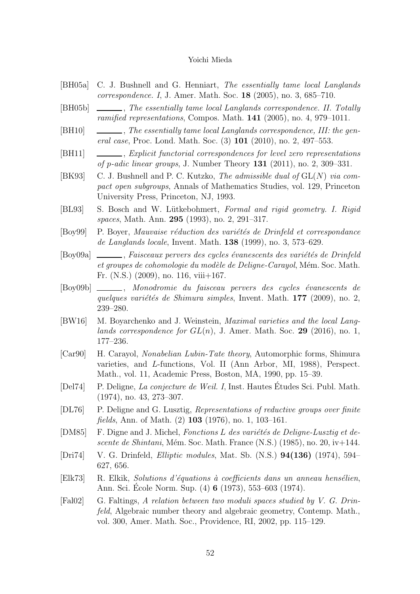- <span id="page-51-1"></span>[BH05a] C. J. Bushnell and G. Henniart, The essentially tame local Langlands correspondence. I, J. Amer. Math. Soc. 18 (2005), no. 3, 685–710.
- <span id="page-51-2"></span>[BH05b] , The essentially tame local Langlands correspondence. II. Totally ramified representations, Compos. Math. 141 (2005), no. 4, 979–1011.
- <span id="page-51-3"></span>[BH10]  $\quad \underline{\hspace{2cm}}$ , The essentially tame local Langlands correspondence, III: the general case, Proc. Lond. Math. Soc. (3) 101 (2010), no. 2, 497–553.
- <span id="page-51-14"></span>[BH11]  $\quad \underline{\hspace{2cm}}$ , Explicit functorial correspondences for level zero representations of p-adic linear groups, J. Number Theory  $131$  (2011), no. 2, 309–331.
- <span id="page-51-0"></span>[BK93] C. J. Bushnell and P. C. Kutzko, *The admissible dual of*  $GL(N)$  *via com*pact open subgroups, Annals of Mathematics Studies, vol. 129, Princeton University Press, Princeton, NJ, 1993.
- <span id="page-51-9"></span>[BL93] S. Bosch and W. Lütkebohmert, Formal and rigid geometry. I. Rigid spaces, Math. Ann. 295 (1993), no. 2, 291–317.
- <span id="page-51-5"></span>[Boy99] P. Boyer, Mauvaise réduction des variétés de Drinfeld et correspondance de Langlands locale, Invent. Math. 138 (1999), no. 3, 573–629.
- <span id="page-51-13"></span>[Boy09a]  $\_\_\_\_\_\_\$ raisceaux pervers des cycles évanescents des variétés de Drinfeld et groupes de cohomologie du modèle de Deligne-Carayol, Mém. Soc. Math. Fr. (N.S.) (2009), no. 116, viii+167.
- <span id="page-51-12"></span>[Boy09b] \_\_\_\_\_, Monodromie du faisceau pervers des cycles évanescents de quelques variétés de Shimura simples, Invent. Math.  $177$  (2009), no. 2, 239–280.
- <span id="page-51-8"></span>[BW16] M. Boyarchenko and J. Weinstein, *Maximal varieties and the local Lang*lands correspondence for  $GL(n)$ , J. Amer. Math. Soc. 29 (2016), no. 1, 177–236.
- <span id="page-51-4"></span>[Car90] H. Carayol, Nonabelian Lubin-Tate theory, Automorphic forms, Shimura varieties, and L-functions, Vol. II (Ann Arbor, MI, 1988), Perspect. Math., vol. 11, Academic Press, Boston, MA, 1990, pp. 15–39.
- <span id="page-51-16"></span>[Del74] P. Deligne, *La conjecture de Weil. I*, Inst. Hautes Études Sci. Publ. Math. (1974), no. 43, 273–307.
- <span id="page-51-6"></span>[DL76] P. Deligne and G. Lusztig, Representations of reductive groups over finite fields, Ann. of Math. (2) 103 (1976), no. 1, 103–161.
- <span id="page-51-15"></span>[DM85] F. Digne and J. Michel, Fonctions L des variétés de Deligne-Lusztig et descente de Shintani, Mém. Soc. Math. France  $(N.S.)$  (1985), no. 20, iv $+144$ .
- <span id="page-51-11"></span>[Dri74] V. G. Drinfeld, Elliptic modules, Mat. Sb. (N.S.) 94(136) (1974), 594– 627, 656.
- <span id="page-51-10"></span>[Elk73] R. Elkik, Solutions d'équations à coefficients dans un anneau hensélien, Ann. Sci. École Norm. Sup. (4) **6** (1973), 553–603 (1974).
- <span id="page-51-7"></span>[Fal02] G. Faltings, A relation between two moduli spaces studied by V. G. Drinfeld, Algebraic number theory and algebraic geometry, Contemp. Math., vol. 300, Amer. Math. Soc., Providence, RI, 2002, pp. 115–129.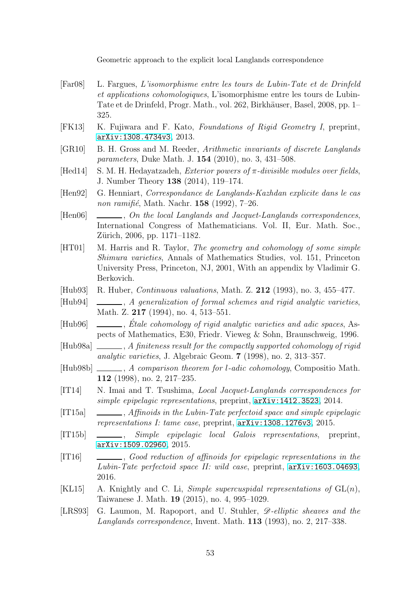- <span id="page-52-4"></span>[Far08] L. Fargues, L'isomorphisme entre les tours de Lubin-Tate et de Drinfeld et applications cohomologiques, L'isomorphisme entre les tours de Lubin-Tate et de Drinfeld, Progr. Math., vol. 262, Birkhäuser, Basel, 2008, pp. 1– 325.
- <span id="page-52-11"></span>[FK13] K. Fujiwara and F. Kato, Foundations of Rigid Geometry I, preprint, <arXiv:1308.4734v3>, 2013.
- <span id="page-52-7"></span>[GR10] B. H. Gross and M. Reeder, Arithmetic invariants of discrete Langlands parameters, Duke Math. J. 154 (2010), no. 3, 431–508.
- <span id="page-52-15"></span>[Hed14] S. M. H. Hedayatzadeh, *Exterior powers of*  $\pi$ -divisible modules over fields, J. Number Theory 138 (2014), 119–174.
- <span id="page-52-16"></span>[Hen92] G. Henniart, Correspondance de Langlands-Kazhdan explicite dans le cas non ramifié, Math. Nachr.  $158$  (1992), 7–26.
- <span id="page-52-2"></span>[Hen06]  $\_\_\_\_\_\_$ , On the local Langlands and Jacquet-Langlands correspondences, International Congress of Mathematicians. Vol. II, Eur. Math. Soc., Zürich, 2006, pp. 1171–1182.
- <span id="page-52-0"></span>[HT01] M. Harris and R. Taylor, The geometry and cohomology of some simple Shimura varieties, Annals of Mathematics Studies, vol. 151, Princeton University Press, Princeton, NJ, 2001, With an appendix by Vladimir G. Berkovich.
- <span id="page-52-13"></span>[Hub93] R. Huber, Continuous valuations, Math. Z. 212 (1993), no. 3, 455–477.
- <span id="page-52-14"></span>[Hub94] , A generalization of formal schemes and rigid analytic varieties, Math. Z. 217 (1994), no. 4, 513-551.
- <span id="page-52-9"></span>[Hub96]  $\Box$ , Etale cohomology of rigid analytic varieties and adic spaces, Aspects of Mathematics, E30, Friedr. Vieweg & Sohn, Braunschweig, 1996.
- <span id="page-52-10"></span>[Hub98a]  $\Box$ , A finiteness result for the compactly supported cohomology of rigid analytic varieties, J. Algebraic Geom. 7 (1998), no. 2, 313–357.
- <span id="page-52-12"></span>[Hub98b]  $\_\_\_\_\_\_\_\_\.\$  A comparison theorem for l-adic cohomology, Compositio Math. 112 (1998), no. 2, 217–235.
- <span id="page-52-17"></span>[IT14] N. Imai and T. Tsushima, *Local Jacquet-Langlands correspondences for* simple epipelagic representations, preprint, <arXiv:1412.3523>, 2014.
- <span id="page-52-5"></span>[IT15a] , Affinoids in the Lubin-Tate perfectoid space and simple epipelagic representations I: tame case, preprint, <arXiv:1308.1276v3>, 2015.
- <span id="page-52-3"></span>[IT15b]  $\_\_\_\_\_\_$  Simple epipelagic local Galois representations, preprint, <arXiv:1509.02960>, 2015.
- <span id="page-52-6"></span>[IT16] , Good reduction of affinoids for epipelagic representations in the Lubin-Tate perfectoid space II: wild case, preprint,  $arXiv:1603.04693$ , 2016.
- <span id="page-52-8"></span>[KL15] A. Knightly and C. Li, *Simple supercuspidal representations of*  $GL(n)$ , Taiwanese J. Math. 19 (2015), no. 4, 995–1029.
- <span id="page-52-1"></span>[LRS93] G. Laumon, M. Rapoport, and U. Stuhler,  $\mathscr{D}\text{-elliptic sheaves and the}$ Langlands correspondence, Invent. Math. 113 (1993), no. 2, 217–338.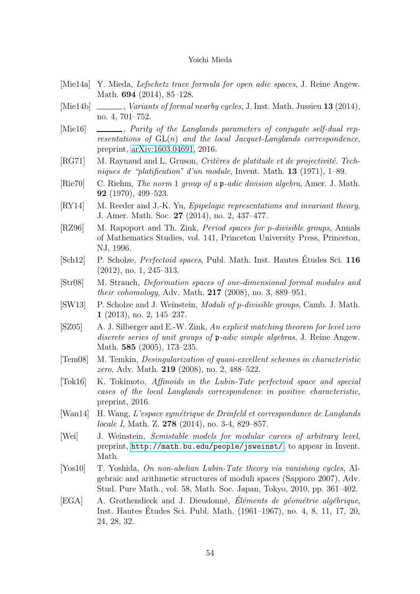- <span id="page-53-10"></span>[Mie14a] Y. Mieda, Lefschetz trace formula for open adic spaces, J. Reine Angew. Math. **694** (2014), 85–128.
- <span id="page-53-6"></span>[Mie14b]  $\Box$ , Variants of formal nearby cycles, J. Inst. Math. Jussieu 13 (2014), no. 4, 701–752.
- <span id="page-53-15"></span>[Mie16] \_\_\_\_\_\_, *Parity of the Langlands parameters of conjugate self-dual rep*resentations of  $GL(n)$  and the local Jacquet-Langlands correspondence, preprint, [arXiv:1603.04691,](http://arxiv.org/abs/1603.04691) 2016.
- <span id="page-53-8"></span>[RG71] M. Raynaud and L. Gruson, Critères de platitude et de projectivité. Techniques de "platification" d'un module, Invent. Math. 13 (1971), 1–89.
- <span id="page-53-16"></span>[Rie70] C. Riehm, The norm 1 group of a p-adic division algebra, Amer. J. Math. 92 (1970), 499–523.
- <span id="page-53-5"></span>[RY14] M. Reeder and J.-K. Yu, *Epipelagic representations and invariant theory*, J. Amer. Math. Soc. 27 (2014), no. 2, 437–477.
- <span id="page-53-11"></span>[RZ96] M. Rapoport and Th. Zink, *Period spaces for p-divisible groups*, Annals of Mathematics Studies, vol. 141, Princeton University Press, Princeton, NJ, 1996.
- <span id="page-53-1"></span>[Sch12] P. Scholze, *Perfectoid spaces*, Publ. Math. Inst. Hautes Études Sci. 116 (2012), no. 1, 245–313.
- <span id="page-53-12"></span>[Str08] M. Strauch, Deformation spaces of one-dimensional formal modules and their cohomology, Adv. Math. 217 (2008), no. 3, 889–951.
- <span id="page-53-2"></span>[SW13] P. Scholze and J. Weinstein, Moduli of p-divisible groups, Camb. J. Math. 1 (2013), no. 2, 145–237.
- <span id="page-53-13"></span>[SZ05] A. J. Silberger and E.-W. Zink, An explicit matching theorem for level zero discrete series of unit groups of p-adic simple algebras, J. Reine Angew. Math. **585** (2005), 173-235.
- <span id="page-53-7"></span>[Tem08] M. Temkin, Desingularization of quasi-excellent schemes in characteristic zero, Adv. Math. 219 (2008), no. 2, 488–522.
- <span id="page-53-4"></span>[Tok16] K. Tokimoto, Affinoids in the Lubin-Tate perfectoid space and special cases of the local Langlands correspondence in positive characteristic, preprint, 2016.
- <span id="page-53-14"></span>[Wan14] H. Wang, L'espace symétrique de Drinfeld et correspondance de Langlands locale I, Math. Z. 278 (2014), no. 3-4, 829–857.
- <span id="page-53-3"></span>[Wei] J. Weinstein, Semistable models for modular curves of arbitrary level, preprint, <http://math.bu.edu/people/jsweinst/>, to appear in Invent. Math.
- <span id="page-53-0"></span>[Yos10] T. Yoshida, On non-abelian Lubin-Tate theory via vanishing cycles, Algebraic and arithmetic structures of moduli spaces (Sapporo 2007), Adv. Stud. Pure Math., vol. 58, Math. Soc. Japan, Tokyo, 2010, pp. 361–402.
- <span id="page-53-9"></span> $[EGA]$  A. Grothendieck and J. Dieudonné, Eléments de géométrie algébrique, Inst. Hautes Etudes Sci. Publ. Math. (1961–1967), no. 4, 8, 11, 17, 20, ´ 24, 28, 32.